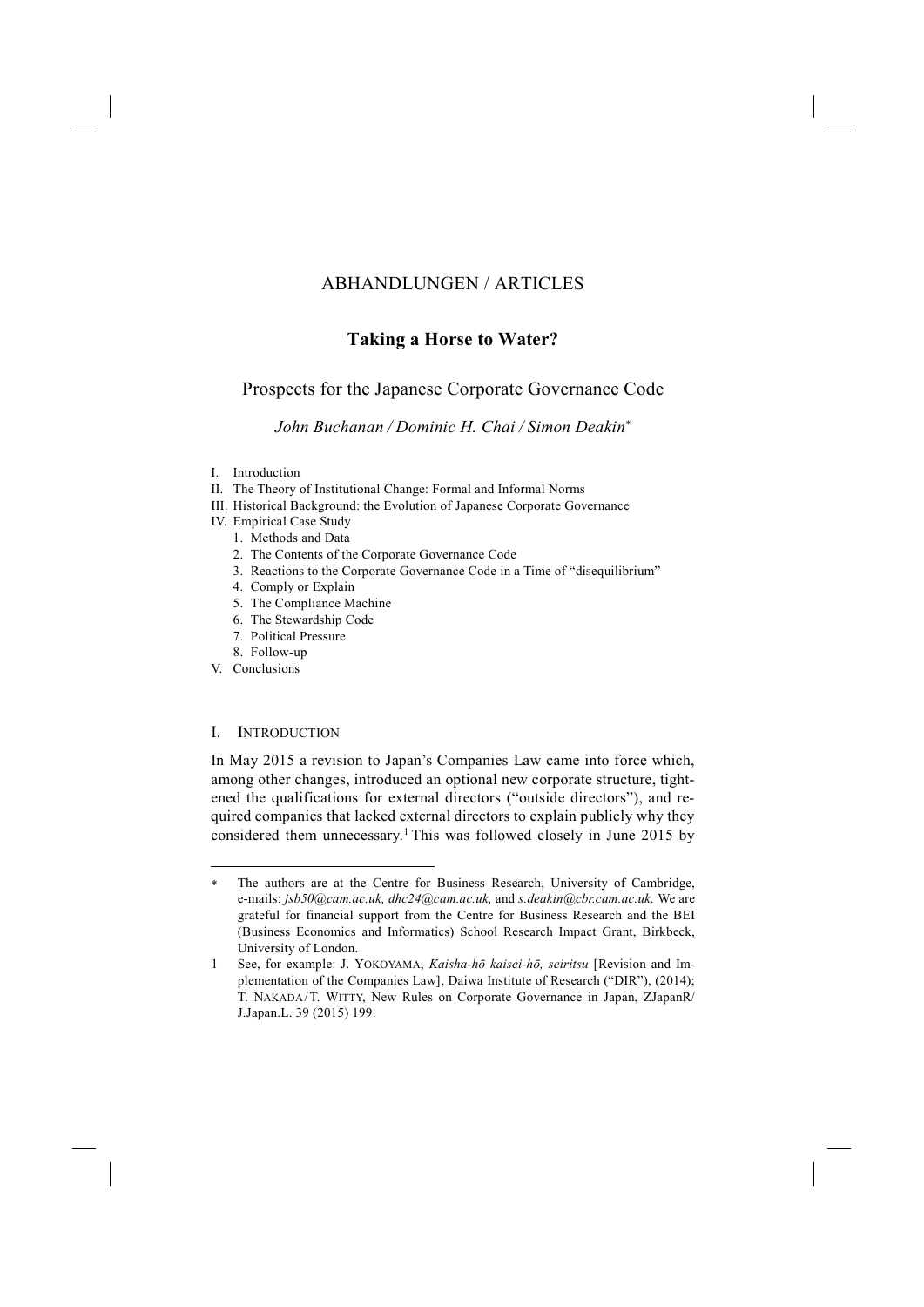# ABHANDLUNGEN / ARTICLES

# **Taking a Horse to Water?**

# Prospects for the Japanese Corporate Governance Code

## *John Buchanan / Dominic H. Chai / Simon Deakin*<sup>∗</sup>

- I. Introduction
- II. The Theory of Institutional Change: Formal and Informal Norms
- III. Historical Background: the Evolution of Japanese Corporate Governance
- IV. Empirical Case Study
	- 1. Methods and Data
	- 2. The Contents of the Corporate Governance Code
	- 3. Reactions to the Corporate Governance Code in a Time of "disequilibrium"
	- 4. Comply or Explain
	- 5. The Compliance Machine
	- 6. The Stewardship Code
	- 7. Political Pressure
	- 8. Follow-up
- V. Conclusions

-

## I. INTRODUCTION

In May 2015 a revision to Japan's Companies Law came into force which, among other changes, introduced an optional new corporate structure, tightened the qualifications for external directors ("outside directors"), and required companies that lacked external directors to explain publicly why they considered them unnecessary.1 This was followed closely in June 2015 by

<sup>∗</sup> The authors are at the Centre for Business Research, University of Cambridge, e-mails: *jsb50@cam.ac.uk, dhc24@cam.ac.uk,* and *s.deakin@cbr.cam.ac.uk.* We are grateful for financial support from the Centre for Business Research and the BEI (Business Economics and Informatics) School Research Impact Grant, Birkbeck, University of London.

<sup>1</sup> See, for example: J. YOKOYAMA, *Kaisha-hō kaisei-hō, seiritsu* [Revision and Implementation of the Companies Law], Daiwa Institute of Research ("DIR"), (2014); T. NAKADA/T. WITTY, New Rules on Corporate Governance in Japan, ZJapanR/ J.Japan.L. 39 (2015) 199.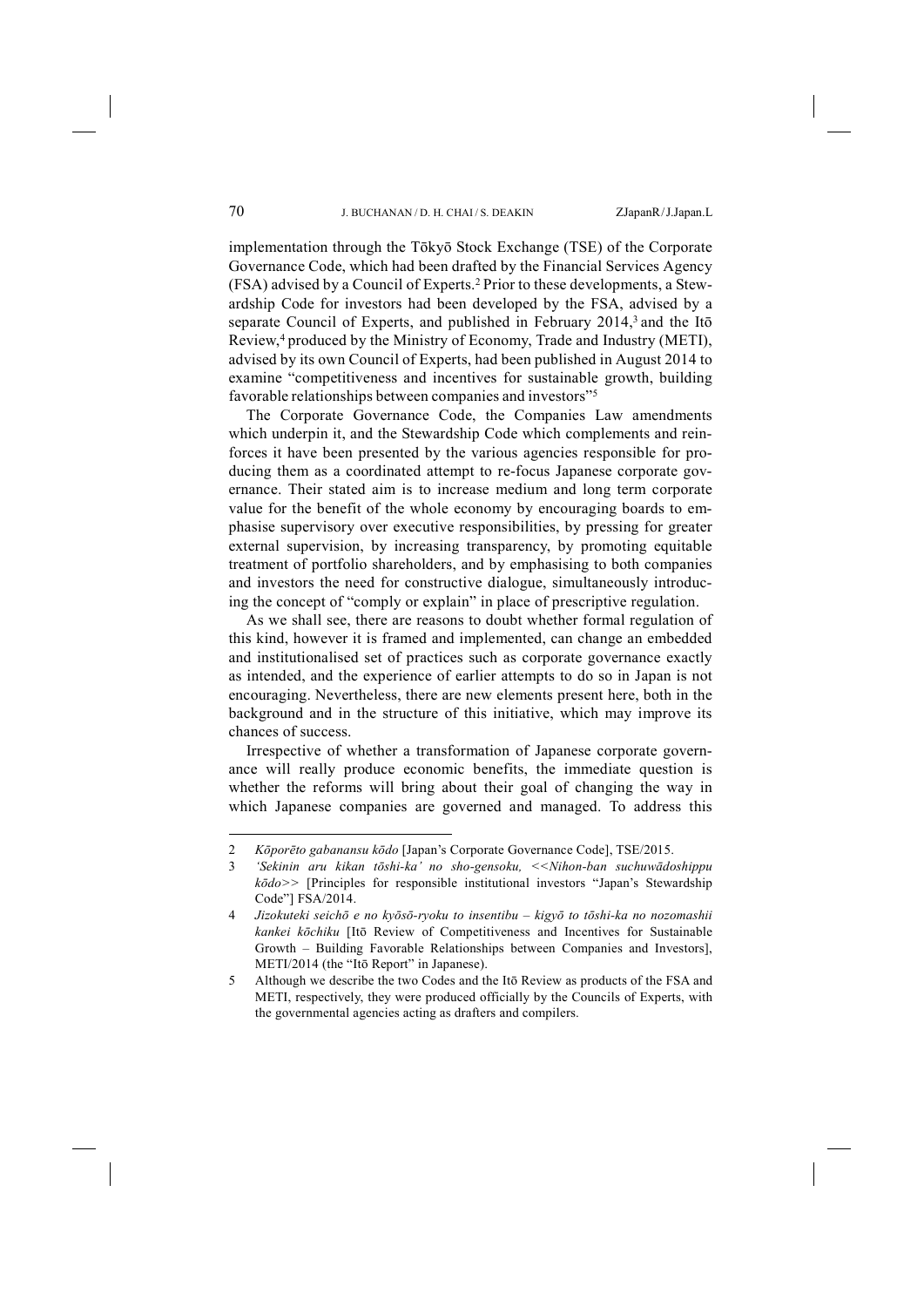implementation through the Tōkyō Stock Exchange (TSE) of the Corporate Governance Code, which had been drafted by the Financial Services Agency (FSA) advised by a Council of Experts.2 Prior to these developments, a Stewardship Code for investors had been developed by the FSA, advised by a separate Council of Experts, and published in February 2014,<sup>3</sup> and the Itō Review,4 produced by the Ministry of Economy, Trade and Industry (METI), advised by its own Council of Experts, had been published in August 2014 to examine "competitiveness and incentives for sustainable growth, building favorable relationships between companies and investors"5

The Corporate Governance Code, the Companies Law amendments which underpin it, and the Stewardship Code which complements and reinforces it have been presented by the various agencies responsible for producing them as a coordinated attempt to re-focus Japanese corporate governance. Their stated aim is to increase medium and long term corporate value for the benefit of the whole economy by encouraging boards to emphasise supervisory over executive responsibilities, by pressing for greater external supervision, by increasing transparency, by promoting equitable treatment of portfolio shareholders, and by emphasising to both companies and investors the need for constructive dialogue, simultaneously introducing the concept of "comply or explain" in place of prescriptive regulation.

As we shall see, there are reasons to doubt whether formal regulation of this kind, however it is framed and implemented, can change an embedded and institutionalised set of practices such as corporate governance exactly as intended, and the experience of earlier attempts to do so in Japan is not encouraging. Nevertheless, there are new elements present here, both in the background and in the structure of this initiative, which may improve its chances of success.

Irrespective of whether a transformation of Japanese corporate governance will really produce economic benefits, the immediate question is whether the reforms will bring about their goal of changing the way in which Japanese companies are governed and managed. To address this

<sup>2</sup> *Kōporēto gabanansu kōdo* [Japan's Corporate Governance Code], TSE/2015.

<sup>3</sup> *'Sekinin aru kikan tōshi-ka' no sho-gensoku, <<Nihon-ban suchuwādoshippu kōdo>>* [Principles for responsible institutional investors "Japan's Stewardship Code"] FSA/2014.

<sup>4</sup> *Jizokuteki seichō e no kyōsō-ryoku to insentibu – kigyō to tōshi-ka no nozomashii kankei kōchiku* [Itō Review of Competitiveness and Incentives for Sustainable Growth – Building Favorable Relationships between Companies and Investors], METI/2014 (the "Itō Report" in Japanese).

<sup>5</sup> Although we describe the two Codes and the Itō Review as products of the FSA and METI, respectively, they were produced officially by the Councils of Experts, with the governmental agencies acting as drafters and compilers.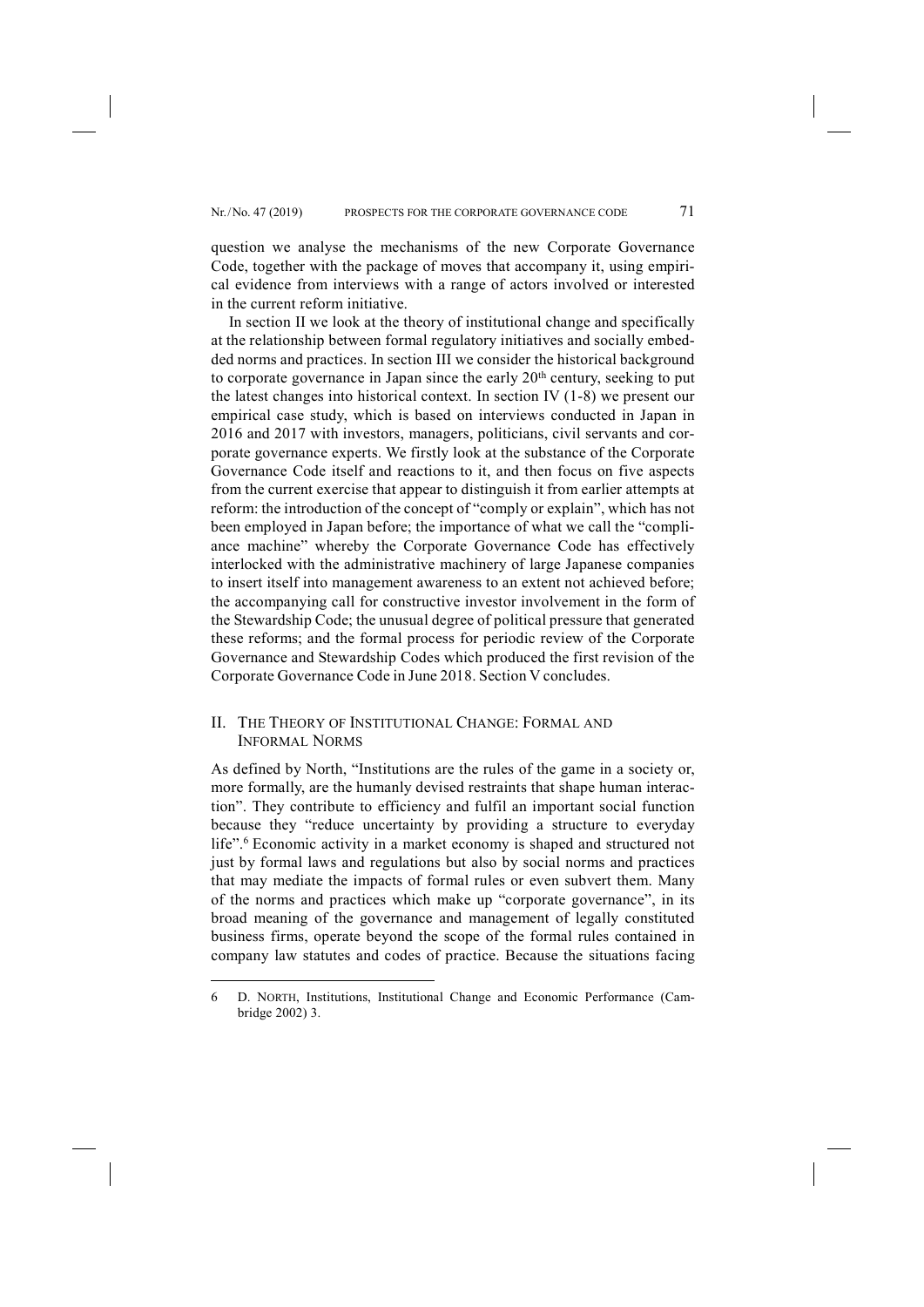question we analyse the mechanisms of the new Corporate Governance Code, together with the package of moves that accompany it, using empirical evidence from interviews with a range of actors involved or interested in the current reform initiative.

In section II we look at the theory of institutional change and specifically at the relationship between formal regulatory initiatives and socially embedded norms and practices. In section III we consider the historical background to corporate governance in Japan since the early 20<sup>th</sup> century, seeking to put the latest changes into historical context. In section IV (1-8) we present our empirical case study, which is based on interviews conducted in Japan in 2016 and 2017 with investors, managers, politicians, civil servants and corporate governance experts. We firstly look at the substance of the Corporate Governance Code itself and reactions to it, and then focus on five aspects from the current exercise that appear to distinguish it from earlier attempts at reform: the introduction of the concept of "comply or explain", which has not been employed in Japan before; the importance of what we call the "compliance machine" whereby the Corporate Governance Code has effectively interlocked with the administrative machinery of large Japanese companies to insert itself into management awareness to an extent not achieved before; the accompanying call for constructive investor involvement in the form of the Stewardship Code; the unusual degree of political pressure that generated these reforms; and the formal process for periodic review of the Corporate Governance and Stewardship Codes which produced the first revision of the Corporate Governance Code in June 2018. Section V concludes.

## II. THE THEORY OF INSTITUTIONAL CHANGE: FORMAL AND INFORMAL NORMS

As defined by North, "Institutions are the rules of the game in a society or, more formally, are the humanly devised restraints that shape human interaction". They contribute to efficiency and fulfil an important social function because they "reduce uncertainty by providing a structure to everyday life".<sup>6</sup> Economic activity in a market economy is shaped and structured not just by formal laws and regulations but also by social norms and practices that may mediate the impacts of formal rules or even subvert them. Many of the norms and practices which make up "corporate governance", in its broad meaning of the governance and management of legally constituted business firms, operate beyond the scope of the formal rules contained in company law statutes and codes of practice. Because the situations facing

<sup>6</sup> D. NORTH, Institutions, Institutional Change and Economic Performance (Cambridge 2002) 3.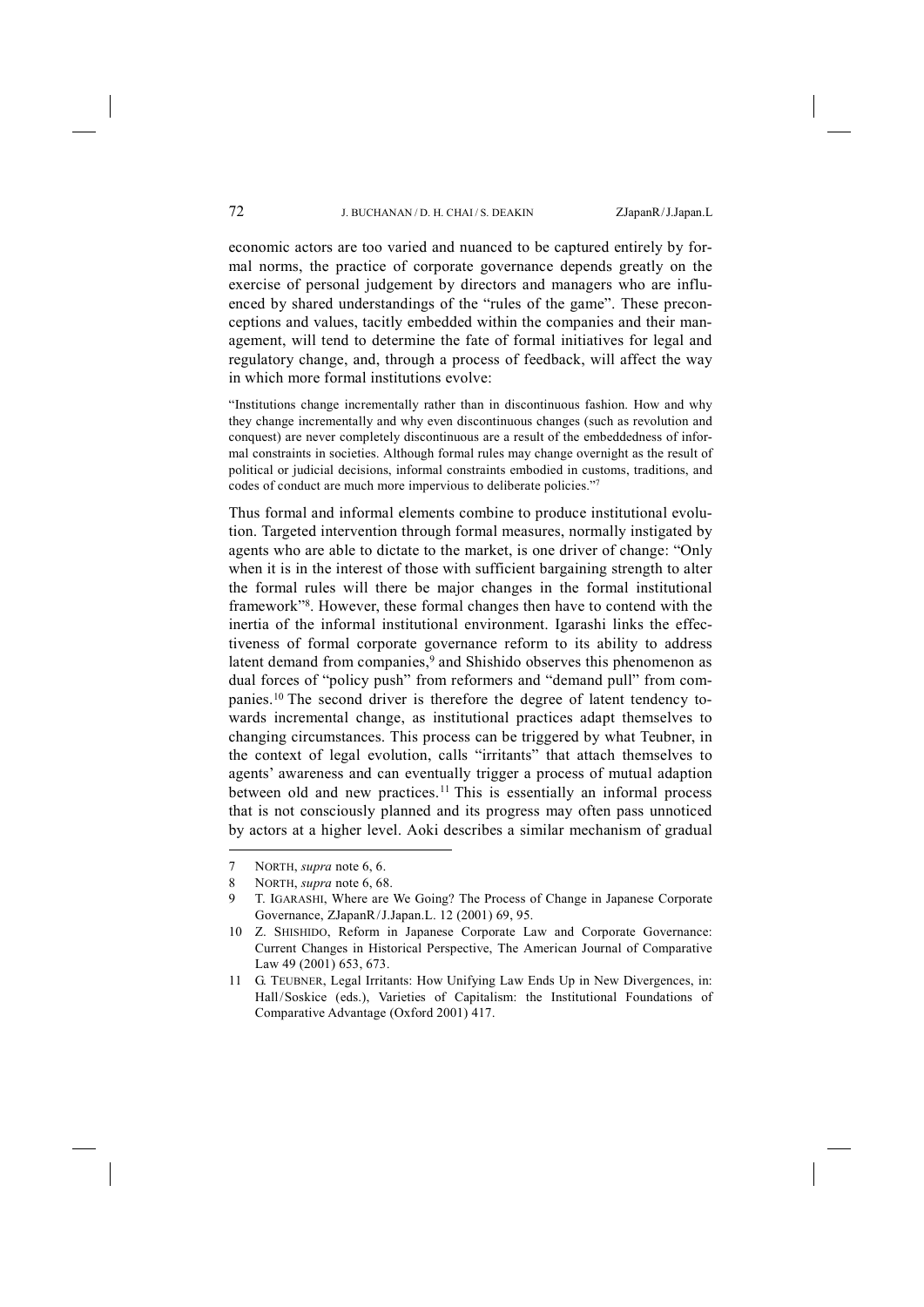economic actors are too varied and nuanced to be captured entirely by formal norms, the practice of corporate governance depends greatly on the exercise of personal judgement by directors and managers who are influenced by shared understandings of the "rules of the game". These preconceptions and values, tacitly embedded within the companies and their management, will tend to determine the fate of formal initiatives for legal and regulatory change, and, through a process of feedback, will affect the way in which more formal institutions evolve:

"Institutions change incrementally rather than in discontinuous fashion. How and why they change incrementally and why even discontinuous changes (such as revolution and conquest) are never completely discontinuous are a result of the embeddedness of informal constraints in societies. Although formal rules may change overnight as the result of political or judicial decisions, informal constraints embodied in customs, traditions, and codes of conduct are much more impervious to deliberate policies."7

Thus formal and informal elements combine to produce institutional evolution. Targeted intervention through formal measures, normally instigated by agents who are able to dictate to the market, is one driver of change: "Only when it is in the interest of those with sufficient bargaining strength to alter the formal rules will there be major changes in the formal institutional framework"8. However, these formal changes then have to contend with the inertia of the informal institutional environment. Igarashi links the effectiveness of formal corporate governance reform to its ability to address latent demand from companies,<sup>9</sup> and Shishido observes this phenomenon as dual forces of "policy push" from reformers and "demand pull" from companies.10 The second driver is therefore the degree of latent tendency towards incremental change, as institutional practices adapt themselves to changing circumstances. This process can be triggered by what Teubner, in the context of legal evolution, calls "irritants" that attach themselves to agents' awareness and can eventually trigger a process of mutual adaption between old and new practices.<sup>11</sup> This is essentially an informal process that is not consciously planned and its progress may often pass unnoticed by actors at a higher level. Aoki describes a similar mechanism of gradual

<sup>7</sup> NORTH, *supra* note 6, 6.

<sup>8</sup> NORTH, *supra* note 6, 68.

<sup>9</sup> T. IGARASHI, Where are We Going? The Process of Change in Japanese Corporate Governance, ZJapanR/J.Japan.L. 12 (2001) 69, 95.

<sup>10</sup> Z. SHISHIDO, Reform in Japanese Corporate Law and Corporate Governance: Current Changes in Historical Perspective, The American Journal of Comparative Law 49 (2001) 653, 673.

<sup>11</sup> G. TEUBNER, Legal Irritants: How Unifying Law Ends Up in New Divergences, in: Hall/Soskice (eds.), Varieties of Capitalism: the Institutional Foundations of Comparative Advantage (Oxford 2001) 417.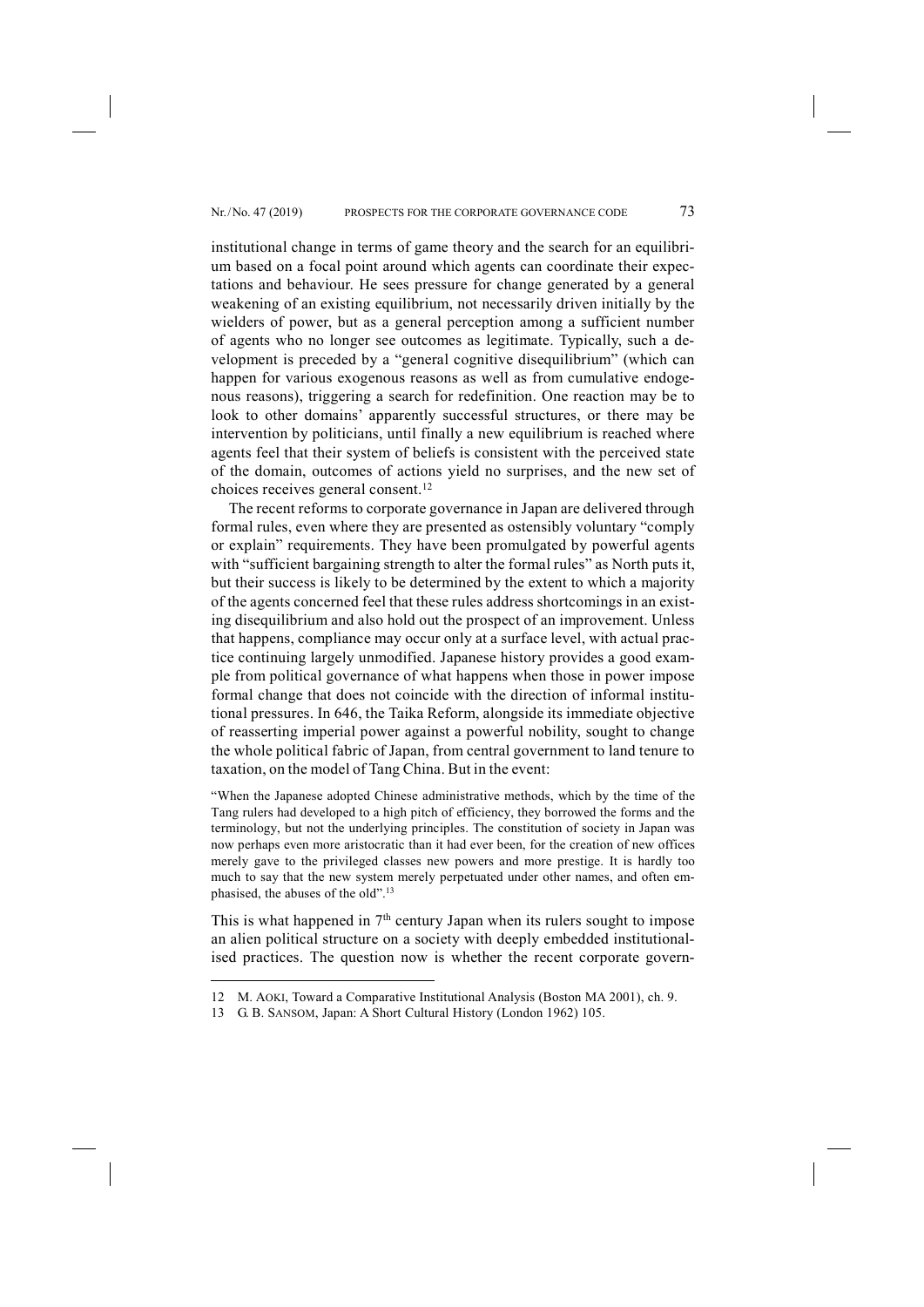institutional change in terms of game theory and the search for an equilibrium based on a focal point around which agents can coordinate their expectations and behaviour. He sees pressure for change generated by a general weakening of an existing equilibrium, not necessarily driven initially by the wielders of power, but as a general perception among a sufficient number of agents who no longer see outcomes as legitimate. Typically, such a development is preceded by a "general cognitive disequilibrium" (which can happen for various exogenous reasons as well as from cumulative endogenous reasons), triggering a search for redefinition. One reaction may be to look to other domains' apparently successful structures, or there may be intervention by politicians, until finally a new equilibrium is reached where agents feel that their system of beliefs is consistent with the perceived state of the domain, outcomes of actions yield no surprises, and the new set of choices receives general consent.12

The recent reforms to corporate governance in Japan are delivered through formal rules, even where they are presented as ostensibly voluntary "comply or explain" requirements. They have been promulgated by powerful agents with "sufficient bargaining strength to alter the formal rules" as North puts it, but their success is likely to be determined by the extent to which a majority of the agents concerned feel that these rules address shortcomings in an existing disequilibrium and also hold out the prospect of an improvement. Unless that happens, compliance may occur only at a surface level, with actual practice continuing largely unmodified. Japanese history provides a good example from political governance of what happens when those in power impose formal change that does not coincide with the direction of informal institutional pressures. In 646, the Taika Reform, alongside its immediate objective of reasserting imperial power against a powerful nobility, sought to change the whole political fabric of Japan, from central government to land tenure to taxation, on the model of Tang China. But in the event:

"When the Japanese adopted Chinese administrative methods, which by the time of the Tang rulers had developed to a high pitch of efficiency, they borrowed the forms and the terminology, but not the underlying principles. The constitution of society in Japan was now perhaps even more aristocratic than it had ever been, for the creation of new offices merely gave to the privileged classes new powers and more prestige. It is hardly too much to say that the new system merely perpetuated under other names, and often emphasised, the abuses of the old".13

This is what happened in  $7<sup>th</sup>$  century Japan when its rulers sought to impose an alien political structure on a society with deeply embedded institutionalised practices. The question now is whether the recent corporate govern-

<sup>12</sup> M. AOKI, Toward a Comparative Institutional Analysis (Boston MA 2001), ch. 9.

<sup>13</sup> G. B. SANSOM, Japan: A Short Cultural History (London 1962) 105.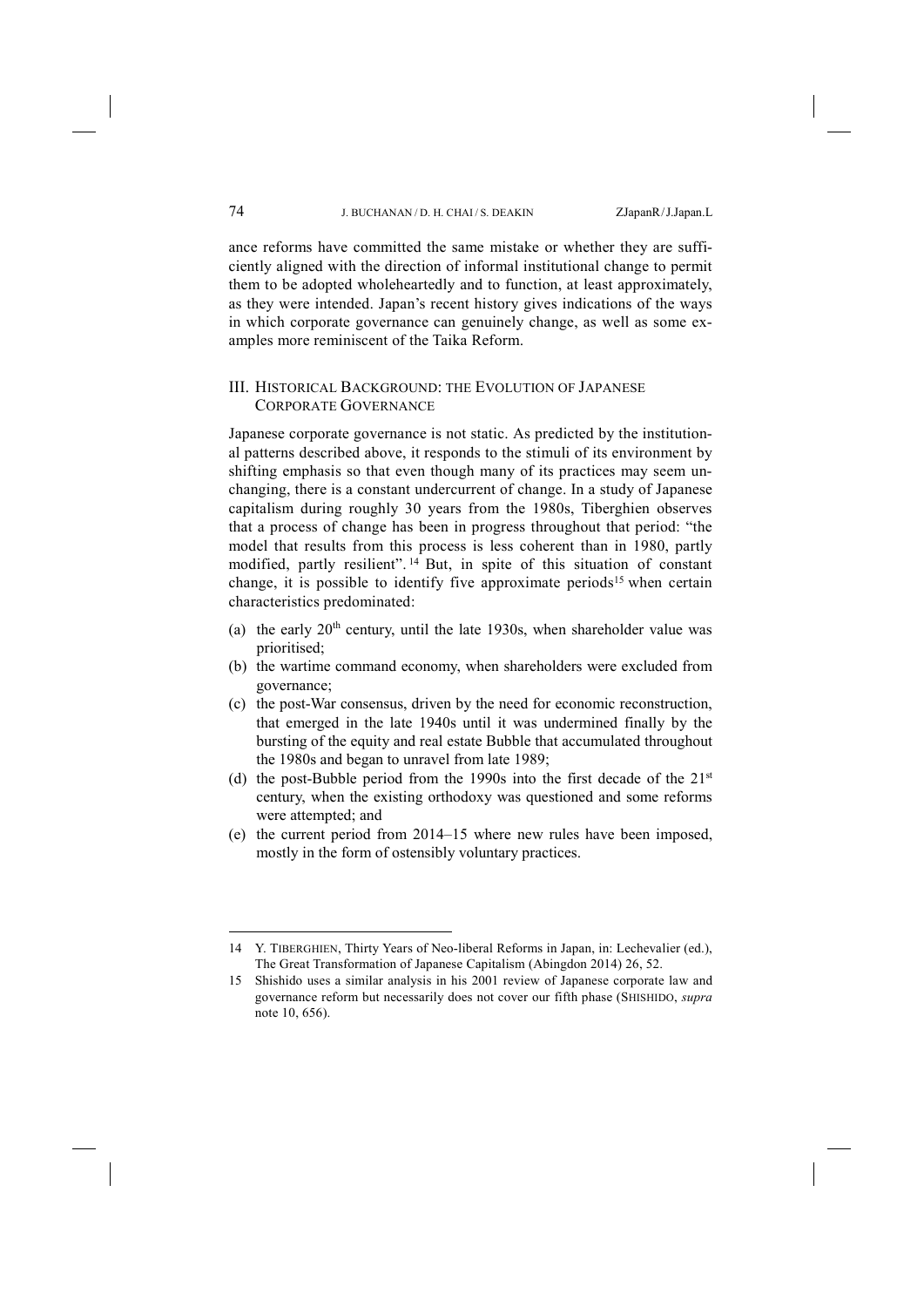ance reforms have committed the same mistake or whether they are sufficiently aligned with the direction of informal institutional change to permit them to be adopted wholeheartedly and to function, at least approximately, as they were intended. Japan's recent history gives indications of the ways in which corporate governance can genuinely change, as well as some examples more reminiscent of the Taika Reform.

## III. HISTORICAL BACKGROUND: THE EVOLUTION OF JAPANESE CORPORATE GOVERNANCE

Japanese corporate governance is not static. As predicted by the institutional patterns described above, it responds to the stimuli of its environment by shifting emphasis so that even though many of its practices may seem unchanging, there is a constant undercurrent of change. In a study of Japanese capitalism during roughly 30 years from the 1980s, Tiberghien observes that a process of change has been in progress throughout that period: "the model that results from this process is less coherent than in 1980, partly modified, partly resilient". <sup>14</sup> But, in spite of this situation of constant change, it is possible to identify five approximate periods<sup>15</sup> when certain characteristics predominated:

- (a) the early  $20<sup>th</sup>$  century, until the late 1930s, when shareholder value was prioritised;
- (b) the wartime command economy, when shareholders were excluded from governance;
- (c) the post-War consensus, driven by the need for economic reconstruction, that emerged in the late 1940s until it was undermined finally by the bursting of the equity and real estate Bubble that accumulated throughout the 1980s and began to unravel from late 1989;
- (d) the post-Bubble period from the 1990s into the first decade of the  $21^{st}$ century, when the existing orthodoxy was questioned and some reforms were attempted; and
- (e) the current period from 2014–15 where new rules have been imposed, mostly in the form of ostensibly voluntary practices.

<sup>14</sup> Y. TIBERGHIEN, Thirty Years of Neo-liberal Reforms in Japan, in: Lechevalier (ed.), The Great Transformation of Japanese Capitalism (Abingdon 2014) 26, 52.

<sup>15</sup> Shishido uses a similar analysis in his 2001 review of Japanese corporate law and governance reform but necessarily does not cover our fifth phase (SHISHIDO, *supra* note 10, 656).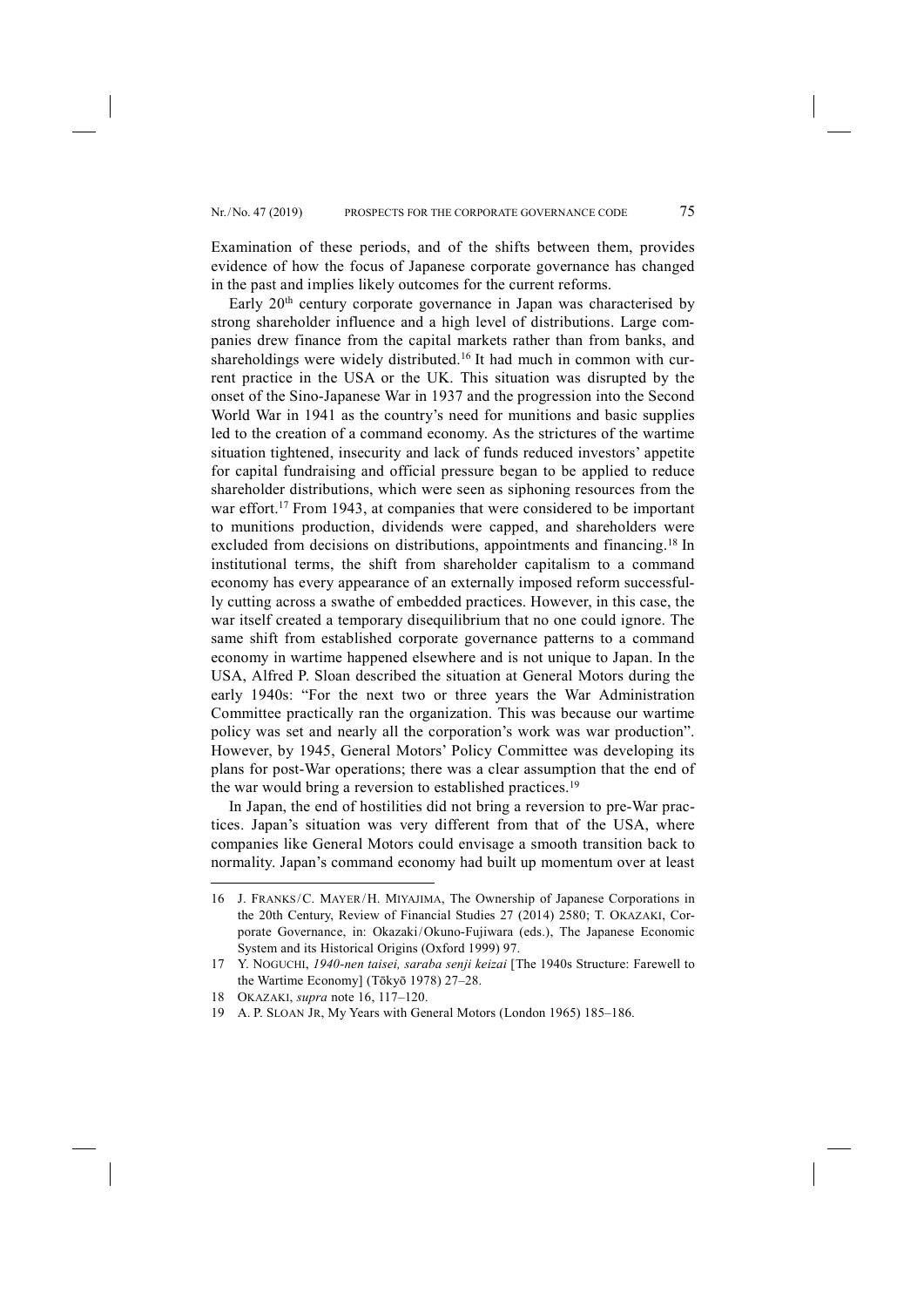Examination of these periods, and of the shifts between them, provides evidence of how the focus of Japanese corporate governance has changed in the past and implies likely outcomes for the current reforms.

Early 20<sup>th</sup> century corporate governance in Japan was characterised by strong shareholder influence and a high level of distributions. Large companies drew finance from the capital markets rather than from banks, and shareholdings were widely distributed.16 It had much in common with current practice in the USA or the UK. This situation was disrupted by the onset of the Sino-Japanese War in 1937 and the progression into the Second World War in 1941 as the country's need for munitions and basic supplies led to the creation of a command economy. As the strictures of the wartime situation tightened, insecurity and lack of funds reduced investors' appetite for capital fundraising and official pressure began to be applied to reduce shareholder distributions, which were seen as siphoning resources from the war effort.<sup>17</sup> From 1943, at companies that were considered to be important to munitions production, dividends were capped, and shareholders were excluded from decisions on distributions, appointments and financing.<sup>18</sup> In institutional terms, the shift from shareholder capitalism to a command economy has every appearance of an externally imposed reform successfully cutting across a swathe of embedded practices. However, in this case, the war itself created a temporary disequilibrium that no one could ignore. The same shift from established corporate governance patterns to a command economy in wartime happened elsewhere and is not unique to Japan. In the USA, Alfred P. Sloan described the situation at General Motors during the early 1940s: "For the next two or three years the War Administration Committee practically ran the organization. This was because our wartime policy was set and nearly all the corporation's work was war production". However, by 1945, General Motors' Policy Committee was developing its plans for post-War operations; there was a clear assumption that the end of the war would bring a reversion to established practices.<sup>19</sup>

In Japan, the end of hostilities did not bring a reversion to pre-War practices. Japan's situation was very different from that of the USA, where companies like General Motors could envisage a smooth transition back to normality. Japan's command economy had built up momentum over at least

<sup>16</sup> J. FRANKS/C. MAYER/H. MIYAJIMA, The Ownership of Japanese Corporations in the 20th Century, Review of Financial Studies 27 (2014) 2580; T. OKAZAKI, Corporate Governance, in: Okazaki/Okuno-Fujiwara (eds.), The Japanese Economic System and its Historical Origins (Oxford 1999) 97.

<sup>17</sup> Y. NOGUCHI, *1940-nen taisei, saraba senji keizai* [The 1940s Structure: Farewell to the Wartime Economy] (Tōkyō 1978) 27–28.

<sup>18</sup> OKAZAKI, *supra* note 16, 117–120.

<sup>19</sup> A. P. SLOAN JR, My Years with General Motors (London 1965) 185–186.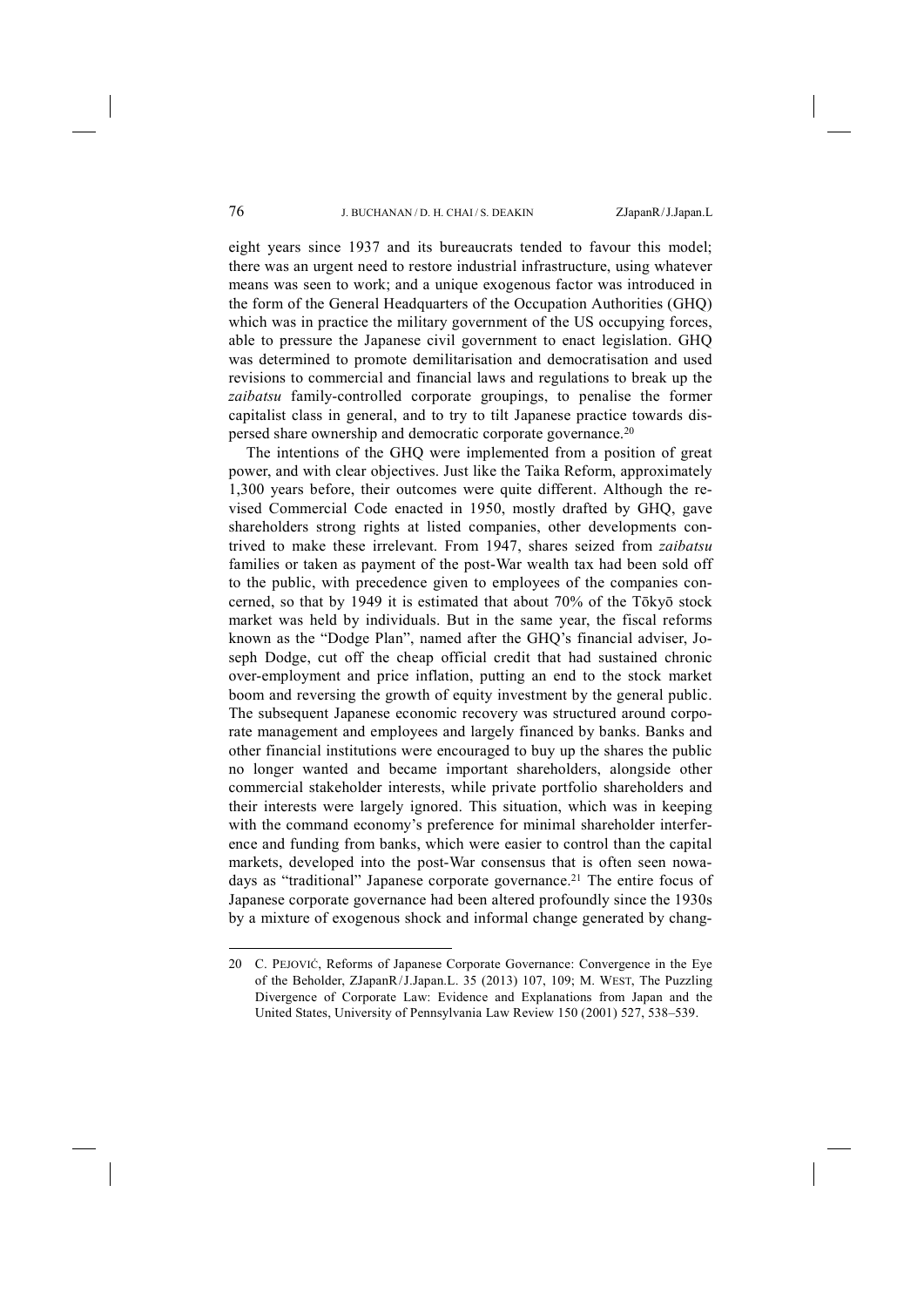eight years since 1937 and its bureaucrats tended to favour this model; there was an urgent need to restore industrial infrastructure, using whatever means was seen to work; and a unique exogenous factor was introduced in the form of the General Headquarters of the Occupation Authorities (GHQ) which was in practice the military government of the US occupying forces, able to pressure the Japanese civil government to enact legislation. GHQ was determined to promote demilitarisation and democratisation and used revisions to commercial and financial laws and regulations to break up the *zaibatsu* family-controlled corporate groupings, to penalise the former capitalist class in general, and to try to tilt Japanese practice towards dispersed share ownership and democratic corporate governance.20

The intentions of the GHQ were implemented from a position of great power, and with clear objectives. Just like the Taika Reform, approximately 1,300 years before, their outcomes were quite different. Although the revised Commercial Code enacted in 1950, mostly drafted by GHQ, gave shareholders strong rights at listed companies, other developments contrived to make these irrelevant. From 1947, shares seized from *zaibatsu* families or taken as payment of the post-War wealth tax had been sold off to the public, with precedence given to employees of the companies concerned, so that by 1949 it is estimated that about 70% of the Tōkyō stock market was held by individuals. But in the same year, the fiscal reforms known as the "Dodge Plan", named after the GHQ's financial adviser, Joseph Dodge, cut off the cheap official credit that had sustained chronic over-employment and price inflation, putting an end to the stock market boom and reversing the growth of equity investment by the general public. The subsequent Japanese economic recovery was structured around corporate management and employees and largely financed by banks. Banks and other financial institutions were encouraged to buy up the shares the public no longer wanted and became important shareholders, alongside other commercial stakeholder interests, while private portfolio shareholders and their interests were largely ignored. This situation, which was in keeping with the command economy's preference for minimal shareholder interference and funding from banks, which were easier to control than the capital markets, developed into the post-War consensus that is often seen nowadays as "traditional" Japanese corporate governance.<sup>21</sup> The entire focus of Japanese corporate governance had been altered profoundly since the 1930s by a mixture of exogenous shock and informal change generated by chang-

<sup>20</sup> C. PEJOVIĆ, Reforms of Japanese Corporate Governance: Convergence in the Eye of the Beholder, ZJapanR/J.Japan.L. 35 (2013) 107, 109; M. WEST, The Puzzling Divergence of Corporate Law: Evidence and Explanations from Japan and the United States, University of Pennsylvania Law Review 150 (2001) 527, 538–539.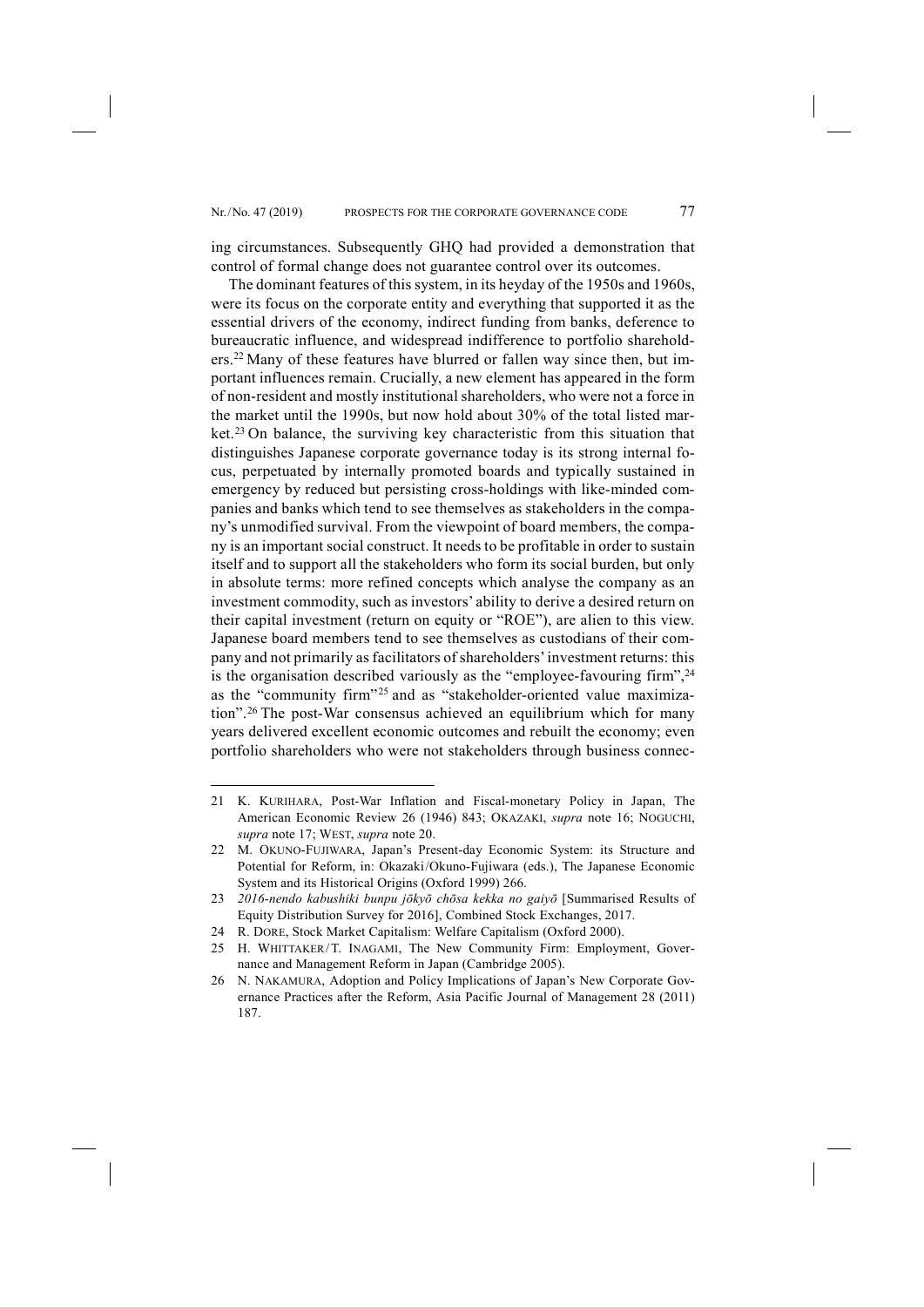ing circumstances. Subsequently GHQ had provided a demonstration that control of formal change does not guarantee control over its outcomes.

The dominant features of this system, in its heyday of the 1950s and 1960s, were its focus on the corporate entity and everything that supported it as the essential drivers of the economy, indirect funding from banks, deference to bureaucratic influence, and widespread indifference to portfolio shareholders.22 Many of these features have blurred or fallen way since then, but important influences remain. Crucially, a new element has appeared in the form of non-resident and mostly institutional shareholders, who were not a force in the market until the 1990s, but now hold about 30% of the total listed market.23 On balance, the surviving key characteristic from this situation that distinguishes Japanese corporate governance today is its strong internal focus, perpetuated by internally promoted boards and typically sustained in emergency by reduced but persisting cross-holdings with like-minded companies and banks which tend to see themselves as stakeholders in the company's unmodified survival. From the viewpoint of board members, the company is an important social construct. It needs to be profitable in order to sustain itself and to support all the stakeholders who form its social burden, but only in absolute terms: more refined concepts which analyse the company as an investment commodity, such as investors' ability to derive a desired return on their capital investment (return on equity or "ROE"), are alien to this view. Japanese board members tend to see themselves as custodians of their company and not primarily as facilitators of shareholders'investment returns: this is the organisation described variously as the "employee-favouring firm",<sup>24</sup> as the "community firm"<sup>25</sup> and as "stakeholder-oriented value maximization".26 The post-War consensus achieved an equilibrium which for many years delivered excellent economic outcomes and rebuilt the economy; even portfolio shareholders who were not stakeholders through business connec-

<sup>21</sup> K. KURIHARA, Post-War Inflation and Fiscal-monetary Policy in Japan, The American Economic Review 26 (1946) 843; OKAZAKI, *supra* note 16; NOGUCHI, *supra* note 17; WEST, *supra* note 20.

<sup>22</sup> M. OKUNO-FUJIWARA, Japan's Present-day Economic System: its Structure and Potential for Reform, in: Okazaki/Okuno-Fujiwara (eds.), The Japanese Economic System and its Historical Origins (Oxford 1999) 266.

<sup>23</sup> *2016-nendo kabushiki bunpu jōkyō chōsa kekka no gaiyō* [Summarised Results of Equity Distribution Survey for 2016], Combined Stock Exchanges, 2017.

<sup>24</sup> R. DORE, Stock Market Capitalism: Welfare Capitalism (Oxford 2000).

<sup>25</sup> H. WHITTAKER/T. INAGAMI, The New Community Firm: Employment, Governance and Management Reform in Japan (Cambridge 2005).

<sup>26</sup> N. NAKAMURA, Adoption and Policy Implications of Japan's New Corporate Governance Practices after the Reform, Asia Pacific Journal of Management 28 (2011) 187.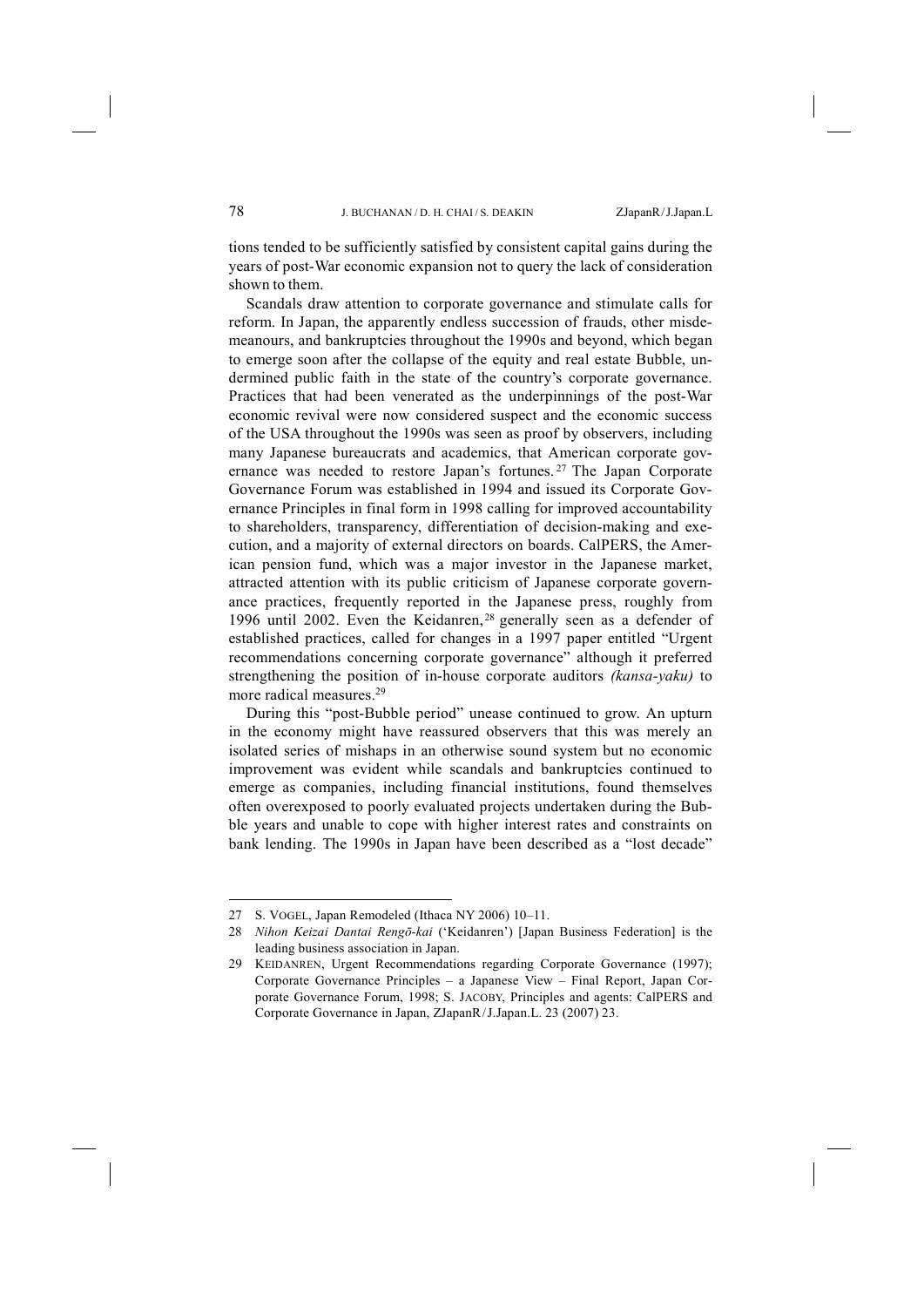tions tended to be sufficiently satisfied by consistent capital gains during the years of post-War economic expansion not to query the lack of consideration shown to them.

Scandals draw attention to corporate governance and stimulate calls for reform. In Japan, the apparently endless succession of frauds, other misdemeanours, and bankruptcies throughout the 1990s and beyond, which began to emerge soon after the collapse of the equity and real estate Bubble, undermined public faith in the state of the country's corporate governance. Practices that had been venerated as the underpinnings of the post-War economic revival were now considered suspect and the economic success of the USA throughout the 1990s was seen as proof by observers, including many Japanese bureaucrats and academics, that American corporate governance was needed to restore Japan's fortunes. <sup>27</sup> The Japan Corporate Governance Forum was established in 1994 and issued its Corporate Governance Principles in final form in 1998 calling for improved accountability to shareholders, transparency, differentiation of decision-making and execution, and a majority of external directors on boards. CalPERS, the American pension fund, which was a major investor in the Japanese market, attracted attention with its public criticism of Japanese corporate governance practices, frequently reported in the Japanese press, roughly from 1996 until 2002. Even the Keidanren,<sup>28</sup> generally seen as a defender of established practices, called for changes in a 1997 paper entitled "Urgent recommendations concerning corporate governance" although it preferred strengthening the position of in-house corporate auditors *(kansa-yaku)* to more radical measures.29

During this "post-Bubble period" unease continued to grow. An upturn in the economy might have reassured observers that this was merely an isolated series of mishaps in an otherwise sound system but no economic improvement was evident while scandals and bankruptcies continued to emerge as companies, including financial institutions, found themselves often overexposed to poorly evaluated projects undertaken during the Bubble years and unable to cope with higher interest rates and constraints on bank lending. The 1990s in Japan have been described as a "lost decade"

<sup>27</sup> S. VOGEL, Japan Remodeled (Ithaca NY 2006) 10–11.

<sup>28</sup> *Nihon Keizai Dantai Rengō-kai* ('Keidanren') [Japan Business Federation] is the leading business association in Japan.

<sup>29</sup> KEIDANREN, Urgent Recommendations regarding Corporate Governance (1997); Corporate Governance Principles – a Japanese View – Final Report, Japan Corporate Governance Forum, 1998; S. JACOBY, Principles and agents: CalPERS and Corporate Governance in Japan, ZJapanR/J.Japan.L. 23 (2007) 23.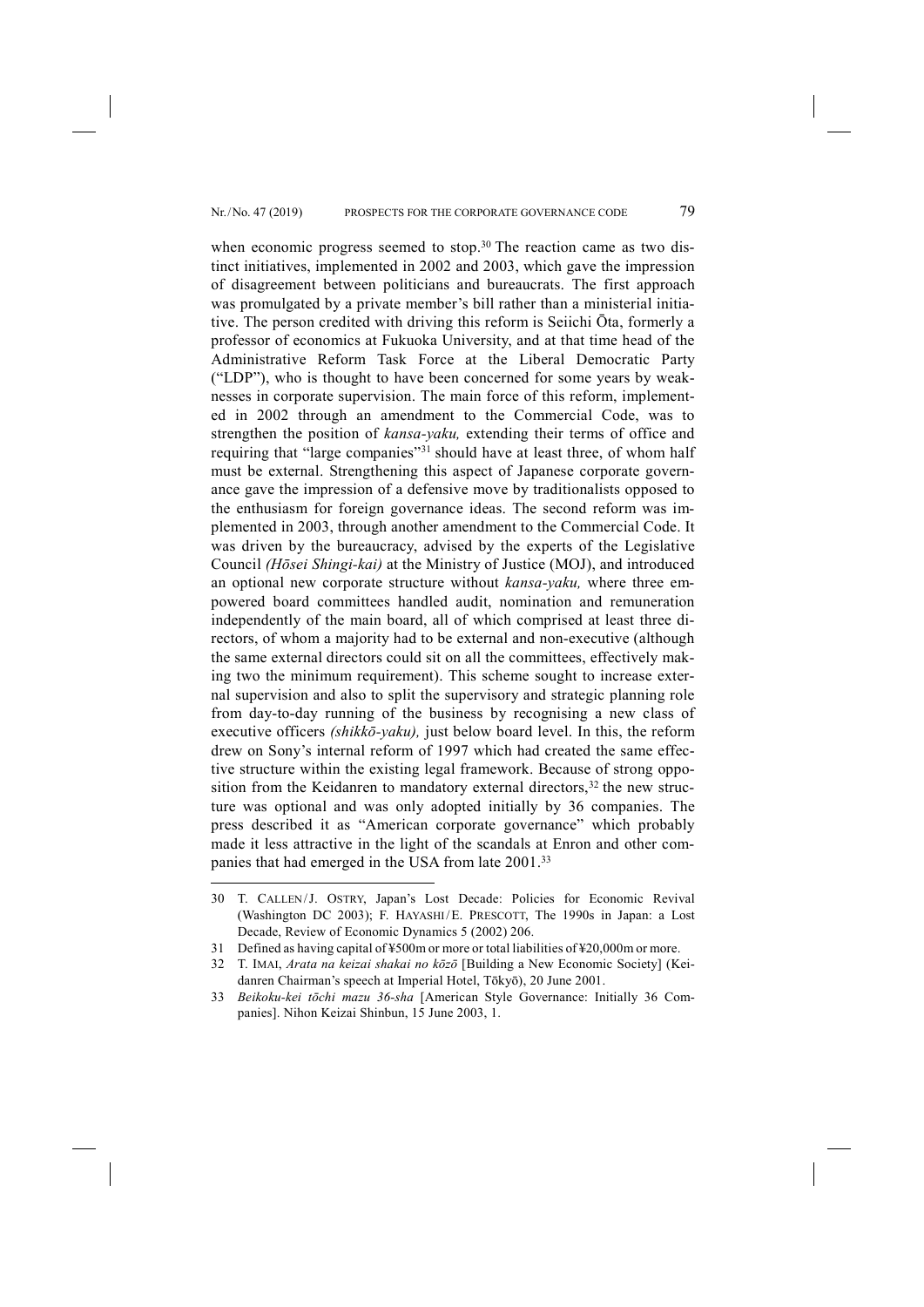when economic progress seemed to stop.<sup>30</sup> The reaction came as two distinct initiatives, implemented in 2002 and 2003, which gave the impression of disagreement between politicians and bureaucrats. The first approach was promulgated by a private member's bill rather than a ministerial initiative. The person credited with driving this reform is Seiichi Ōta, formerly a professor of economics at Fukuoka University, and at that time head of the Administrative Reform Task Force at the Liberal Democratic Party ("LDP"), who is thought to have been concerned for some years by weaknesses in corporate supervision. The main force of this reform, implemented in 2002 through an amendment to the Commercial Code, was to strengthen the position of *kansa-yaku,* extending their terms of office and requiring that "large companies"<sup>31</sup> should have at least three, of whom half must be external. Strengthening this aspect of Japanese corporate governance gave the impression of a defensive move by traditionalists opposed to the enthusiasm for foreign governance ideas. The second reform was implemented in 2003, through another amendment to the Commercial Code. It was driven by the bureaucracy, advised by the experts of the Legislative Council *(Hōsei Shingi-kai)* at the Ministry of Justice (MOJ), and introduced an optional new corporate structure without *kansa-yaku,* where three empowered board committees handled audit, nomination and remuneration independently of the main board, all of which comprised at least three directors, of whom a majority had to be external and non-executive (although the same external directors could sit on all the committees, effectively making two the minimum requirement). This scheme sought to increase external supervision and also to split the supervisory and strategic planning role from day-to-day running of the business by recognising a new class of executive officers *(shikkō-yaku),* just below board level. In this, the reform drew on Sony's internal reform of 1997 which had created the same effective structure within the existing legal framework. Because of strong opposition from the Keidanren to mandatory external directors,  $32$  the new structure was optional and was only adopted initially by 36 companies. The press described it as "American corporate governance" which probably made it less attractive in the light of the scandals at Enron and other companies that had emerged in the USA from late 2001.33

<sup>30</sup> T. CALLEN/J. OSTRY, Japan's Lost Decade: Policies for Economic Revival (Washington DC 2003); F. HAYASHI/E. PRESCOTT, The 1990s in Japan: a Lost Decade, Review of Economic Dynamics 5 (2002) 206.

<sup>31</sup> Defined as having capital of ¥500m or more or total liabilities of ¥20,000m or more.

<sup>32</sup> T. IMAI, *Arata na keizai shakai no kōzō* [Building a New Economic Society] (Keidanren Chairman's speech at Imperial Hotel, Tōkyō), 20 June 2001.

<sup>33</sup> *Beikoku-kei tōchi mazu 36-sha* [American Style Governance: Initially 36 Companies]. Nihon Keizai Shinbun, 15 June 2003, 1.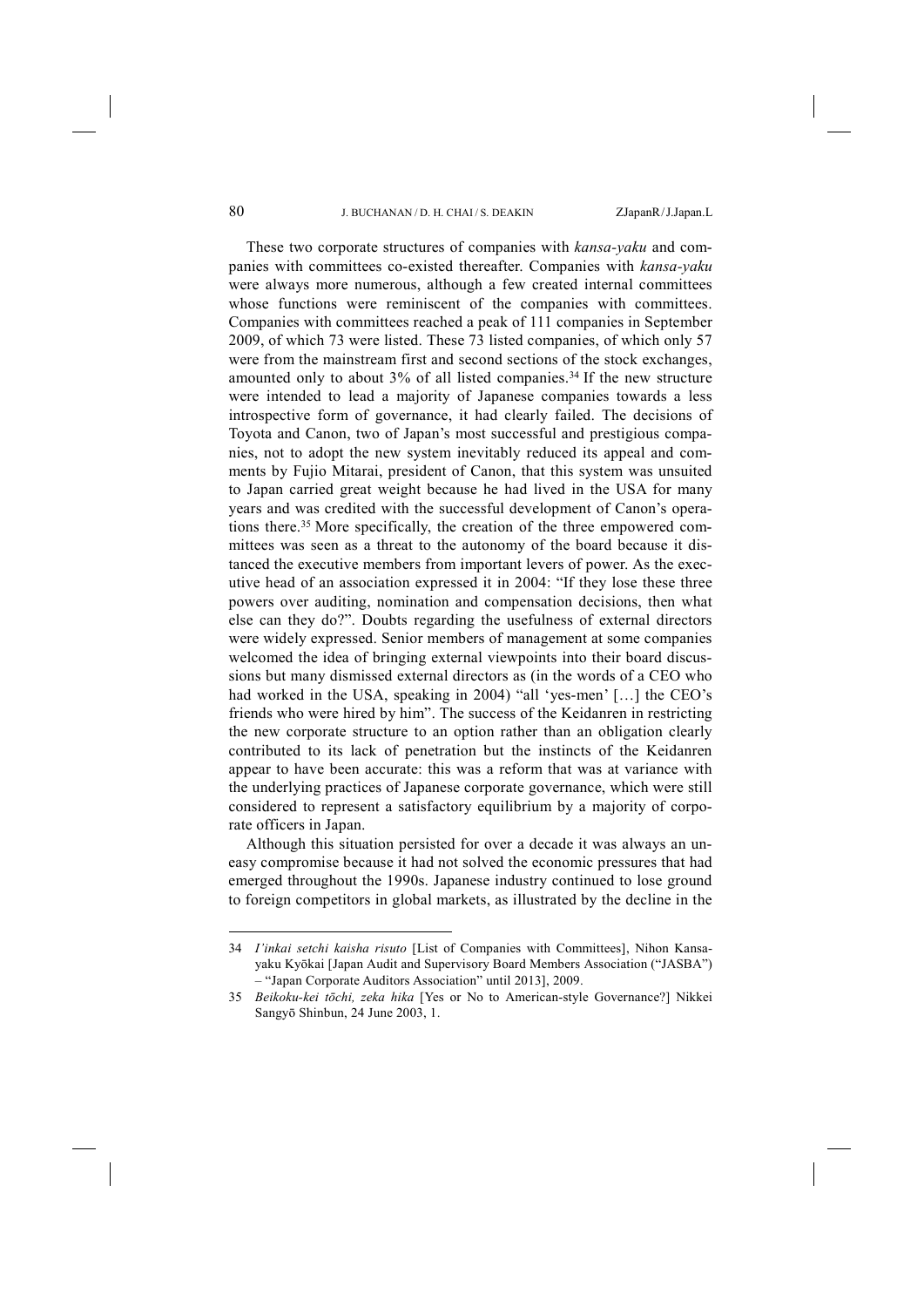These two corporate structures of companies with *kansa-yaku* and companies with committees co-existed thereafter. Companies with *kansa-yaku* were always more numerous, although a few created internal committees whose functions were reminiscent of the companies with committees. Companies with committees reached a peak of 111 companies in September 2009, of which 73 were listed. These 73 listed companies, of which only 57 were from the mainstream first and second sections of the stock exchanges, amounted only to about  $3\%$  of all listed companies.<sup>34</sup> If the new structure were intended to lead a majority of Japanese companies towards a less introspective form of governance, it had clearly failed. The decisions of Toyota and Canon, two of Japan's most successful and prestigious companies, not to adopt the new system inevitably reduced its appeal and comments by Fujio Mitarai, president of Canon, that this system was unsuited to Japan carried great weight because he had lived in the USA for many years and was credited with the successful development of Canon's operations there.35 More specifically, the creation of the three empowered committees was seen as a threat to the autonomy of the board because it distanced the executive members from important levers of power. As the executive head of an association expressed it in 2004: "If they lose these three powers over auditing, nomination and compensation decisions, then what else can they do?". Doubts regarding the usefulness of external directors were widely expressed. Senior members of management at some companies welcomed the idea of bringing external viewpoints into their board discussions but many dismissed external directors as (in the words of a CEO who had worked in the USA, speaking in 2004) "all 'yes-men' [...] the CEO's friends who were hired by him". The success of the Keidanren in restricting the new corporate structure to an option rather than an obligation clearly contributed to its lack of penetration but the instincts of the Keidanren appear to have been accurate: this was a reform that was at variance with the underlying practices of Japanese corporate governance, which were still considered to represent a satisfactory equilibrium by a majority of corporate officers in Japan.

Although this situation persisted for over a decade it was always an uneasy compromise because it had not solved the economic pressures that had emerged throughout the 1990s. Japanese industry continued to lose ground to foreign competitors in global markets, as illustrated by the decline in the

<sup>34</sup> *I'inkai setchi kaisha risuto* [List of Companies with Committees], Nihon Kansayaku Kyōkai [Japan Audit and Supervisory Board Members Association ("JASBA") – "Japan Corporate Auditors Association" until 2013], 2009.

<sup>35</sup> *Beikoku-kei tōchi, zeka hika* [Yes or No to American-style Governance?] Nikkei Sangyō Shinbun, 24 June 2003, 1.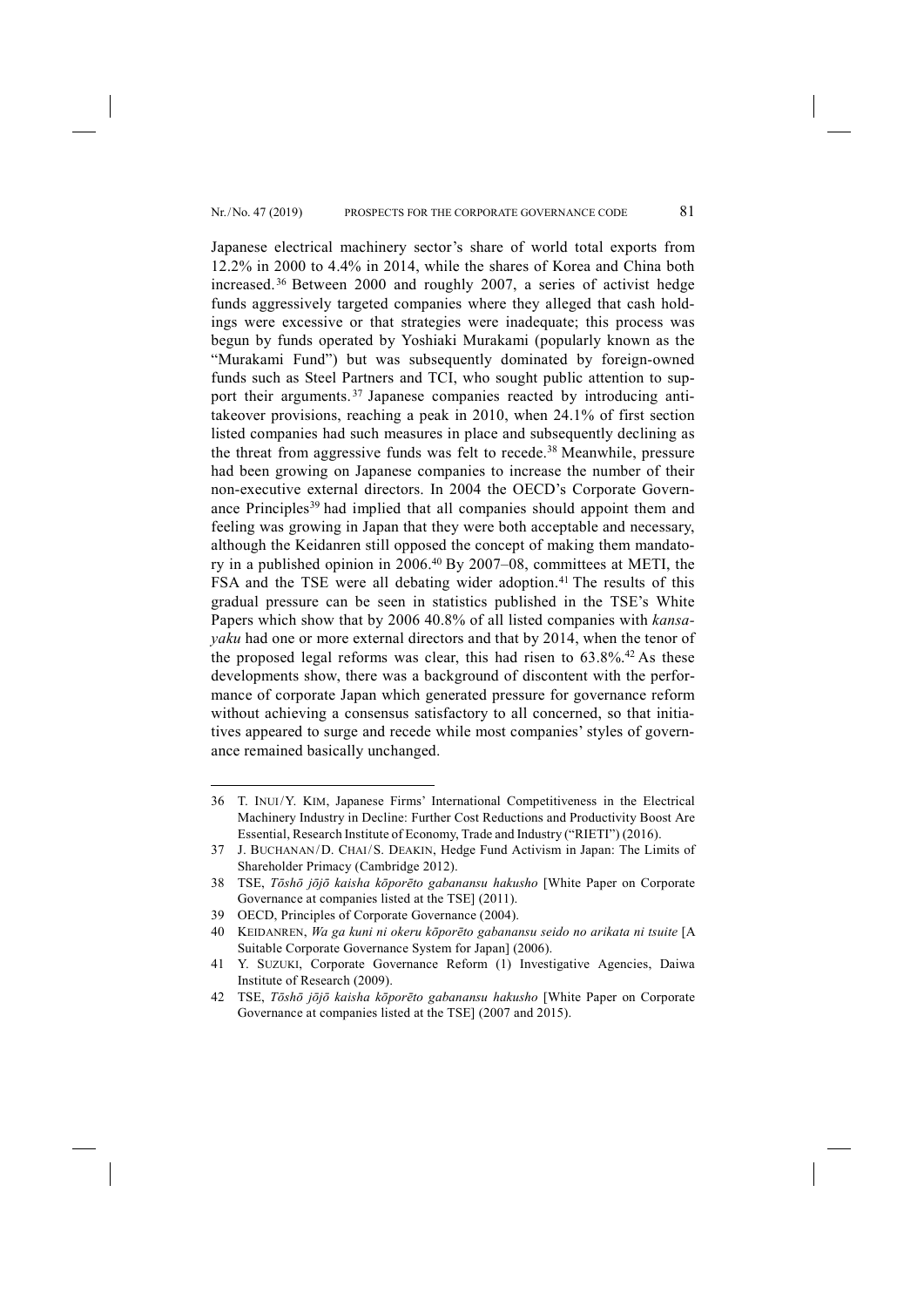Japanese electrical machinery sector's share of world total exports from 12.2% in 2000 to 4.4% in 2014, while the shares of Korea and China both increased. <sup>36</sup> Between 2000 and roughly 2007, a series of activist hedge funds aggressively targeted companies where they alleged that cash holdings were excessive or that strategies were inadequate; this process was begun by funds operated by Yoshiaki Murakami (popularly known as the "Murakami Fund") but was subsequently dominated by foreign-owned funds such as Steel Partners and TCI, who sought public attention to support their arguments.<sup>37</sup> Japanese companies reacted by introducing antitakeover provisions, reaching a peak in 2010, when 24.1% of first section listed companies had such measures in place and subsequently declining as the threat from aggressive funds was felt to recede.38 Meanwhile, pressure had been growing on Japanese companies to increase the number of their non-executive external directors. In 2004 the OECD's Corporate Governance Principles<sup>39</sup> had implied that all companies should appoint them and feeling was growing in Japan that they were both acceptable and necessary, although the Keidanren still opposed the concept of making them mandatory in a published opinion in 2006.40 By 2007–08, committees at METI, the FSA and the TSE were all debating wider adoption.<sup>41</sup> The results of this gradual pressure can be seen in statistics published in the TSE's White Papers which show that by 2006 40.8% of all listed companies with *kansayaku* had one or more external directors and that by 2014, when the tenor of the proposed legal reforms was clear, this had risen to  $63.8\%$ .<sup>42</sup> As these developments show, there was a background of discontent with the performance of corporate Japan which generated pressure for governance reform without achieving a consensus satisfactory to all concerned, so that initiatives appeared to surge and recede while most companies' styles of governance remained basically unchanged.

<sup>36</sup> T. INUI/Y. KIM, Japanese Firms' International Competitiveness in the Electrical Machinery Industry in Decline: Further Cost Reductions and Productivity Boost Are Essential, Research Institute of Economy, Trade and Industry ("RIETI") (2016).

<sup>37</sup> J. BUCHANAN/D. CHAI/S. DEAKIN, Hedge Fund Activism in Japan: The Limits of Shareholder Primacy (Cambridge 2012).

<sup>38</sup> TSE, *Tōshō jōjō kaisha kōporēto gabanansu hakusho* [White Paper on Corporate Governance at companies listed at the TSE] (2011).

<sup>39</sup> OECD, Principles of Corporate Governance (2004).

<sup>40</sup> KEIDANREN, *Wa ga kuni ni okeru kōporēto gabanansu seido no arikata ni tsuite* [A Suitable Corporate Governance System for Japan] (2006).

<sup>41</sup> Y. SUZUKI, Corporate Governance Reform (1) Investigative Agencies, Daiwa Institute of Research (2009).

<sup>42</sup> TSE, *Tōshō jōjō kaisha kōporēto gabanansu hakusho* [White Paper on Corporate Governance at companies listed at the TSE] (2007 and 2015).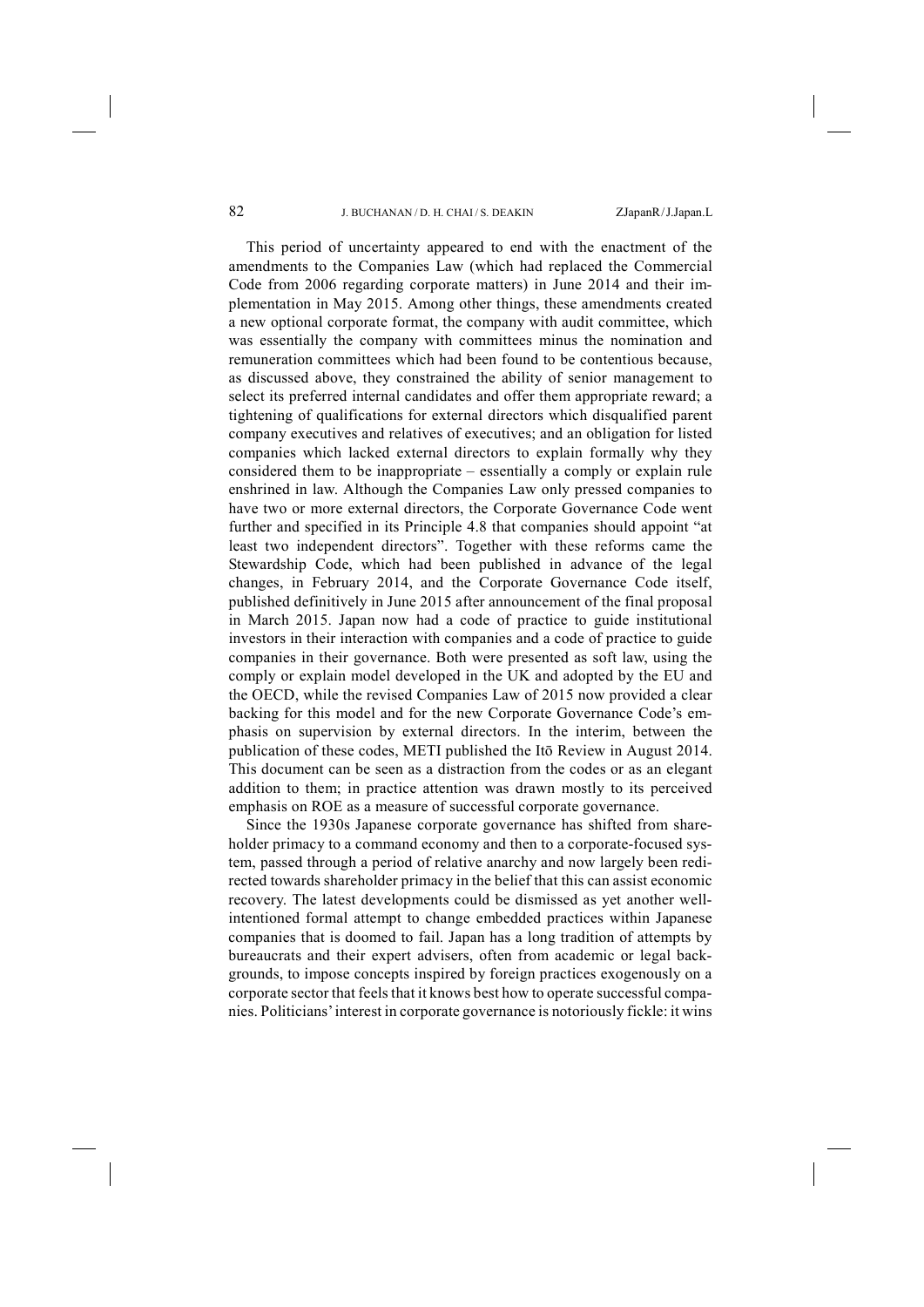This period of uncertainty appeared to end with the enactment of the amendments to the Companies Law (which had replaced the Commercial Code from 2006 regarding corporate matters) in June 2014 and their implementation in May 2015. Among other things, these amendments created a new optional corporate format, the company with audit committee, which was essentially the company with committees minus the nomination and remuneration committees which had been found to be contentious because, as discussed above, they constrained the ability of senior management to select its preferred internal candidates and offer them appropriate reward; a tightening of qualifications for external directors which disqualified parent company executives and relatives of executives; and an obligation for listed companies which lacked external directors to explain formally why they considered them to be inappropriate – essentially a comply or explain rule enshrined in law. Although the Companies Law only pressed companies to have two or more external directors, the Corporate Governance Code went further and specified in its Principle 4.8 that companies should appoint "at least two independent directors". Together with these reforms came the Stewardship Code, which had been published in advance of the legal changes, in February 2014, and the Corporate Governance Code itself, published definitively in June 2015 after announcement of the final proposal in March 2015. Japan now had a code of practice to guide institutional investors in their interaction with companies and a code of practice to guide companies in their governance. Both were presented as soft law, using the comply or explain model developed in the UK and adopted by the EU and the OECD, while the revised Companies Law of 2015 now provided a clear backing for this model and for the new Corporate Governance Code's emphasis on supervision by external directors. In the interim, between the publication of these codes, METI published the Itō Review in August 2014. This document can be seen as a distraction from the codes or as an elegant addition to them; in practice attention was drawn mostly to its perceived emphasis on ROE as a measure of successful corporate governance.

Since the 1930s Japanese corporate governance has shifted from shareholder primacy to a command economy and then to a corporate-focused system, passed through a period of relative anarchy and now largely been redirected towards shareholder primacy in the belief that this can assist economic recovery. The latest developments could be dismissed as yet another wellintentioned formal attempt to change embedded practices within Japanese companies that is doomed to fail. Japan has a long tradition of attempts by bureaucrats and their expert advisers, often from academic or legal backgrounds, to impose concepts inspired by foreign practices exogenously on a corporate sector that feels that it knows best how to operate successful companies. Politicians'interest in corporate governance is notoriously fickle: it wins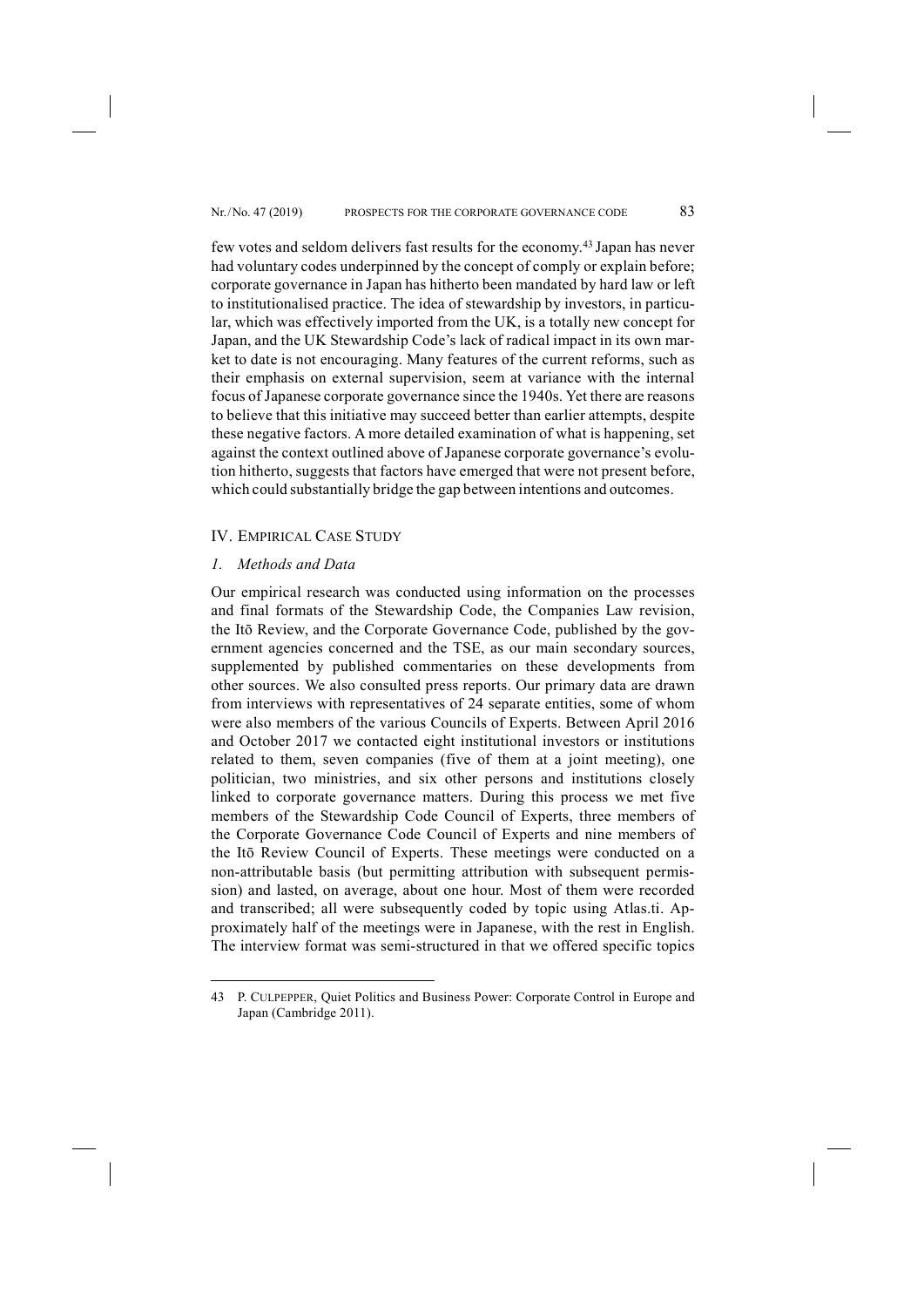few votes and seldom delivers fast results for the economy.43 Japan has never had voluntary codes underpinned by the concept of comply or explain before; corporate governance in Japan has hitherto been mandated by hard law or left to institutionalised practice. The idea of stewardship by investors, in particular, which was effectively imported from the UK, is a totally new concept for Japan, and the UK Stewardship Code's lack of radical impact in its own market to date is not encouraging. Many features of the current reforms, such as their emphasis on external supervision, seem at variance with the internal focus of Japanese corporate governance since the 1940s. Yet there are reasons to believe that this initiative may succeed better than earlier attempts, despite these negative factors. A more detailed examination of what is happening, set against the context outlined above of Japanese corporate governance's evolution hitherto, suggests that factors have emerged that were not present before, which could substantially bridge the gap between intentions and outcomes.

## IV. EMPIRICAL CASE STUDY

## *1. Methods and Data*

-

Our empirical research was conducted using information on the processes and final formats of the Stewardship Code, the Companies Law revision, the Itō Review, and the Corporate Governance Code, published by the government agencies concerned and the TSE, as our main secondary sources, supplemented by published commentaries on these developments from other sources. We also consulted press reports. Our primary data are drawn from interviews with representatives of 24 separate entities, some of whom were also members of the various Councils of Experts. Between April 2016 and October 2017 we contacted eight institutional investors or institutions related to them, seven companies (five of them at a joint meeting), one politician, two ministries, and six other persons and institutions closely linked to corporate governance matters. During this process we met five members of the Stewardship Code Council of Experts, three members of the Corporate Governance Code Council of Experts and nine members of the Itō Review Council of Experts. These meetings were conducted on a non-attributable basis (but permitting attribution with subsequent permission) and lasted, on average, about one hour. Most of them were recorded and transcribed; all were subsequently coded by topic using Atlas.ti. Approximately half of the meetings were in Japanese, with the rest in English. The interview format was semi-structured in that we offered specific topics

<sup>43</sup> P. CULPEPPER, Quiet Politics and Business Power: Corporate Control in Europe and Japan (Cambridge 2011).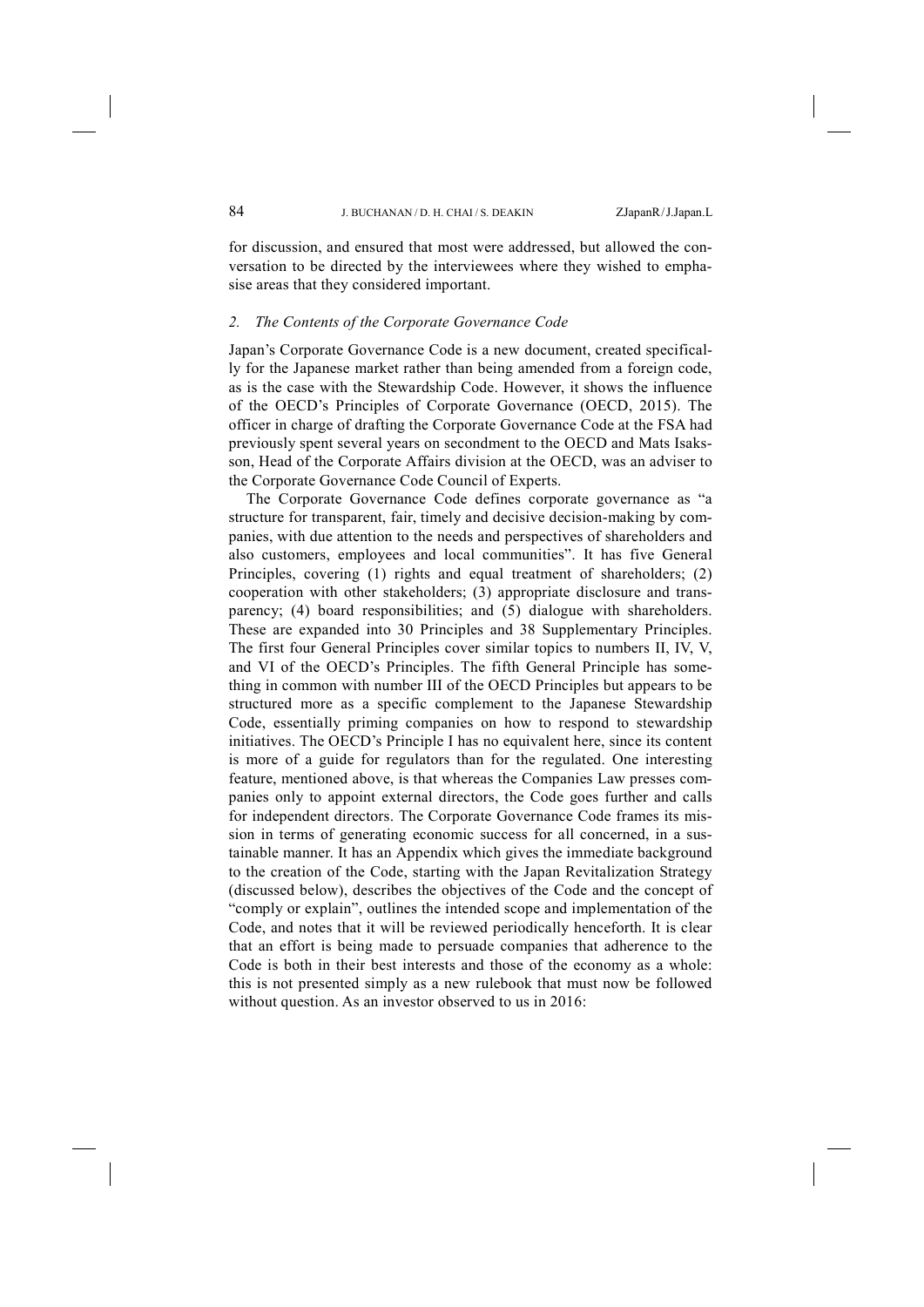for discussion, and ensured that most were addressed, but allowed the conversation to be directed by the interviewees where they wished to emphasise areas that they considered important.

## *2. The Contents of the Corporate Governance Code*

Japan's Corporate Governance Code is a new document, created specifically for the Japanese market rather than being amended from a foreign code, as is the case with the Stewardship Code. However, it shows the influence of the OECD's Principles of Corporate Governance (OECD, 2015). The officer in charge of drafting the Corporate Governance Code at the FSA had previously spent several years on secondment to the OECD and Mats Isaksson, Head of the Corporate Affairs division at the OECD, was an adviser to the Corporate Governance Code Council of Experts.

The Corporate Governance Code defines corporate governance as "a structure for transparent, fair, timely and decisive decision-making by companies, with due attention to the needs and perspectives of shareholders and also customers, employees and local communities". It has five General Principles, covering (1) rights and equal treatment of shareholders; (2) cooperation with other stakeholders; (3) appropriate disclosure and transparency; (4) board responsibilities; and (5) dialogue with shareholders. These are expanded into 30 Principles and 38 Supplementary Principles. The first four General Principles cover similar topics to numbers II, IV, V, and VI of the OECD's Principles. The fifth General Principle has something in common with number III of the OECD Principles but appears to be structured more as a specific complement to the Japanese Stewardship Code, essentially priming companies on how to respond to stewardship initiatives. The OECD's Principle I has no equivalent here, since its content is more of a guide for regulators than for the regulated. One interesting feature, mentioned above, is that whereas the Companies Law presses companies only to appoint external directors, the Code goes further and calls for independent directors. The Corporate Governance Code frames its mission in terms of generating economic success for all concerned, in a sustainable manner. It has an Appendix which gives the immediate background to the creation of the Code, starting with the Japan Revitalization Strategy (discussed below), describes the objectives of the Code and the concept of "comply or explain", outlines the intended scope and implementation of the Code, and notes that it will be reviewed periodically henceforth. It is clear that an effort is being made to persuade companies that adherence to the Code is both in their best interests and those of the economy as a whole: this is not presented simply as a new rulebook that must now be followed without question. As an investor observed to us in 2016: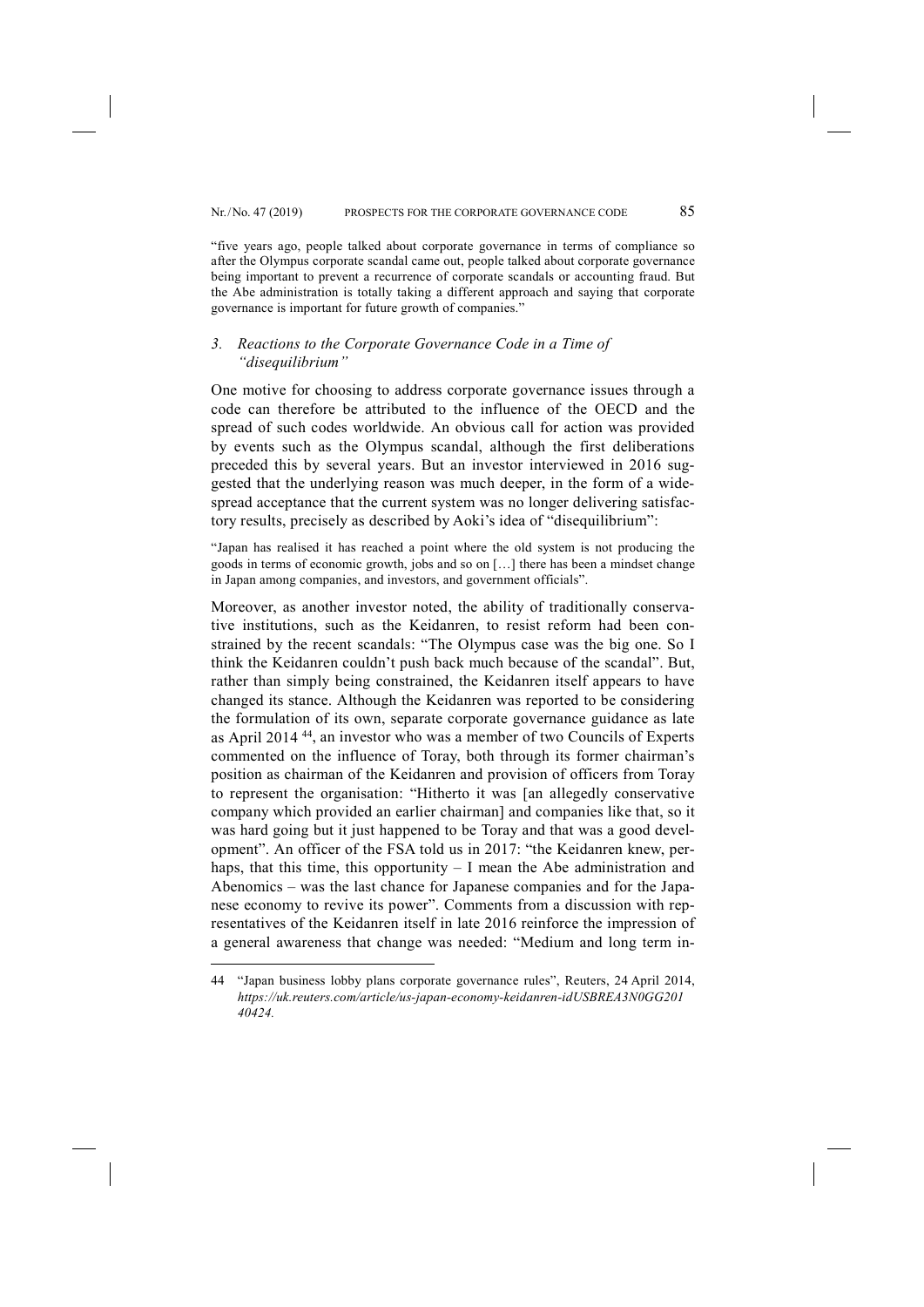"five years ago, people talked about corporate governance in terms of compliance so after the Olympus corporate scandal came out, people talked about corporate governance being important to prevent a recurrence of corporate scandals or accounting fraud. But

## *3. Reactions to the Corporate Governance Code in a Time of "disequilibrium"*

governance is important for future growth of companies."

One motive for choosing to address corporate governance issues through a code can therefore be attributed to the influence of the OECD and the spread of such codes worldwide. An obvious call for action was provided by events such as the Olympus scandal, although the first deliberations preceded this by several years. But an investor interviewed in 2016 suggested that the underlying reason was much deeper, in the form of a widespread acceptance that the current system was no longer delivering satisfactory results, precisely as described by Aoki's idea of "disequilibrium":

the Abe administration is totally taking a different approach and saying that corporate

"Japan has realised it has reached a point where the old system is not producing the goods in terms of economic growth, jobs and so on […] there has been a mindset change in Japan among companies, and investors, and government officials".

Moreover, as another investor noted, the ability of traditionally conservative institutions, such as the Keidanren, to resist reform had been constrained by the recent scandals: "The Olympus case was the big one. So I think the Keidanren couldn't push back much because of the scandal". But, rather than simply being constrained, the Keidanren itself appears to have changed its stance. Although the Keidanren was reported to be considering the formulation of its own, separate corporate governance guidance as late as April 2014 44, an investor who was a member of two Councils of Experts commented on the influence of Toray, both through its former chairman's position as chairman of the Keidanren and provision of officers from Toray to represent the organisation: "Hitherto it was [an allegedly conservative company which provided an earlier chairman] and companies like that, so it was hard going but it just happened to be Toray and that was a good development". An officer of the FSA told us in 2017: "the Keidanren knew, perhaps, that this time, this opportunity – I mean the Abe administration and Abenomics – was the last chance for Japanese companies and for the Japanese economy to revive its power". Comments from a discussion with representatives of the Keidanren itself in late 2016 reinforce the impression of a general awareness that change was needed: "Medium and long term in-

<sup>44</sup> "Japan business lobby plans corporate governance rules", Reuters, 24 April 2014, *https://uk.reuters.com/article/us-japan-economy-keidanren-idUSBREA3N0GG201 40424.*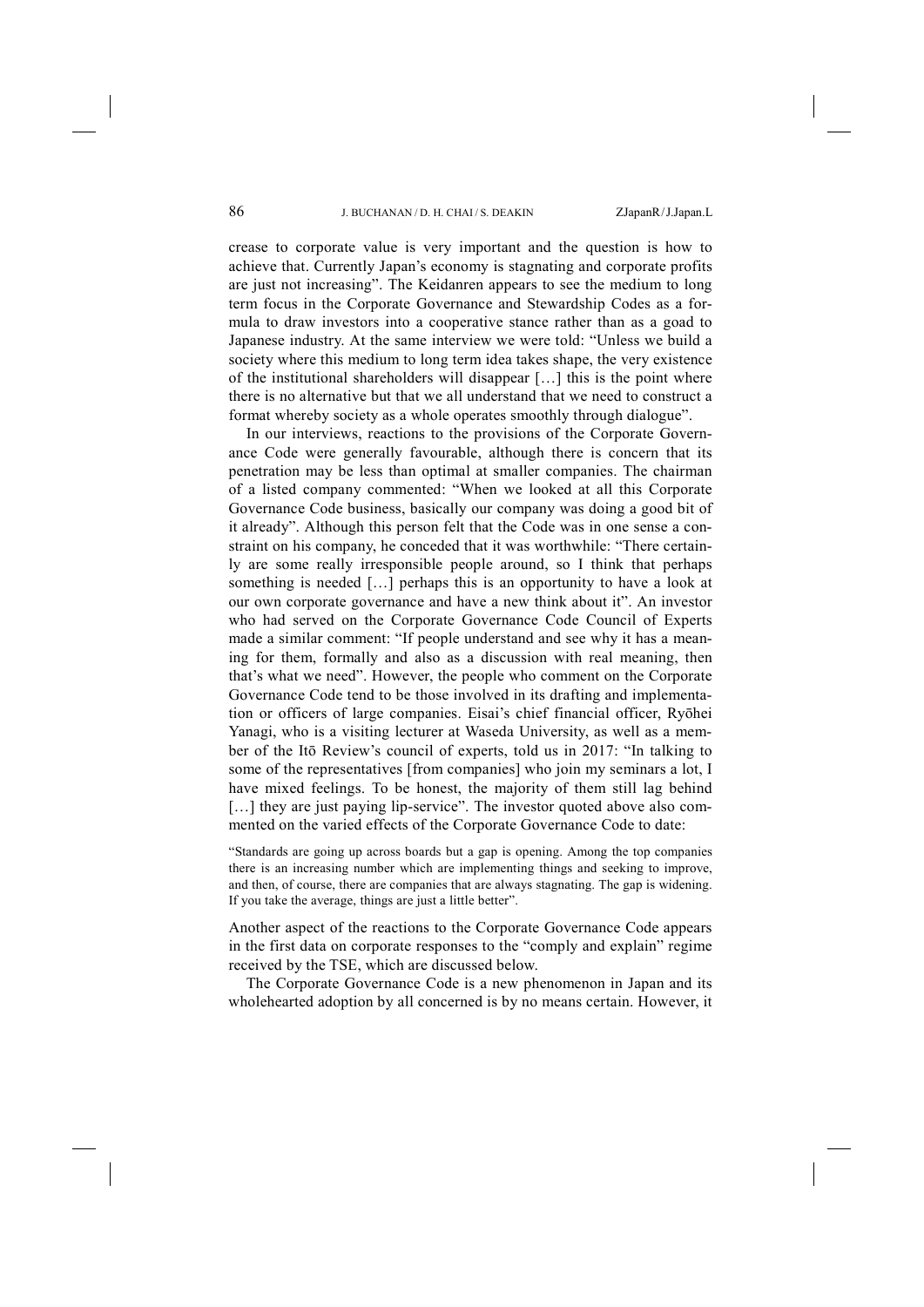crease to corporate value is very important and the question is how to achieve that. Currently Japan's economy is stagnating and corporate profits are just not increasing". The Keidanren appears to see the medium to long term focus in the Corporate Governance and Stewardship Codes as a formula to draw investors into a cooperative stance rather than as a goad to Japanese industry. At the same interview we were told: "Unless we build a society where this medium to long term idea takes shape, the very existence of the institutional shareholders will disappear […] this is the point where there is no alternative but that we all understand that we need to construct a format whereby society as a whole operates smoothly through dialogue".

In our interviews, reactions to the provisions of the Corporate Governance Code were generally favourable, although there is concern that its penetration may be less than optimal at smaller companies. The chairman of a listed company commented: "When we looked at all this Corporate Governance Code business, basically our company was doing a good bit of it already". Although this person felt that the Code was in one sense a constraint on his company, he conceded that it was worthwhile: "There certainly are some really irresponsible people around, so I think that perhaps something is needed […] perhaps this is an opportunity to have a look at our own corporate governance and have a new think about it". An investor who had served on the Corporate Governance Code Council of Experts made a similar comment: "If people understand and see why it has a meaning for them, formally and also as a discussion with real meaning, then that's what we need". However, the people who comment on the Corporate Governance Code tend to be those involved in its drafting and implementation or officers of large companies. Eisai's chief financial officer, Ryōhei Yanagi, who is a visiting lecturer at Waseda University, as well as a member of the Itō Review's council of experts, told us in 2017: "In talking to some of the representatives [from companies] who join my seminars a lot, I have mixed feelings. To be honest, the majority of them still lag behind [...] they are just paying lip-service". The investor quoted above also commented on the varied effects of the Corporate Governance Code to date:

"Standards are going up across boards but a gap is opening. Among the top companies there is an increasing number which are implementing things and seeking to improve, and then, of course, there are companies that are always stagnating. The gap is widening. If you take the average, things are just a little better".

Another aspect of the reactions to the Corporate Governance Code appears in the first data on corporate responses to the "comply and explain" regime received by the TSE, which are discussed below.

The Corporate Governance Code is a new phenomenon in Japan and its wholehearted adoption by all concerned is by no means certain. However, it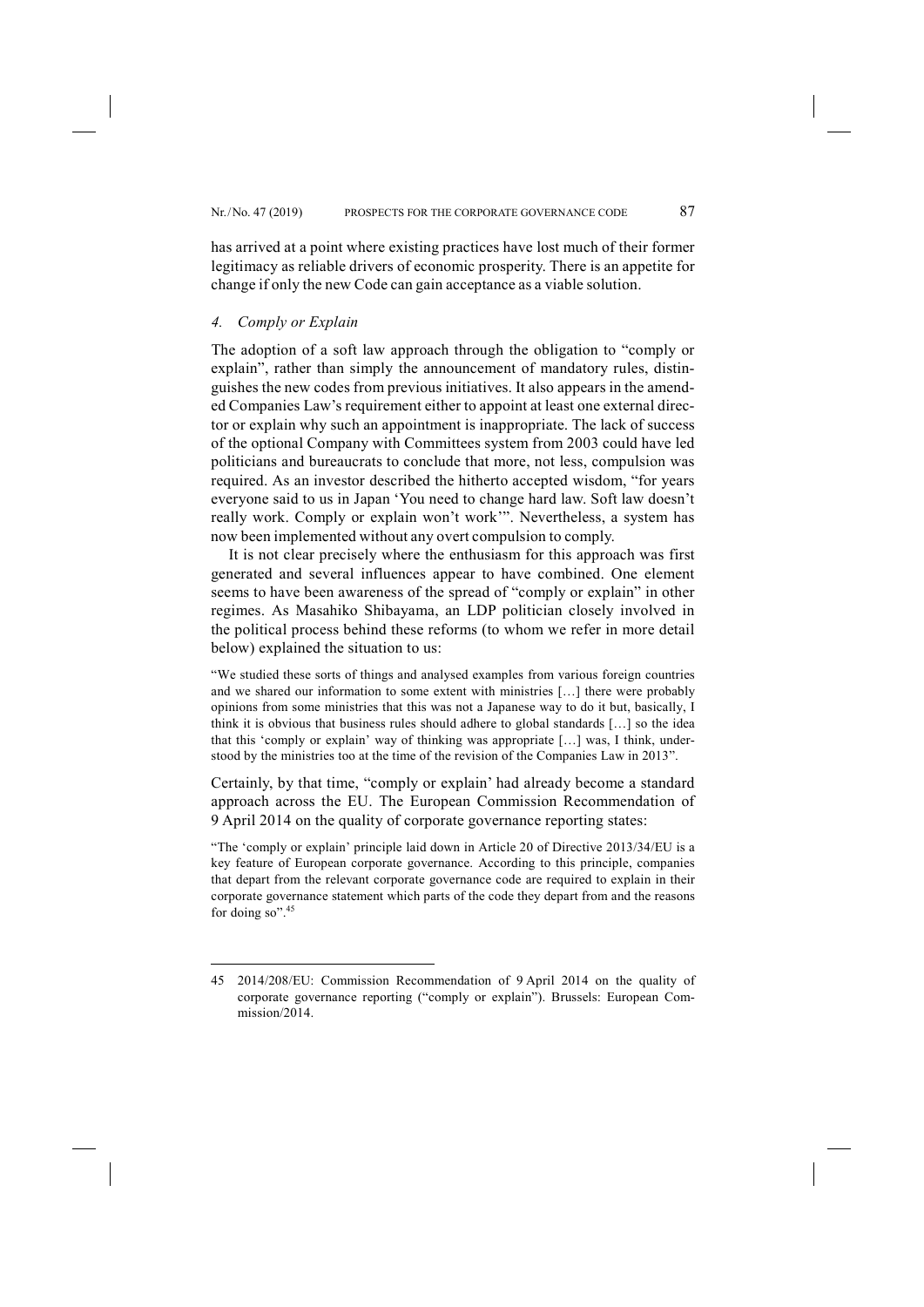has arrived at a point where existing practices have lost much of their former legitimacy as reliable drivers of economic prosperity. There is an appetite for change if only the new Code can gain acceptance as a viable solution.

## *4. Comply or Explain*

-

The adoption of a soft law approach through the obligation to "comply or explain", rather than simply the announcement of mandatory rules, distinguishes the new codes from previous initiatives. It also appears in the amended Companies Law's requirement either to appoint at least one external director or explain why such an appointment is inappropriate. The lack of success of the optional Company with Committees system from 2003 could have led politicians and bureaucrats to conclude that more, not less, compulsion was required. As an investor described the hitherto accepted wisdom, "for years everyone said to us in Japan 'You need to change hard law. Soft law doesn't really work. Comply or explain won't work'". Nevertheless, a system has now been implemented without any overt compulsion to comply.

It is not clear precisely where the enthusiasm for this approach was first generated and several influences appear to have combined. One element seems to have been awareness of the spread of "comply or explain" in other regimes. As Masahiko Shibayama, an LDP politician closely involved in the political process behind these reforms (to whom we refer in more detail below) explained the situation to us:

"We studied these sorts of things and analysed examples from various foreign countries and we shared our information to some extent with ministries […] there were probably opinions from some ministries that this was not a Japanese way to do it but, basically, I think it is obvious that business rules should adhere to global standards […] so the idea that this 'comply or explain' way of thinking was appropriate […] was, I think, understood by the ministries too at the time of the revision of the Companies Law in 2013".

Certainly, by that time, "comply or explain' had already become a standard approach across the EU. The European Commission Recommendation of 9 April 2014 on the quality of corporate governance reporting states:

"The 'comply or explain' principle laid down in Article 20 of Directive 2013/34/EU is a key feature of European corporate governance. According to this principle, companies that depart from the relevant corporate governance code are required to explain in their corporate governance statement which parts of the code they depart from and the reasons for doing so".<sup>45</sup>

<sup>45</sup> 2014/208/EU: Commission Recommendation of 9 April 2014 on the quality of corporate governance reporting ("comply or explain"). Brussels: European Commission/2014.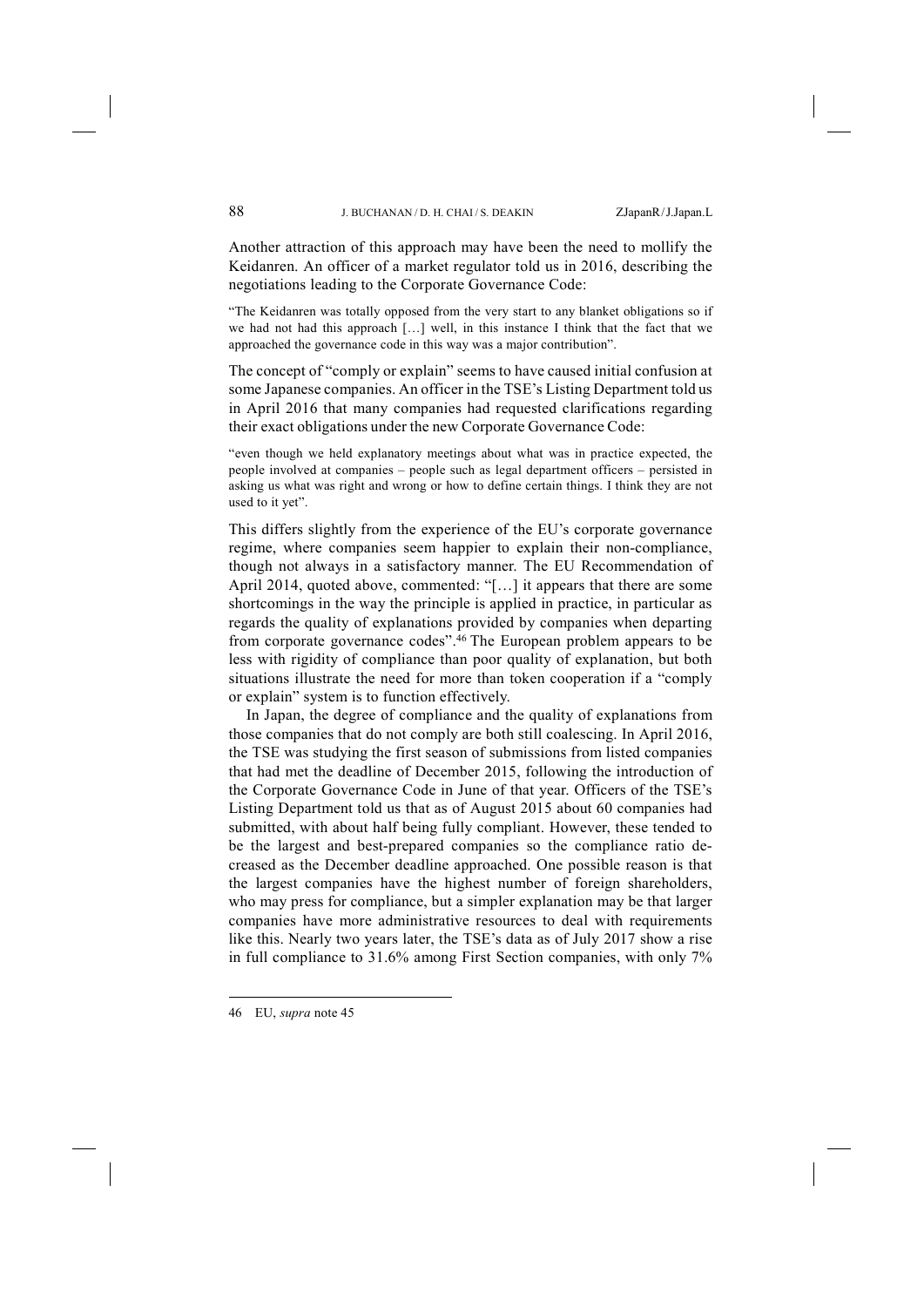Another attraction of this approach may have been the need to mollify the Keidanren. An officer of a market regulator told us in 2016, describing the negotiations leading to the Corporate Governance Code:

"The Keidanren was totally opposed from the very start to any blanket obligations so if we had not had this approach […] well, in this instance I think that the fact that we approached the governance code in this way was a major contribution".

The concept of "comply or explain" seems to have caused initial confusion at some Japanese companies. An officer in the TSE's Listing Department told us in April 2016 that many companies had requested clarifications regarding their exact obligations under the new Corporate Governance Code:

"even though we held explanatory meetings about what was in practice expected, the people involved at companies – people such as legal department officers – persisted in asking us what was right and wrong or how to define certain things. I think they are not used to it yet".

This differs slightly from the experience of the EU's corporate governance regime, where companies seem happier to explain their non-compliance, though not always in a satisfactory manner. The EU Recommendation of April 2014, quoted above, commented: "[…] it appears that there are some shortcomings in the way the principle is applied in practice, in particular as regards the quality of explanations provided by companies when departing from corporate governance codes".46 The European problem appears to be less with rigidity of compliance than poor quality of explanation, but both situations illustrate the need for more than token cooperation if a "comply or explain" system is to function effectively.

In Japan, the degree of compliance and the quality of explanations from those companies that do not comply are both still coalescing. In April 2016, the TSE was studying the first season of submissions from listed companies that had met the deadline of December 2015, following the introduction of the Corporate Governance Code in June of that year. Officers of the TSE's Listing Department told us that as of August 2015 about 60 companies had submitted, with about half being fully compliant. However, these tended to be the largest and best-prepared companies so the compliance ratio decreased as the December deadline approached. One possible reason is that the largest companies have the highest number of foreign shareholders, who may press for compliance, but a simpler explanation may be that larger companies have more administrative resources to deal with requirements like this. Nearly two years later, the TSE's data as of July 2017 show a rise in full compliance to 31.6% among First Section companies, with only 7%

<sup>46</sup> EU, *supra* note 45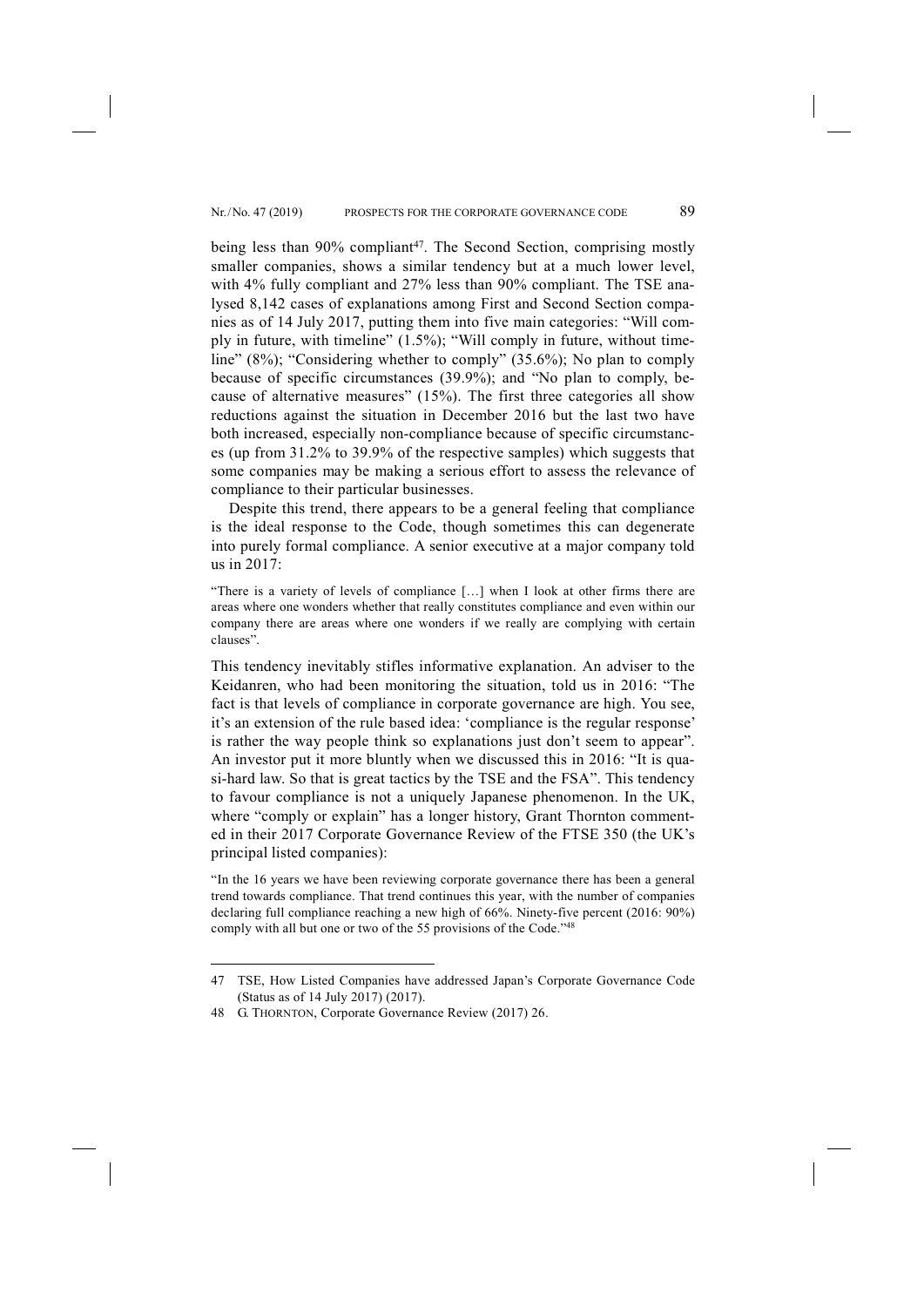being less than 90% compliant<sup>47</sup>. The Second Section, comprising mostly smaller companies, shows a similar tendency but at a much lower level, with 4% fully compliant and 27% less than 90% compliant. The TSE analysed 8,142 cases of explanations among First and Second Section companies as of 14 July 2017, putting them into five main categories: "Will comply in future, with timeline" (1.5%); "Will comply in future, without timeline" (8%); "Considering whether to comply" (35.6%); No plan to comply because of specific circumstances (39.9%); and "No plan to comply, because of alternative measures" (15%). The first three categories all show reductions against the situation in December 2016 but the last two have both increased, especially non-compliance because of specific circumstances (up from 31.2% to 39.9% of the respective samples) which suggests that some companies may be making a serious effort to assess the relevance of compliance to their particular businesses.

Despite this trend, there appears to be a general feeling that compliance is the ideal response to the Code, though sometimes this can degenerate into purely formal compliance. A senior executive at a major company told us in 2017:

"There is a variety of levels of compliance […] when I look at other firms there are areas where one wonders whether that really constitutes compliance and even within our company there are areas where one wonders if we really are complying with certain clauses".

This tendency inevitably stifles informative explanation. An adviser to the Keidanren, who had been monitoring the situation, told us in 2016: "The fact is that levels of compliance in corporate governance are high. You see, it's an extension of the rule based idea: 'compliance is the regular response' is rather the way people think so explanations just don't seem to appear". An investor put it more bluntly when we discussed this in 2016: "It is quasi-hard law. So that is great tactics by the TSE and the FSA". This tendency to favour compliance is not a uniquely Japanese phenomenon. In the UK, where "comply or explain" has a longer history, Grant Thornton commented in their 2017 Corporate Governance Review of the FTSE 350 (the UK's principal listed companies):

"In the 16 years we have been reviewing corporate governance there has been a general trend towards compliance. That trend continues this year, with the number of companies declaring full compliance reaching a new high of 66%. Ninety-five percent (2016: 90%) comply with all but one or two of the 55 provisions of the Code."<sup>48</sup>

<sup>47</sup> TSE, How Listed Companies have addressed Japan's Corporate Governance Code (Status as of 14 July 2017) (2017).

<sup>48</sup> G. THORNTON, Corporate Governance Review (2017) 26.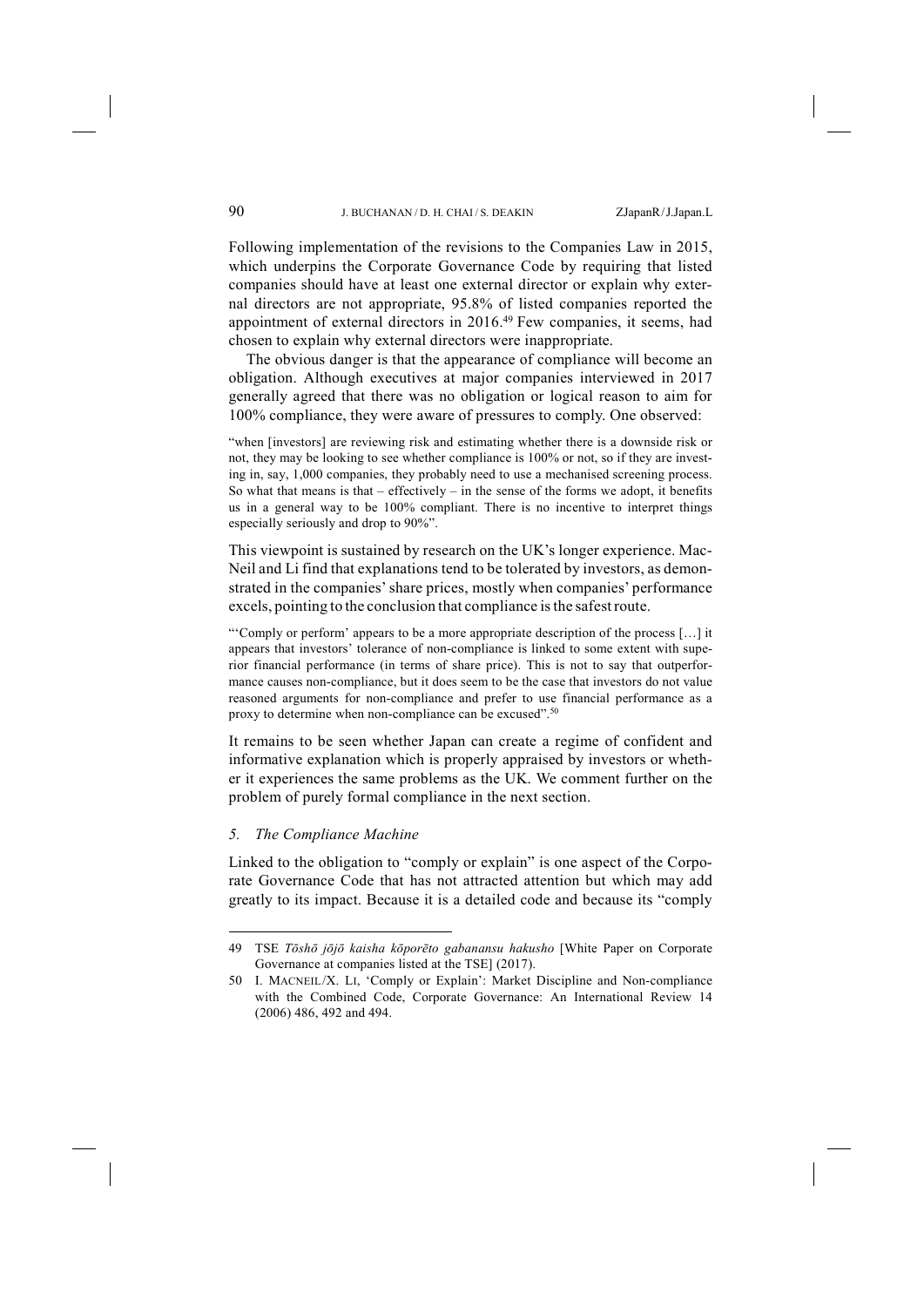Following implementation of the revisions to the Companies Law in 2015, which underpins the Corporate Governance Code by requiring that listed companies should have at least one external director or explain why external directors are not appropriate, 95.8% of listed companies reported the appointment of external directors in 2016.49 Few companies, it seems, had chosen to explain why external directors were inappropriate.

The obvious danger is that the appearance of compliance will become an obligation. Although executives at major companies interviewed in 2017 generally agreed that there was no obligation or logical reason to aim for 100% compliance, they were aware of pressures to comply. One observed:

"when [investors] are reviewing risk and estimating whether there is a downside risk or not, they may be looking to see whether compliance is 100% or not, so if they are investing in, say, 1,000 companies, they probably need to use a mechanised screening process. So what that means is that – effectively – in the sense of the forms we adopt, it benefits us in a general way to be 100% compliant. There is no incentive to interpret things especially seriously and drop to 90%".

This viewpoint is sustained by research on the UK's longer experience. Mac-Neil and Li find that explanations tend to be tolerated by investors, as demonstrated in the companies' share prices, mostly when companies' performance excels, pointing to the conclusion that compliance is the safest route.

"'Comply or perform' appears to be a more appropriate description of the process […] it appears that investors' tolerance of non-compliance is linked to some extent with superior financial performance (in terms of share price). This is not to say that outperformance causes non-compliance, but it does seem to be the case that investors do not value reasoned arguments for non-compliance and prefer to use financial performance as a proxy to determine when non-compliance can be excused".<sup>50</sup>

It remains to be seen whether Japan can create a regime of confident and informative explanation which is properly appraised by investors or whether it experiences the same problems as the UK. We comment further on the problem of purely formal compliance in the next section.

## *5. The Compliance Machine*

-

Linked to the obligation to "comply or explain" is one aspect of the Corporate Governance Code that has not attracted attention but which may add greatly to its impact. Because it is a detailed code and because its "comply

<sup>49</sup> TSE *Tōshō jōjō kaisha kōporēto gabanansu hakusho* [White Paper on Corporate Governance at companies listed at the TSE] (2017).

<sup>50</sup> I. MACNEIL/X. LI, 'Comply or Explain': Market Discipline and Non-compliance with the Combined Code, Corporate Governance: An International Review 14 (2006) 486, 492 and 494.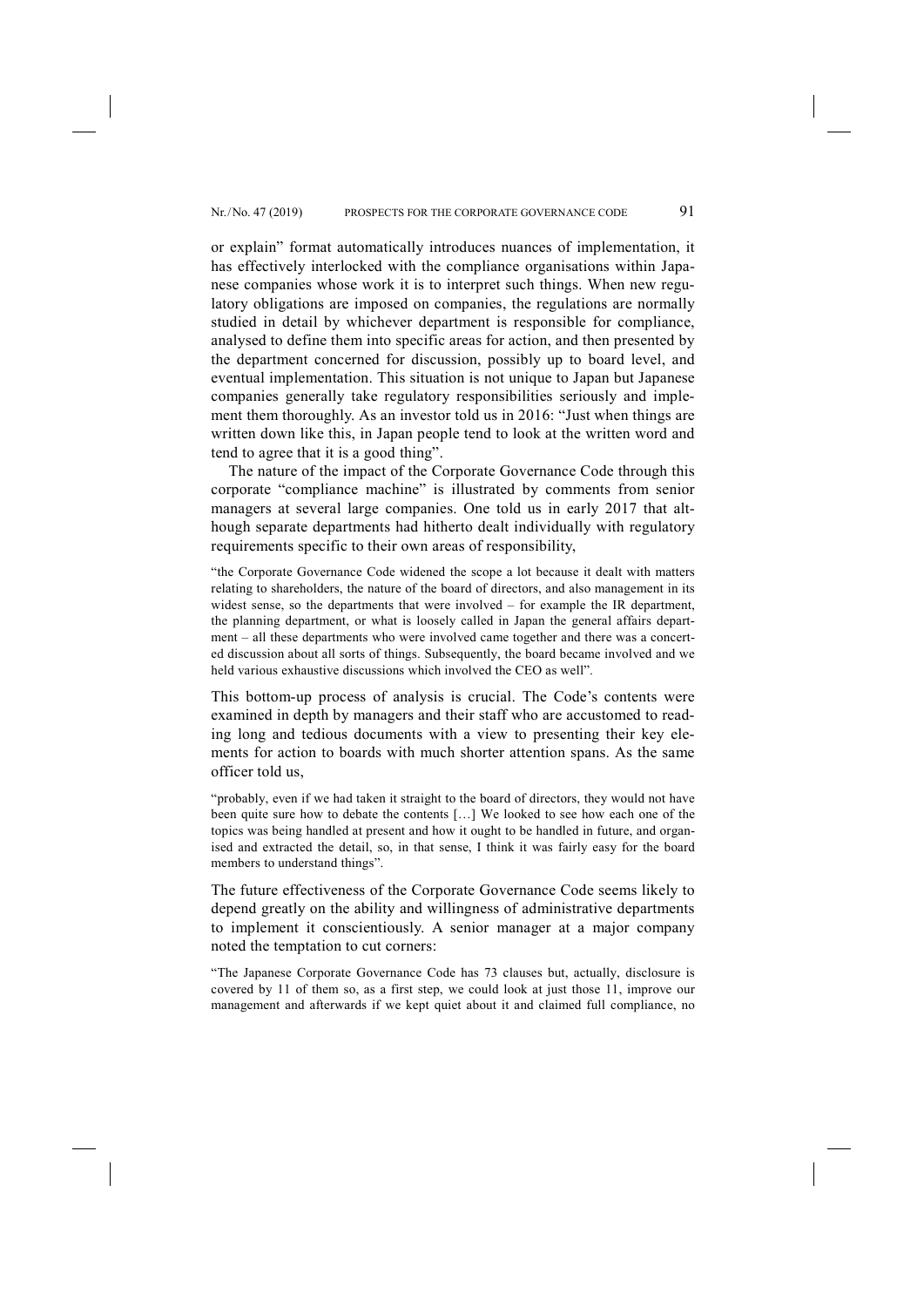or explain" format automatically introduces nuances of implementation, it has effectively interlocked with the compliance organisations within Japanese companies whose work it is to interpret such things. When new regulatory obligations are imposed on companies, the regulations are normally studied in detail by whichever department is responsible for compliance, analysed to define them into specific areas for action, and then presented by the department concerned for discussion, possibly up to board level, and eventual implementation. This situation is not unique to Japan but Japanese companies generally take regulatory responsibilities seriously and implement them thoroughly. As an investor told us in 2016: "Just when things are written down like this, in Japan people tend to look at the written word and tend to agree that it is a good thing".

The nature of the impact of the Corporate Governance Code through this corporate "compliance machine" is illustrated by comments from senior managers at several large companies. One told us in early 2017 that although separate departments had hitherto dealt individually with regulatory requirements specific to their own areas of responsibility,

"the Corporate Governance Code widened the scope a lot because it dealt with matters relating to shareholders, the nature of the board of directors, and also management in its widest sense, so the departments that were involved – for example the IR department, the planning department, or what is loosely called in Japan the general affairs department – all these departments who were involved came together and there was a concerted discussion about all sorts of things. Subsequently, the board became involved and we held various exhaustive discussions which involved the CEO as well".

This bottom-up process of analysis is crucial. The Code's contents were examined in depth by managers and their staff who are accustomed to reading long and tedious documents with a view to presenting their key elements for action to boards with much shorter attention spans. As the same officer told us,

"probably, even if we had taken it straight to the board of directors, they would not have been quite sure how to debate the contents […] We looked to see how each one of the topics was being handled at present and how it ought to be handled in future, and organised and extracted the detail, so, in that sense, I think it was fairly easy for the board members to understand things".

The future effectiveness of the Corporate Governance Code seems likely to depend greatly on the ability and willingness of administrative departments to implement it conscientiously. A senior manager at a major company noted the temptation to cut corners:

"The Japanese Corporate Governance Code has 73 clauses but, actually, disclosure is covered by 11 of them so, as a first step, we could look at just those 11, improve our management and afterwards if we kept quiet about it and claimed full compliance, no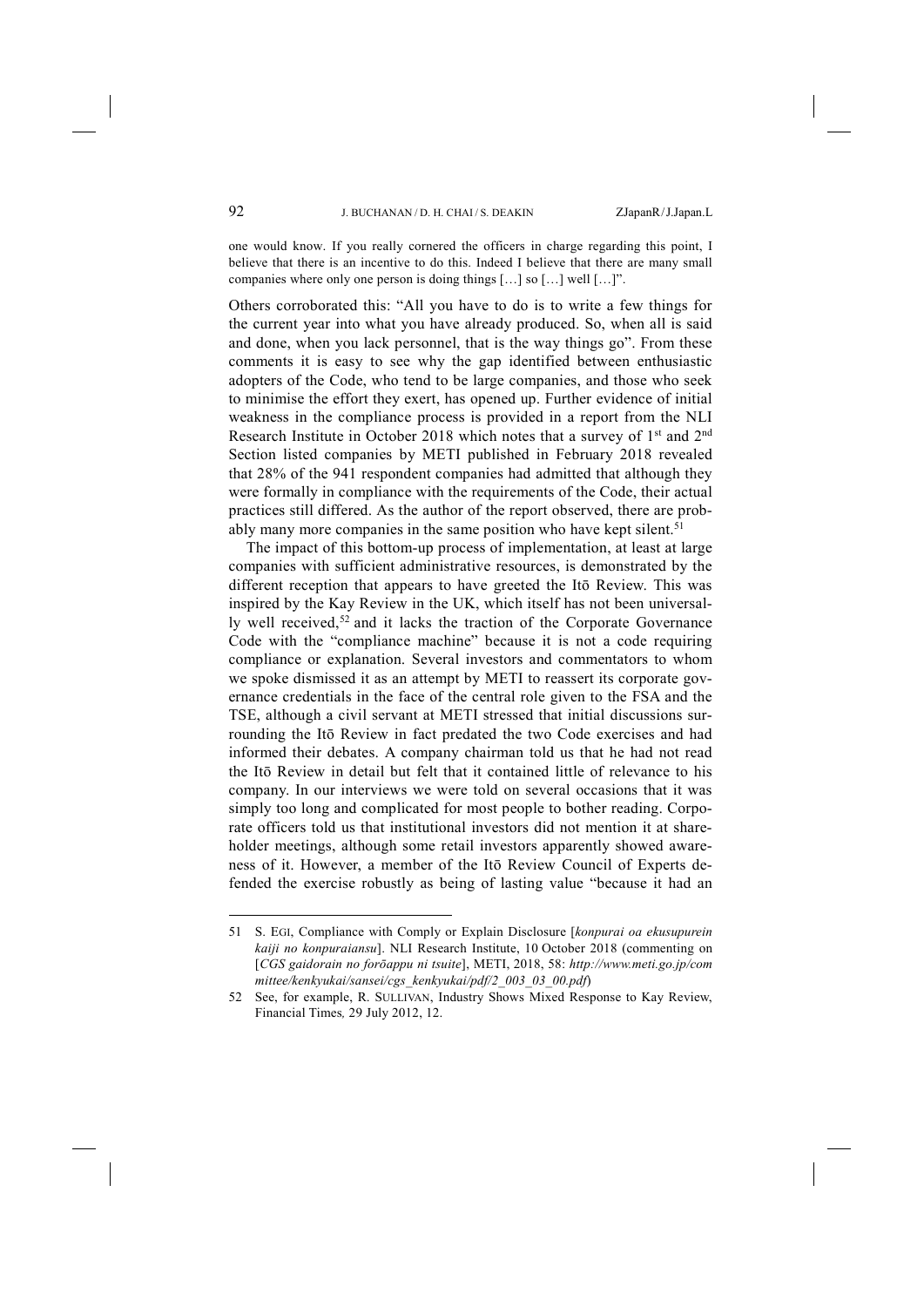one would know. If you really cornered the officers in charge regarding this point, I believe that there is an incentive to do this. Indeed I believe that there are many small companies where only one person is doing things […] so […] well […]".

Others corroborated this: "All you have to do is to write a few things for the current year into what you have already produced. So, when all is said and done, when you lack personnel, that is the way things go". From these comments it is easy to see why the gap identified between enthusiastic adopters of the Code, who tend to be large companies, and those who seek to minimise the effort they exert, has opened up. Further evidence of initial weakness in the compliance process is provided in a report from the NLI Research Institute in October 2018 which notes that a survey of 1st and 2nd Section listed companies by METI published in February 2018 revealed that 28% of the 941 respondent companies had admitted that although they were formally in compliance with the requirements of the Code, their actual practices still differed. As the author of the report observed, there are probably many more companies in the same position who have kept silent.<sup>51</sup>

The impact of this bottom-up process of implementation, at least at large companies with sufficient administrative resources, is demonstrated by the different reception that appears to have greeted the Itō Review. This was inspired by the Kay Review in the UK, which itself has not been universally well received,<sup>52</sup> and it lacks the traction of the Corporate Governance Code with the "compliance machine" because it is not a code requiring compliance or explanation. Several investors and commentators to whom we spoke dismissed it as an attempt by METI to reassert its corporate governance credentials in the face of the central role given to the FSA and the TSE, although a civil servant at METI stressed that initial discussions surrounding the Itō Review in fact predated the two Code exercises and had informed their debates. A company chairman told us that he had not read the Itō Review in detail but felt that it contained little of relevance to his company. In our interviews we were told on several occasions that it was simply too long and complicated for most people to bother reading. Corporate officers told us that institutional investors did not mention it at shareholder meetings, although some retail investors apparently showed awareness of it. However, a member of the Itō Review Council of Experts defended the exercise robustly as being of lasting value "because it had an

<sup>51</sup> S. EGI, Compliance with Comply or Explain Disclosure [*konpurai oa ekusupurein kaiji no konpuraiansu*]. NLI Research Institute, 10 October 2018 (commenting on [*CGS gaidorain no forōappu ni tsuite*], METI, 2018, 58: *http://www.meti.go.jp/com mittee/kenkyukai/sansei/cgs\_kenkyukai/pdf/2\_003\_03\_00.pdf*)

<sup>52</sup> See, for example, R. SULLIVAN, Industry Shows Mixed Response to Kay Review, Financial Times*,* 29 July 2012, 12.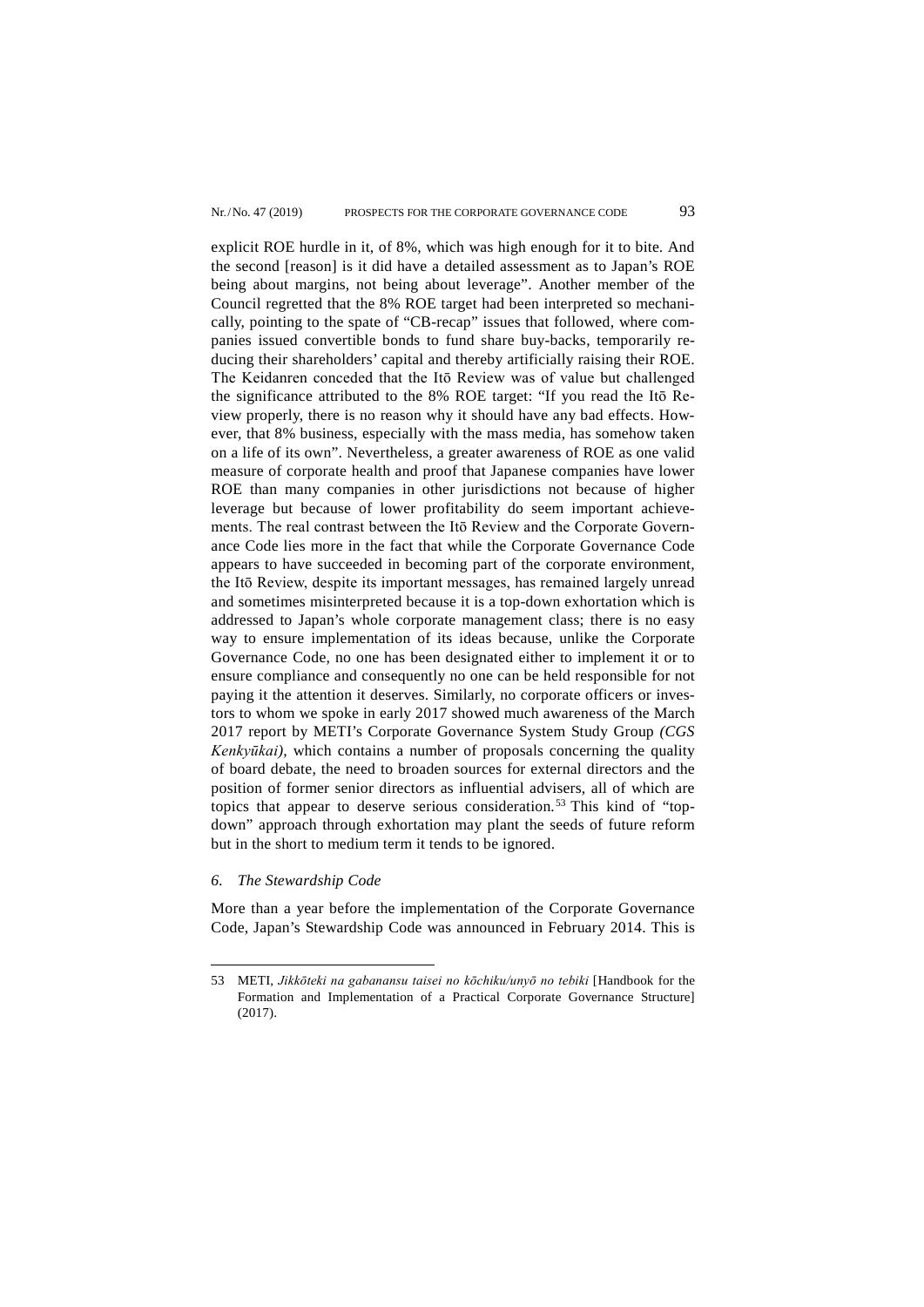explicit ROE hurdle in it, of 8%, which was high enough for it to bite. And the second [reason] is it did have a detailed assessment as to Japan's ROE being about margins, not being about leverage". Another member of the Council regretted that the 8% ROE target had been interpreted so mechanically, pointing to the spate of "CB-recap" issues that followed, where companies issued convertible bonds to fund share buy-backs, temporarily reducing their shareholders' capital and thereby artificially raising their ROE. The Keidanren conceded that the Itō Review was of value but challenged the significance attributed to the 8% ROE target: "If you read the Itō Review properly, there is no reason why it should have any bad effects. However, that 8% business, especially with the mass media, has somehow taken on a life of its own". Nevertheless, a greater awareness of ROE as one valid measure of corporate health and proof that Japanese companies have lower ROE than many companies in other jurisdictions not because of higher leverage but because of lower profitability do seem important achievements. The real contrast between the Itō Review and the Corporate Governance Code lies more in the fact that while the Corporate Governance Code appears to have succeeded in becoming part of the corporate environment, the Itō Review, despite its important messages, has remained largely unread and sometimes misinterpreted because it is a top-down exhortation which is addressed to Japan's whole corporate management class; there is no easy way to ensure implementation of its ideas because, unlike the Corporate Governance Code, no one has been designated either to implement it or to ensure compliance and consequently no one can be held responsible for not paying it the attention it deserves. Similarly, no corporate officers or investors to whom we spoke in early 2017 showed much awareness of the March 2017 report by METI's Corporate Governance System Study Group *(CGS Kenkyūkai),* which contains a number of proposals concerning the quality of board debate, the need to broaden sources for external directors and the position of former senior directors as influential advisers, all of which are topics that appear to deserve serious consideration.<sup>53</sup> This kind of "topdown" approach through exhortation may plant the seeds of future reform but in the short to medium term it tends to be ignored.

## *6. The Stewardship Code*

-

More than a year before the implementation of the Corporate Governance Code, Japan's Stewardship Code was announced in February 2014. This is

<sup>53</sup> METI, *Jikkōteki na gabanansu taisei no kōchiku/unyō no tebiki* [Handbook for the Formation and Implementation of a Practical Corporate Governance Structure] (2017).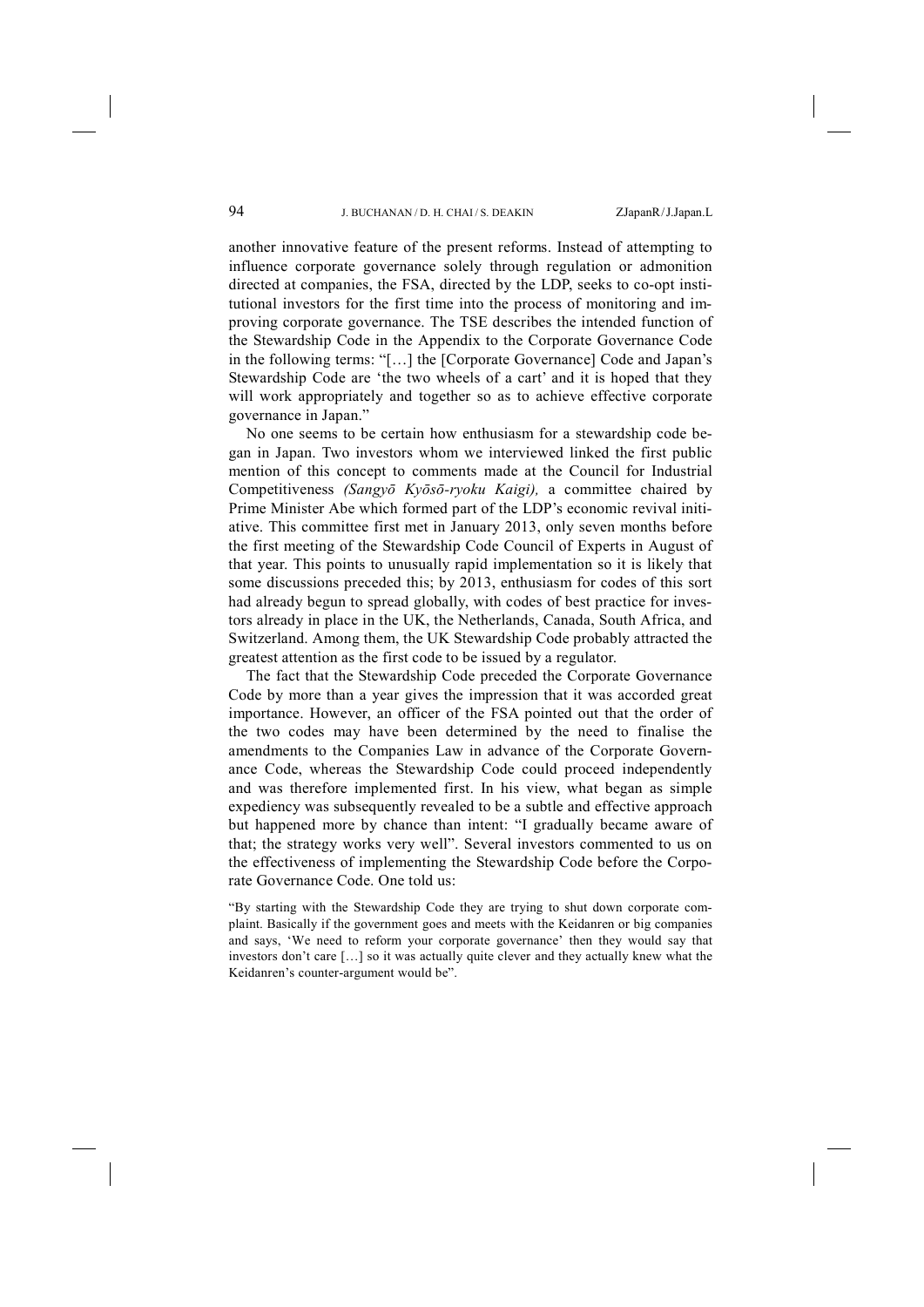another innovative feature of the present reforms. Instead of attempting to influence corporate governance solely through regulation or admonition directed at companies, the FSA, directed by the LDP, seeks to co-opt institutional investors for the first time into the process of monitoring and improving corporate governance. The TSE describes the intended function of the Stewardship Code in the Appendix to the Corporate Governance Code in the following terms: "[…] the [Corporate Governance] Code and Japan's Stewardship Code are 'the two wheels of a cart' and it is hoped that they will work appropriately and together so as to achieve effective corporate governance in Japan."

No one seems to be certain how enthusiasm for a stewardship code began in Japan. Two investors whom we interviewed linked the first public mention of this concept to comments made at the Council for Industrial Competitiveness *(Sangyō Kyōsō-ryoku Kaigi),* a committee chaired by Prime Minister Abe which formed part of the LDP's economic revival initiative. This committee first met in January 2013, only seven months before the first meeting of the Stewardship Code Council of Experts in August of that year. This points to unusually rapid implementation so it is likely that some discussions preceded this; by 2013, enthusiasm for codes of this sort had already begun to spread globally, with codes of best practice for investors already in place in the UK, the Netherlands, Canada, South Africa, and Switzerland. Among them, the UK Stewardship Code probably attracted the greatest attention as the first code to be issued by a regulator.

The fact that the Stewardship Code preceded the Corporate Governance Code by more than a year gives the impression that it was accorded great importance. However, an officer of the FSA pointed out that the order of the two codes may have been determined by the need to finalise the amendments to the Companies Law in advance of the Corporate Governance Code, whereas the Stewardship Code could proceed independently and was therefore implemented first. In his view, what began as simple expediency was subsequently revealed to be a subtle and effective approach but happened more by chance than intent: "I gradually became aware of that; the strategy works very well". Several investors commented to us on the effectiveness of implementing the Stewardship Code before the Corporate Governance Code. One told us:

"By starting with the Stewardship Code they are trying to shut down corporate complaint. Basically if the government goes and meets with the Keidanren or big companies and says, 'We need to reform your corporate governance' then they would say that investors don't care […] so it was actually quite clever and they actually knew what the Keidanren's counter-argument would be".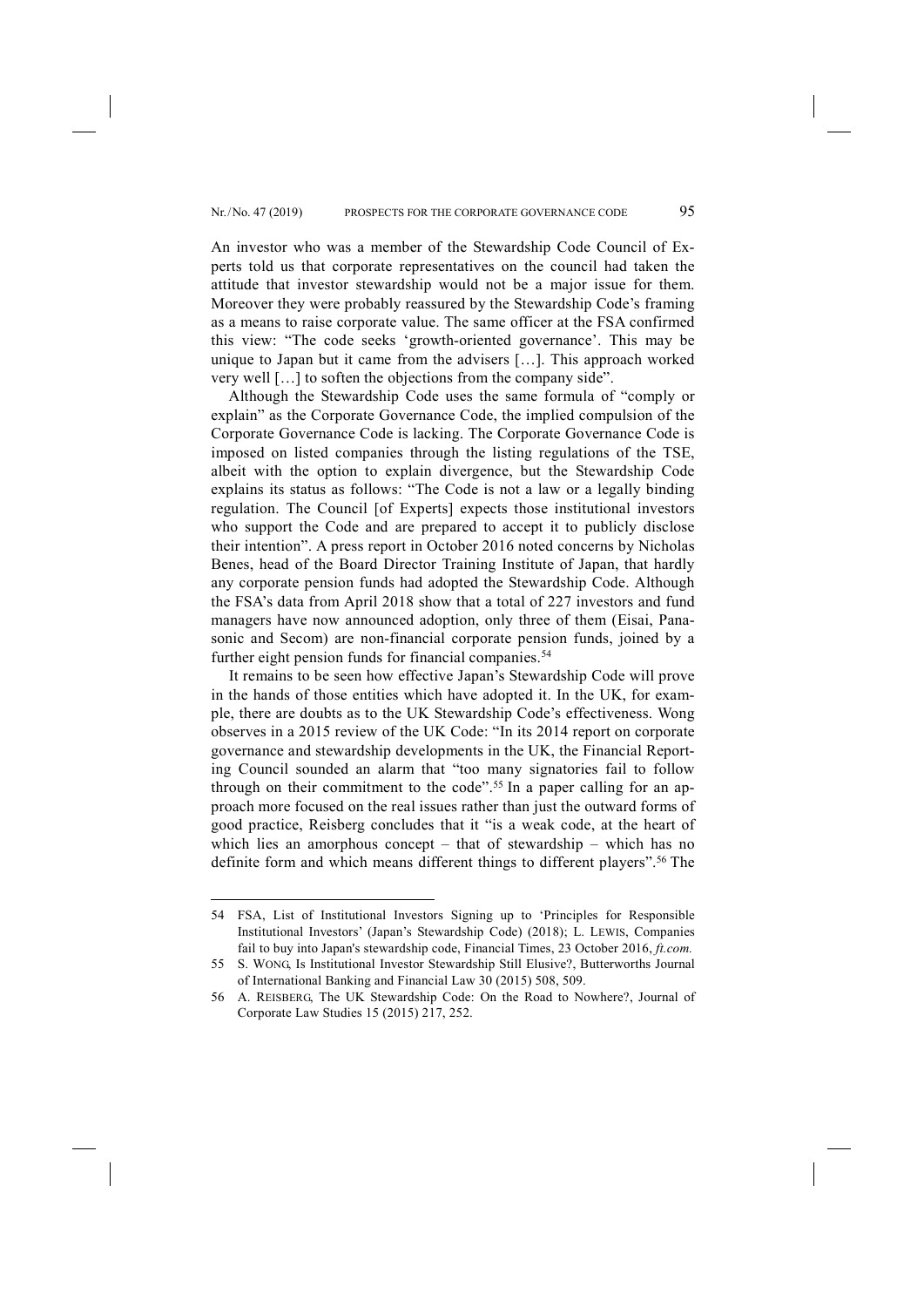An investor who was a member of the Stewardship Code Council of Experts told us that corporate representatives on the council had taken the attitude that investor stewardship would not be a major issue for them. Moreover they were probably reassured by the Stewardship Code's framing as a means to raise corporate value. The same officer at the FSA confirmed this view: "The code seeks 'growth-oriented governance'. This may be unique to Japan but it came from the advisers […]. This approach worked very well […] to soften the objections from the company side".

Although the Stewardship Code uses the same formula of "comply or explain" as the Corporate Governance Code, the implied compulsion of the Corporate Governance Code is lacking. The Corporate Governance Code is imposed on listed companies through the listing regulations of the TSE, albeit with the option to explain divergence, but the Stewardship Code explains its status as follows: "The Code is not a law or a legally binding regulation. The Council [of Experts] expects those institutional investors who support the Code and are prepared to accept it to publicly disclose their intention". A press report in October 2016 noted concerns by Nicholas Benes, head of the Board Director Training Institute of Japan, that hardly any corporate pension funds had adopted the Stewardship Code. Although the FSA's data from April 2018 show that a total of 227 investors and fund managers have now announced adoption, only three of them (Eisai, Panasonic and Secom) are non-financial corporate pension funds, joined by a further eight pension funds for financial companies.<sup>54</sup>

It remains to be seen how effective Japan's Stewardship Code will prove in the hands of those entities which have adopted it. In the UK, for example, there are doubts as to the UK Stewardship Code's effectiveness. Wong observes in a 2015 review of the UK Code: "In its 2014 report on corporate governance and stewardship developments in the UK, the Financial Reporting Council sounded an alarm that "too many signatories fail to follow through on their commitment to the code".55 In a paper calling for an approach more focused on the real issues rather than just the outward forms of good practice, Reisberg concludes that it "is a weak code, at the heart of which lies an amorphous concept – that of stewardship – which has no definite form and which means different things to different players".56 The

<sup>54</sup> FSA, List of Institutional Investors Signing up to 'Principles for Responsible Institutional Investors' (Japan's Stewardship Code) (2018); L. LEWIS, Companies fail to buy into Japan's stewardship code, Financial Times, 23 October 2016, *ft.com.*

<sup>55</sup> S. WONG, Is Institutional Investor Stewardship Still Elusive?, Butterworths Journal of International Banking and Financial Law 30 (2015) 508, 509.

<sup>56</sup> A. REISBERG, The UK Stewardship Code: On the Road to Nowhere?, Journal of Corporate Law Studies 15 (2015) 217, 252.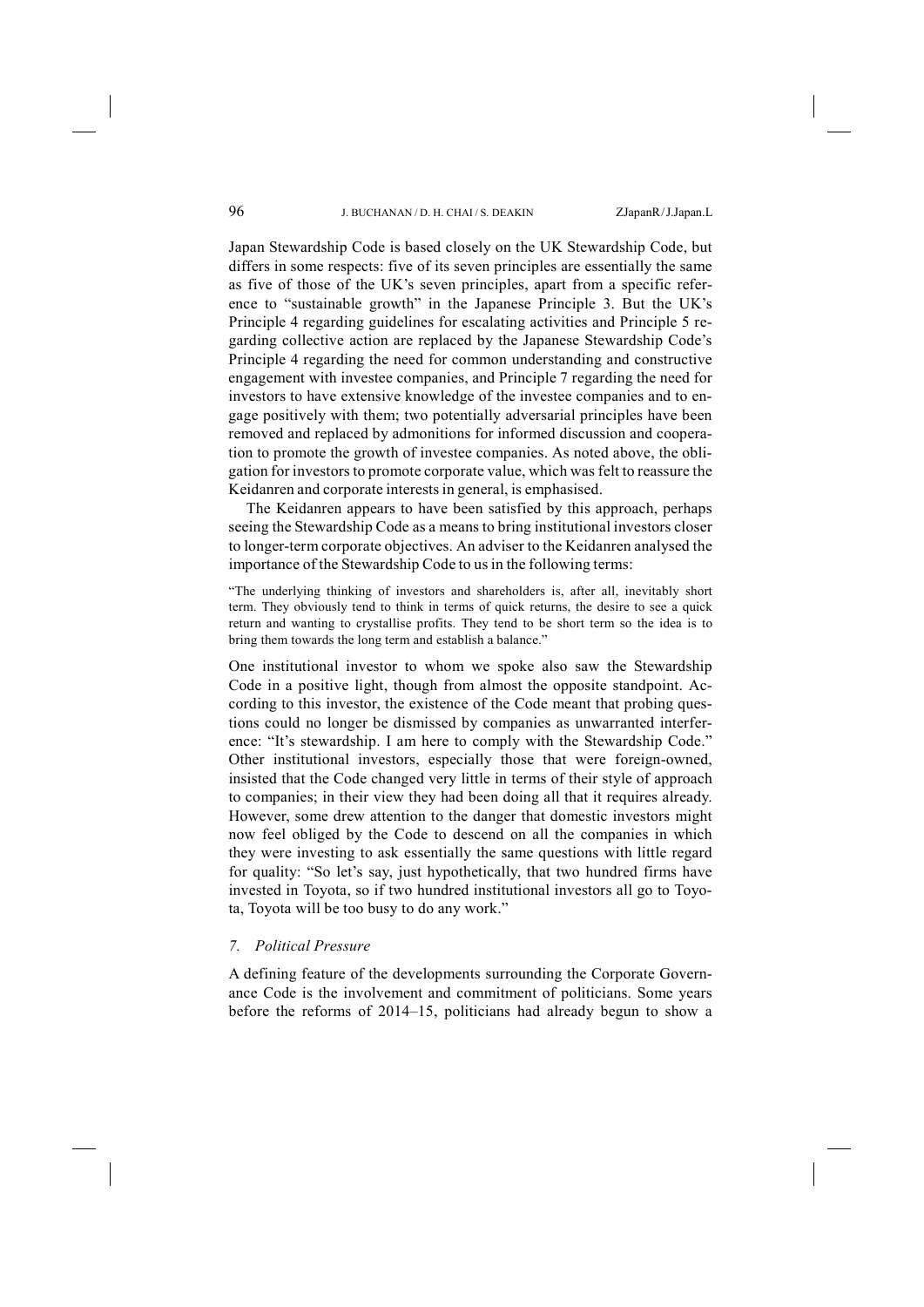Japan Stewardship Code is based closely on the UK Stewardship Code, but differs in some respects: five of its seven principles are essentially the same as five of those of the UK's seven principles, apart from a specific reference to "sustainable growth" in the Japanese Principle 3. But the UK's Principle 4 regarding guidelines for escalating activities and Principle 5 regarding collective action are replaced by the Japanese Stewardship Code's Principle 4 regarding the need for common understanding and constructive engagement with investee companies, and Principle 7 regarding the need for investors to have extensive knowledge of the investee companies and to engage positively with them; two potentially adversarial principles have been removed and replaced by admonitions for informed discussion and cooperation to promote the growth of investee companies. As noted above, the obligation for investors to promote corporate value, which was felt to reassure the Keidanren and corporate interests in general, is emphasised.

The Keidanren appears to have been satisfied by this approach, perhaps seeing the Stewardship Code as a means to bring institutional investors closer to longer-term corporate objectives. An adviser to the Keidanren analysed the importance of the Stewardship Code to us in the following terms:

"The underlying thinking of investors and shareholders is, after all, inevitably short term. They obviously tend to think in terms of quick returns, the desire to see a quick return and wanting to crystallise profits. They tend to be short term so the idea is to bring them towards the long term and establish a balance."

One institutional investor to whom we spoke also saw the Stewardship Code in a positive light, though from almost the opposite standpoint. According to this investor, the existence of the Code meant that probing questions could no longer be dismissed by companies as unwarranted interference: "It's stewardship. I am here to comply with the Stewardship Code." Other institutional investors, especially those that were foreign-owned, insisted that the Code changed very little in terms of their style of approach to companies; in their view they had been doing all that it requires already. However, some drew attention to the danger that domestic investors might now feel obliged by the Code to descend on all the companies in which they were investing to ask essentially the same questions with little regard for quality: "So let's say, just hypothetically, that two hundred firms have invested in Toyota, so if two hundred institutional investors all go to Toyota, Toyota will be too busy to do any work."

## *7. Political Pressure*

A defining feature of the developments surrounding the Corporate Governance Code is the involvement and commitment of politicians. Some years before the reforms of 2014–15, politicians had already begun to show a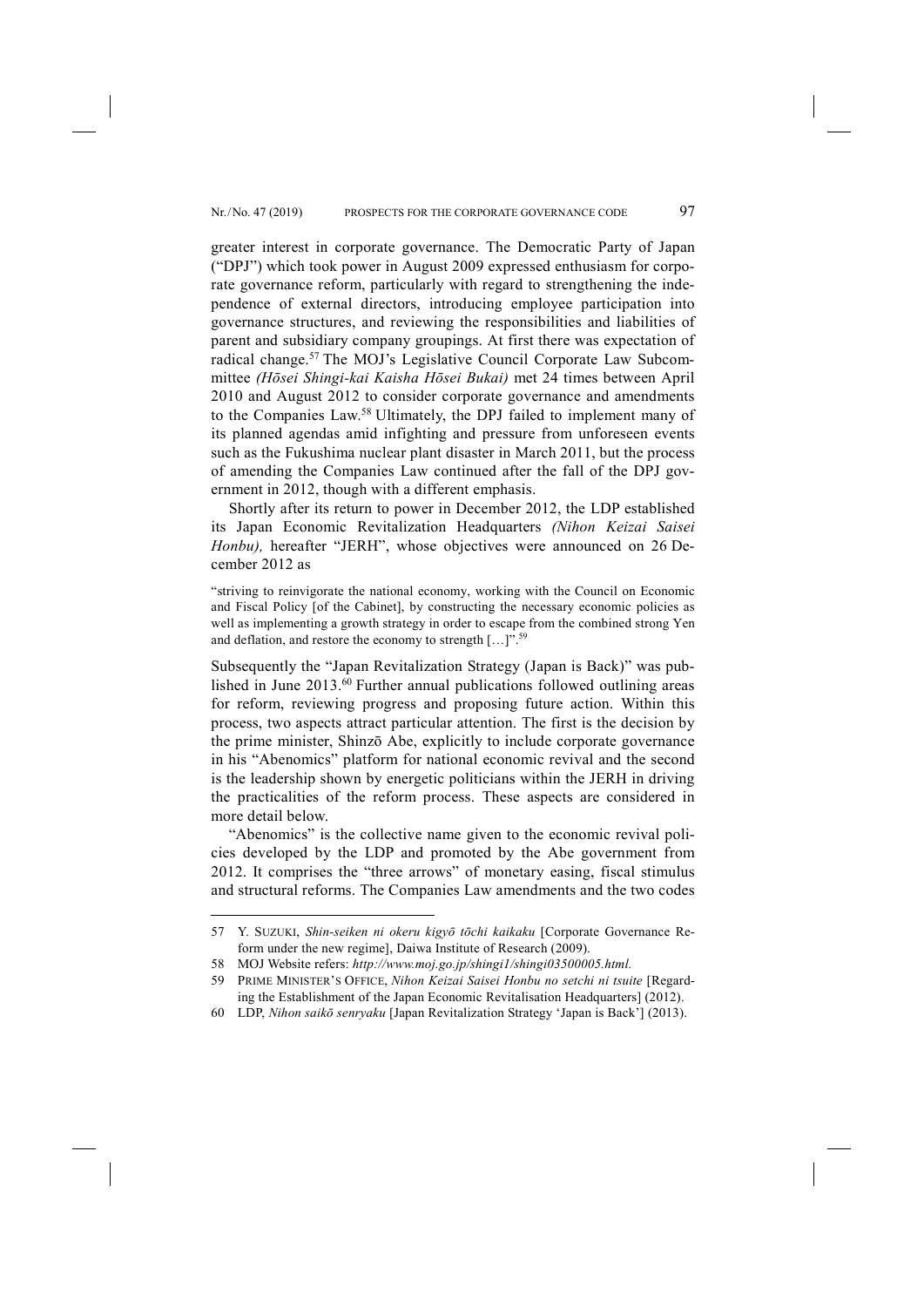greater interest in corporate governance. The Democratic Party of Japan ("DPJ") which took power in August 2009 expressed enthusiasm for corporate governance reform, particularly with regard to strengthening the independence of external directors, introducing employee participation into governance structures, and reviewing the responsibilities and liabilities of parent and subsidiary company groupings. At first there was expectation of radical change.57 The MOJ's Legislative Council Corporate Law Subcommittee *(Hōsei Shingi-kai Kaisha Hōsei Bukai)* met 24 times between April 2010 and August 2012 to consider corporate governance and amendments to the Companies Law.58 Ultimately, the DPJ failed to implement many of its planned agendas amid infighting and pressure from unforeseen events such as the Fukushima nuclear plant disaster in March 2011, but the process of amending the Companies Law continued after the fall of the DPJ government in 2012, though with a different emphasis.

Shortly after its return to power in December 2012, the LDP established its Japan Economic Revitalization Headquarters *(Nihon Keizai Saisei Honbu),* hereafter "JERH", whose objectives were announced on 26 December 2012 as

"striving to reinvigorate the national economy, working with the Council on Economic and Fiscal Policy [of the Cabinet], by constructing the necessary economic policies as well as implementing a growth strategy in order to escape from the combined strong Yen and deflation, and restore the economy to strength […]".59

Subsequently the "Japan Revitalization Strategy (Japan is Back)" was published in June 2013.60 Further annual publications followed outlining areas for reform, reviewing progress and proposing future action. Within this process, two aspects attract particular attention. The first is the decision by the prime minister, Shinzō Abe, explicitly to include corporate governance in his "Abenomics" platform for national economic revival and the second is the leadership shown by energetic politicians within the JERH in driving the practicalities of the reform process. These aspects are considered in more detail below.

"Abenomics" is the collective name given to the economic revival policies developed by the LDP and promoted by the Abe government from 2012. It comprises the "three arrows" of monetary easing, fiscal stimulus and structural reforms. The Companies Law amendments and the two codes

<sup>57</sup> Y. SUZUKI, *Shin-seiken ni okeru kigyō tōchi kaikaku* [Corporate Governance Reform under the new regime], Daiwa Institute of Research (2009).

<sup>58</sup> MOJ Website refers: *http://www.moj.go.jp/shingi1/shingi03500005.html.*

<sup>59</sup> PRIME MINISTER'S OFFICE, *Nihon Keizai Saisei Honbu no setchi ni tsuite* [Regarding the Establishment of the Japan Economic Revitalisation Headquarters] (2012).

<sup>60</sup> LDP, *Nihon saikō senryaku* [Japan Revitalization Strategy 'Japan is Back'] (2013).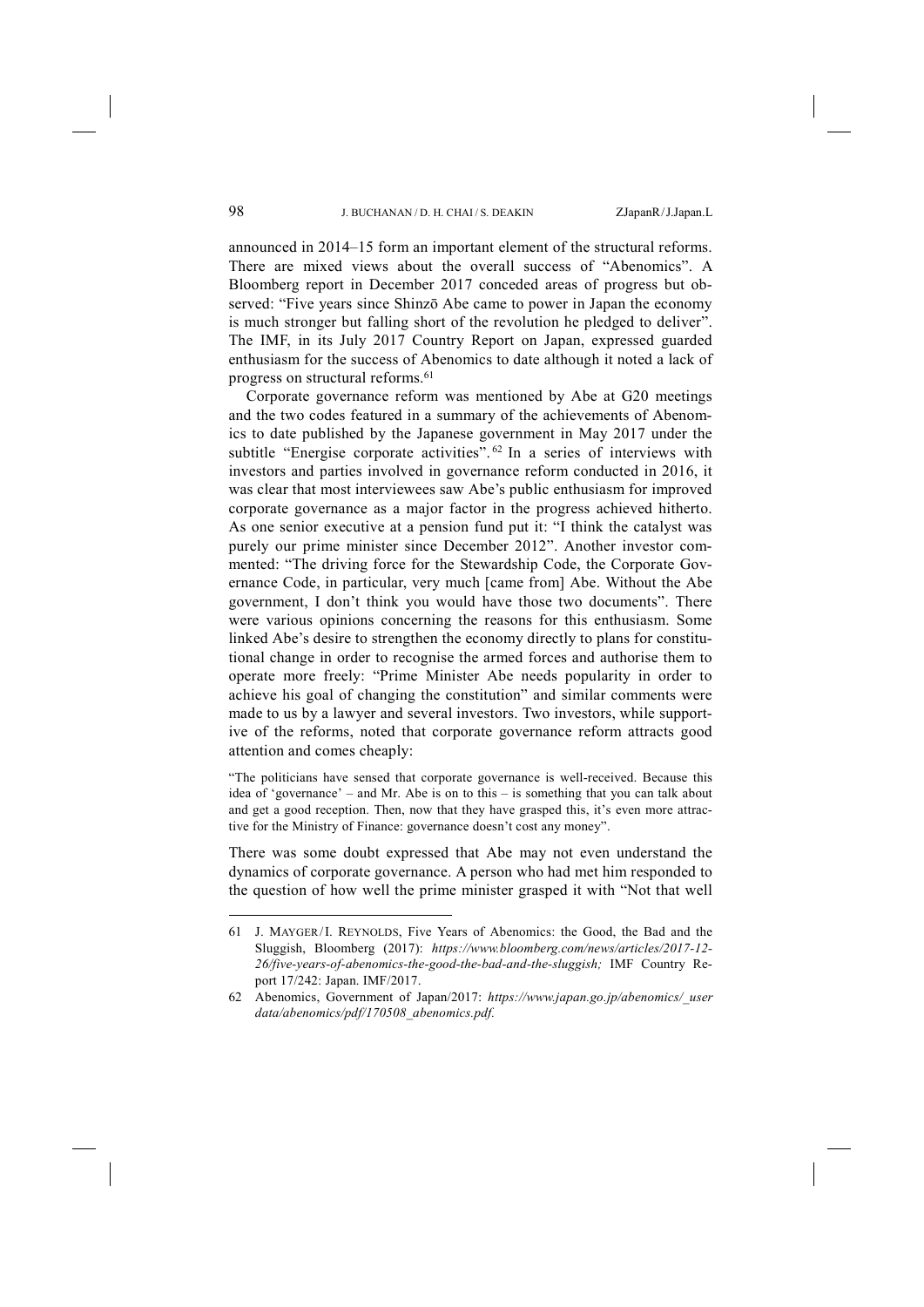announced in 2014–15 form an important element of the structural reforms. There are mixed views about the overall success of "Abenomics". A Bloomberg report in December 2017 conceded areas of progress but observed: "Five years since Shinzō Abe came to power in Japan the economy is much stronger but falling short of the revolution he pledged to deliver". The IMF, in its July 2017 Country Report on Japan, expressed guarded enthusiasm for the success of Abenomics to date although it noted a lack of progress on structural reforms.61

Corporate governance reform was mentioned by Abe at G20 meetings and the two codes featured in a summary of the achievements of Abenomics to date published by the Japanese government in May 2017 under the subtitle "Energise corporate activities".<sup>62</sup> In a series of interviews with investors and parties involved in governance reform conducted in 2016, it was clear that most interviewees saw Abe's public enthusiasm for improved corporate governance as a major factor in the progress achieved hitherto. As one senior executive at a pension fund put it: "I think the catalyst was purely our prime minister since December 2012". Another investor commented: "The driving force for the Stewardship Code, the Corporate Governance Code, in particular, very much [came from] Abe. Without the Abe government, I don't think you would have those two documents". There were various opinions concerning the reasons for this enthusiasm. Some linked Abe's desire to strengthen the economy directly to plans for constitutional change in order to recognise the armed forces and authorise them to operate more freely: "Prime Minister Abe needs popularity in order to achieve his goal of changing the constitution" and similar comments were made to us by a lawyer and several investors. Two investors, while supportive of the reforms, noted that corporate governance reform attracts good attention and comes cheaply:

"The politicians have sensed that corporate governance is well-received. Because this idea of 'governance' – and Mr. Abe is on to this – is something that you can talk about and get a good reception. Then, now that they have grasped this, it's even more attractive for the Ministry of Finance: governance doesn't cost any money".

There was some doubt expressed that Abe may not even understand the dynamics of corporate governance. A person who had met him responded to the question of how well the prime minister grasped it with "Not that well

<sup>61</sup> J. MAYGER/I. REYNOLDS, Five Years of Abenomics: the Good, the Bad and the Sluggish, Bloomberg (2017): *https://www.bloomberg.com/news/articles/2017-12- 26/five-years-of-abenomics-the-good-the-bad-and-the-sluggish;* IMF Country Report 17/242: Japan. IMF/2017.

<sup>62</sup> Abenomics, Government of Japan/2017: *https://www.japan.go.jp/abenomics/\_user data/abenomics/pdf/170508\_abenomics.pdf.*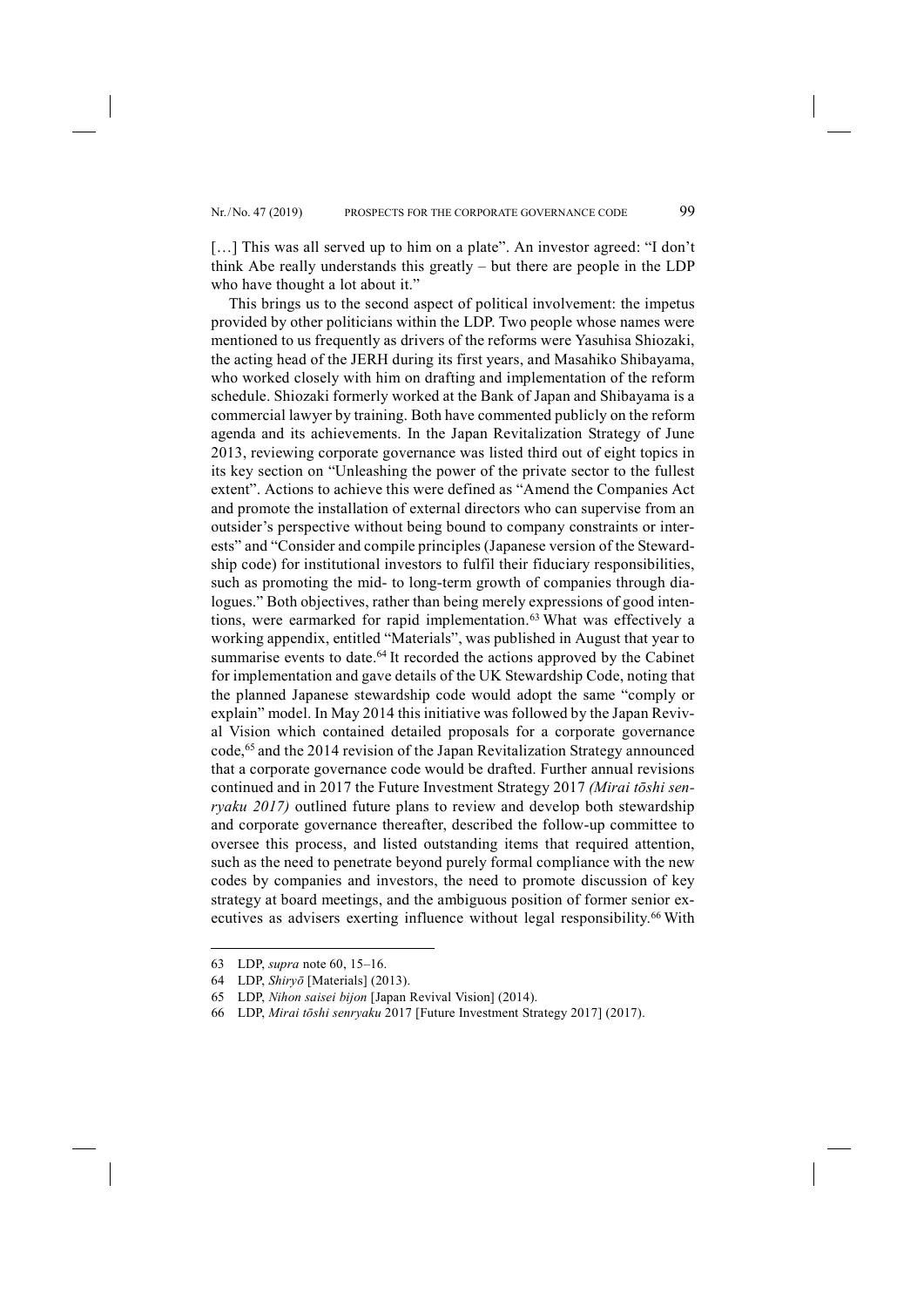[...] This was all served up to him on a plate". An investor agreed: "I don't think Abe really understands this greatly – but there are people in the LDP who have thought a lot about it."

This brings us to the second aspect of political involvement: the impetus provided by other politicians within the LDP. Two people whose names were mentioned to us frequently as drivers of the reforms were Yasuhisa Shiozaki, the acting head of the JERH during its first years, and Masahiko Shibayama, who worked closely with him on drafting and implementation of the reform schedule. Shiozaki formerly worked at the Bank of Japan and Shibayama is a commercial lawyer by training. Both have commented publicly on the reform agenda and its achievements. In the Japan Revitalization Strategy of June 2013, reviewing corporate governance was listed third out of eight topics in its key section on "Unleashing the power of the private sector to the fullest extent". Actions to achieve this were defined as "Amend the Companies Act and promote the installation of external directors who can supervise from an outsider's perspective without being bound to company constraints or interests" and "Consider and compile principles (Japanese version of the Stewardship code) for institutional investors to fulfil their fiduciary responsibilities, such as promoting the mid- to long-term growth of companies through dialogues." Both objectives, rather than being merely expressions of good intentions, were earmarked for rapid implementation.<sup>63</sup> What was effectively a working appendix, entitled "Materials", was published in August that year to summarise events to date.<sup>64</sup> It recorded the actions approved by the Cabinet for implementation and gave details of the UK Stewardship Code, noting that the planned Japanese stewardship code would adopt the same "comply or explain" model. In May 2014 this initiative was followed by the Japan Revival Vision which contained detailed proposals for a corporate governance code,65 and the 2014 revision of the Japan Revitalization Strategy announced that a corporate governance code would be drafted. Further annual revisions continued and in 2017 the Future Investment Strategy 2017 *(Mirai tōshi senryaku 2017)* outlined future plans to review and develop both stewardship and corporate governance thereafter, described the follow-up committee to oversee this process, and listed outstanding items that required attention, such as the need to penetrate beyond purely formal compliance with the new codes by companies and investors, the need to promote discussion of key strategy at board meetings, and the ambiguous position of former senior executives as advisers exerting influence without legal responsibility.<sup>66</sup> With

<sup>63</sup> LDP, *supra* note 60, 15–16.

<sup>64</sup> LDP, *Shiryō* [Materials] (2013).

<sup>65</sup> LDP, *Nihon saisei bijon* [Japan Revival Vision] (2014).

<sup>66</sup> LDP, *Mirai tōshi senryaku* 2017 [Future Investment Strategy 2017] (2017).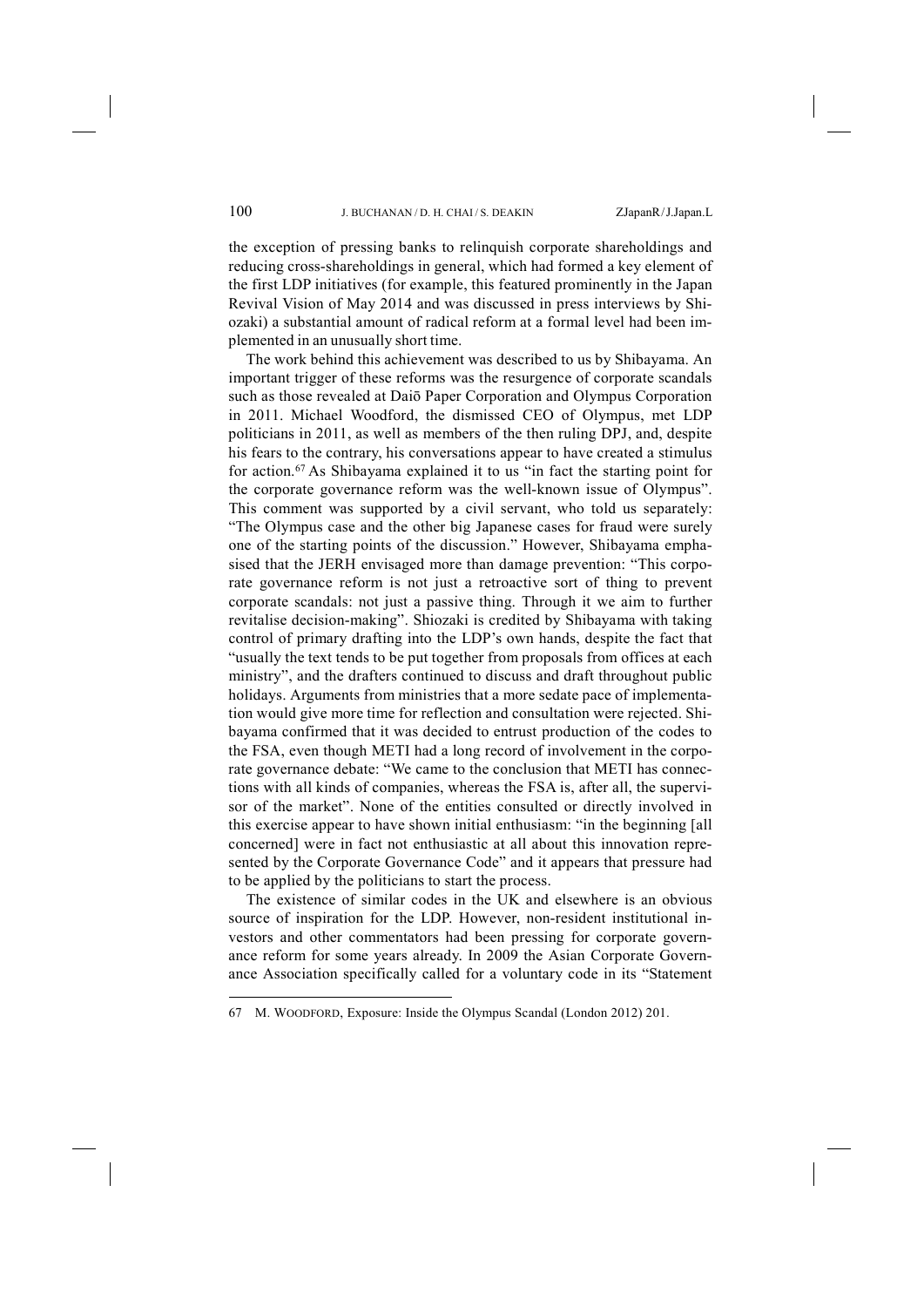the exception of pressing banks to relinquish corporate shareholdings and reducing cross-shareholdings in general, which had formed a key element of the first LDP initiatives (for example, this featured prominently in the Japan Revival Vision of May 2014 and was discussed in press interviews by Shiozaki) a substantial amount of radical reform at a formal level had been implemented in an unusually short time.

The work behind this achievement was described to us by Shibayama. An important trigger of these reforms was the resurgence of corporate scandals such as those revealed at Daiō Paper Corporation and Olympus Corporation in 2011. Michael Woodford, the dismissed CEO of Olympus, met LDP politicians in 2011, as well as members of the then ruling DPJ, and, despite his fears to the contrary, his conversations appear to have created a stimulus for action.67 As Shibayama explained it to us "in fact the starting point for the corporate governance reform was the well-known issue of Olympus". This comment was supported by a civil servant, who told us separately: "The Olympus case and the other big Japanese cases for fraud were surely one of the starting points of the discussion." However, Shibayama emphasised that the JERH envisaged more than damage prevention: "This corporate governance reform is not just a retroactive sort of thing to prevent corporate scandals: not just a passive thing. Through it we aim to further revitalise decision-making". Shiozaki is credited by Shibayama with taking control of primary drafting into the LDP's own hands, despite the fact that "usually the text tends to be put together from proposals from offices at each ministry", and the drafters continued to discuss and draft throughout public holidays. Arguments from ministries that a more sedate pace of implementation would give more time for reflection and consultation were rejected. Shibayama confirmed that it was decided to entrust production of the codes to the FSA, even though METI had a long record of involvement in the corporate governance debate: "We came to the conclusion that METI has connections with all kinds of companies, whereas the FSA is, after all, the supervisor of the market". None of the entities consulted or directly involved in this exercise appear to have shown initial enthusiasm: "in the beginning [all concerned] were in fact not enthusiastic at all about this innovation represented by the Corporate Governance Code" and it appears that pressure had to be applied by the politicians to start the process.

The existence of similar codes in the UK and elsewhere is an obvious source of inspiration for the LDP. However, non-resident institutional investors and other commentators had been pressing for corporate governance reform for some years already. In 2009 the Asian Corporate Governance Association specifically called for a voluntary code in its "Statement

<sup>67</sup> M. WOODFORD, Exposure: Inside the Olympus Scandal (London 2012) 201.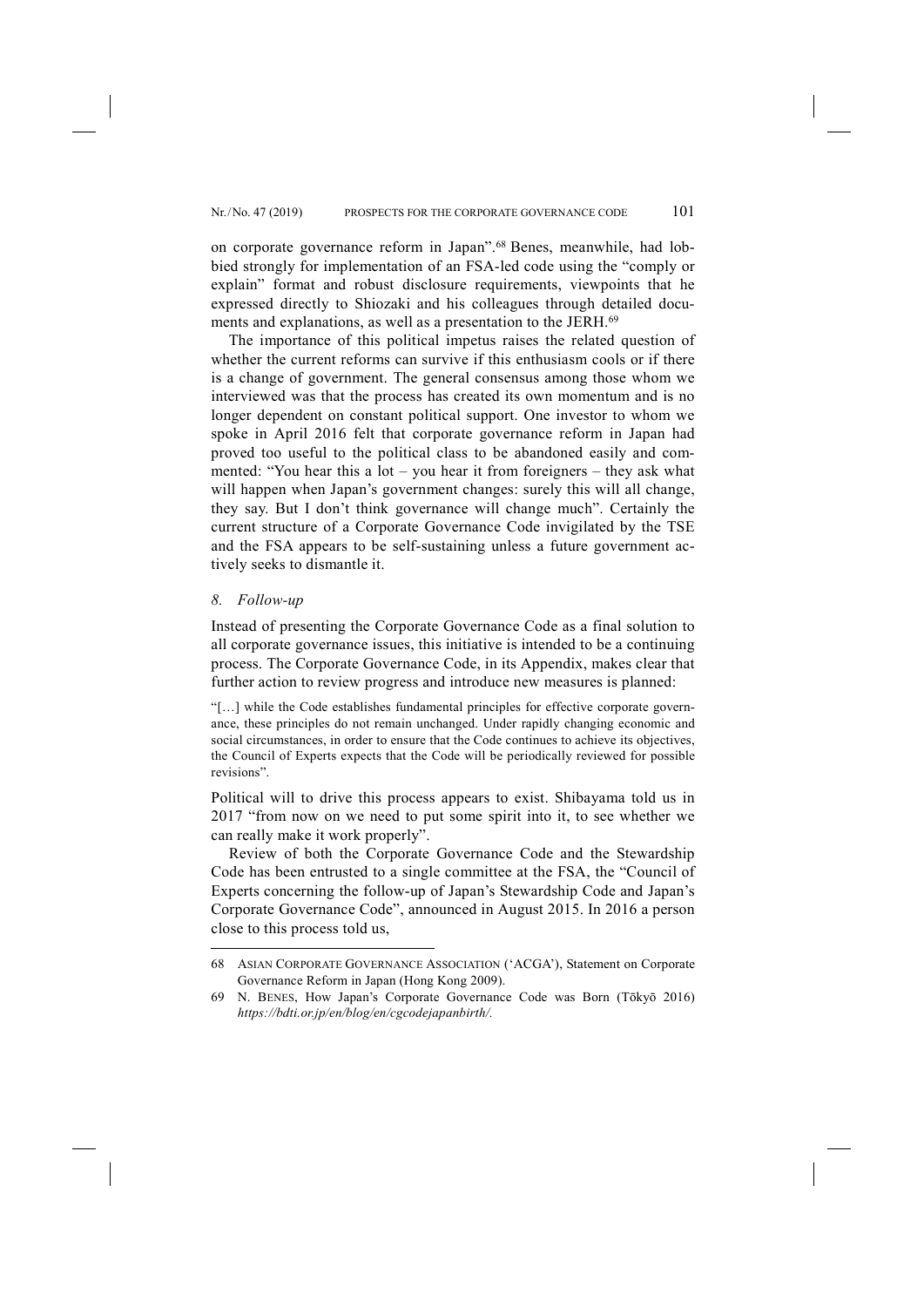on corporate governance reform in Japan".68 Benes, meanwhile, had lobbied strongly for implementation of an FSA-led code using the "comply or explain" format and robust disclosure requirements, viewpoints that he expressed directly to Shiozaki and his colleagues through detailed documents and explanations, as well as a presentation to the JERH.<sup>69</sup>

The importance of this political impetus raises the related question of whether the current reforms can survive if this enthusiasm cools or if there is a change of government. The general consensus among those whom we interviewed was that the process has created its own momentum and is no longer dependent on constant political support. One investor to whom we spoke in April 2016 felt that corporate governance reform in Japan had proved too useful to the political class to be abandoned easily and commented: "You hear this a lot – you hear it from foreigners – they ask what will happen when Japan's government changes: surely this will all change, they say. But I don't think governance will change much". Certainly the current structure of a Corporate Governance Code invigilated by the TSE and the FSA appears to be self-sustaining unless a future government actively seeks to dismantle it.

### *8. Follow-up*

-

Instead of presenting the Corporate Governance Code as a final solution to all corporate governance issues, this initiative is intended to be a continuing process. The Corporate Governance Code, in its Appendix, makes clear that further action to review progress and introduce new measures is planned:

"[…] while the Code establishes fundamental principles for effective corporate governance, these principles do not remain unchanged. Under rapidly changing economic and social circumstances, in order to ensure that the Code continues to achieve its objectives, the Council of Experts expects that the Code will be periodically reviewed for possible revisions".

Political will to drive this process appears to exist. Shibayama told us in 2017 "from now on we need to put some spirit into it, to see whether we can really make it work properly".

Review of both the Corporate Governance Code and the Stewardship Code has been entrusted to a single committee at the FSA, the "Council of Experts concerning the follow-up of Japan's Stewardship Code and Japan's Corporate Governance Code", announced in August 2015. In 2016 a person close to this process told us,

<sup>68</sup> ASIAN CORPORATE GOVERNANCE ASSOCIATION ('ACGA'), Statement on Corporate Governance Reform in Japan (Hong Kong 2009).

<sup>69</sup> N. BENES, How Japan's Corporate Governance Code was Born (Tōkyō 2016) *https://bdti.or.jp/en/blog/en/cgcodejapanbirth/.*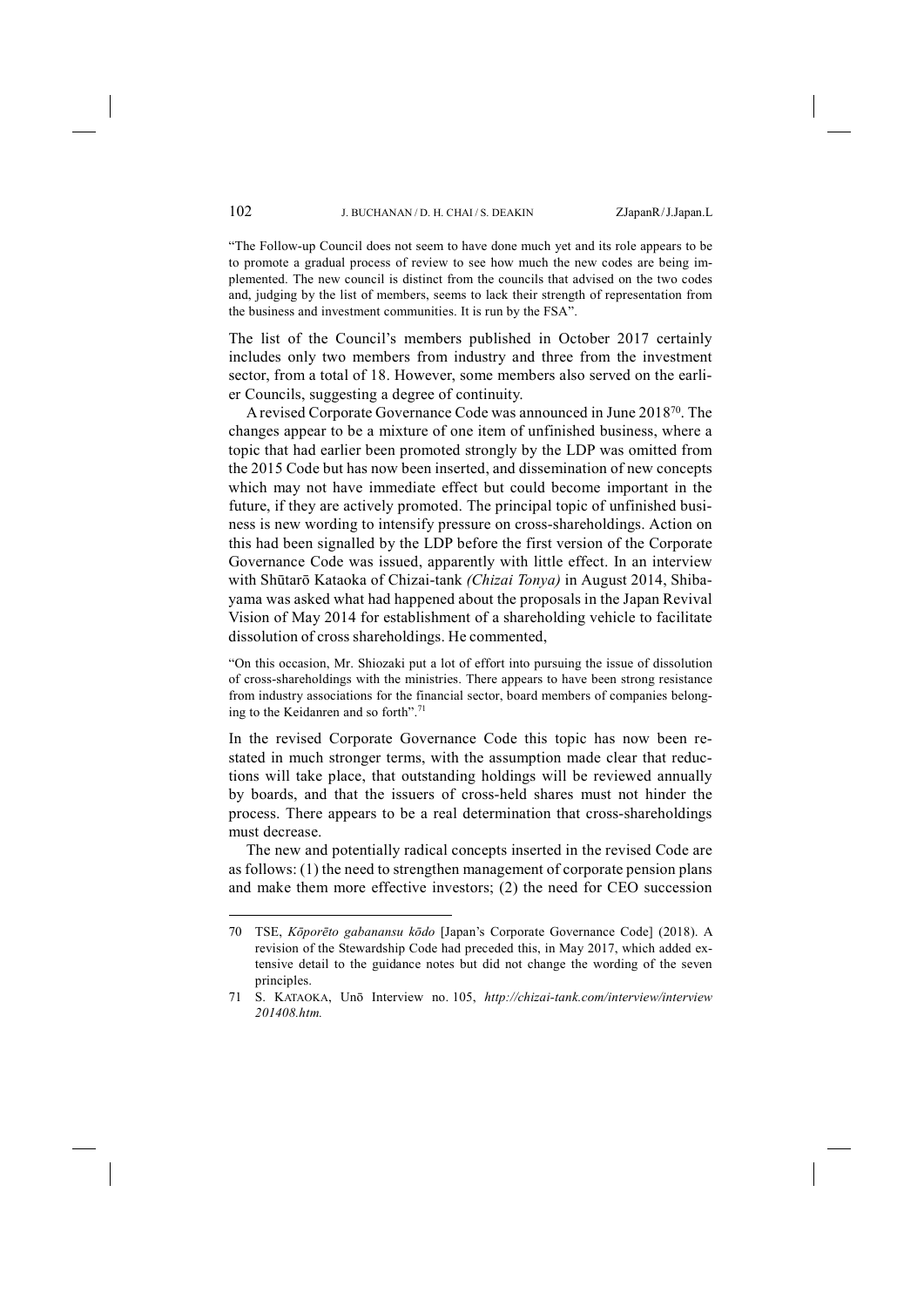"The Follow-up Council does not seem to have done much yet and its role appears to be to promote a gradual process of review to see how much the new codes are being implemented. The new council is distinct from the councils that advised on the two codes and, judging by the list of members, seems to lack their strength of representation from the business and investment communities. It is run by the FSA".

The list of the Council's members published in October 2017 certainly includes only two members from industry and three from the investment sector, from a total of 18. However, some members also served on the earlier Councils, suggesting a degree of continuity.

A revised Corporate Governance Code was announced in June 201870. The changes appear to be a mixture of one item of unfinished business, where a topic that had earlier been promoted strongly by the LDP was omitted from the 2015 Code but has now been inserted, and dissemination of new concepts which may not have immediate effect but could become important in the future, if they are actively promoted. The principal topic of unfinished business is new wording to intensify pressure on cross-shareholdings. Action on this had been signalled by the LDP before the first version of the Corporate Governance Code was issued, apparently with little effect. In an interview with Shūtarō Kataoka of Chizai-tank *(Chizai Tonya)* in August 2014, Shibayama was asked what had happened about the proposals in the Japan Revival Vision of May 2014 for establishment of a shareholding vehicle to facilitate dissolution of cross shareholdings. He commented,

"On this occasion, Mr. Shiozaki put a lot of effort into pursuing the issue of dissolution of cross-shareholdings with the ministries. There appears to have been strong resistance from industry associations for the financial sector, board members of companies belonging to the Keidanren and so forth".71

In the revised Corporate Governance Code this topic has now been restated in much stronger terms, with the assumption made clear that reductions will take place, that outstanding holdings will be reviewed annually by boards, and that the issuers of cross-held shares must not hinder the process. There appears to be a real determination that cross-shareholdings must decrease.

The new and potentially radical concepts inserted in the revised Code are as follows: (1) the need to strengthen management of corporate pension plans and make them more effective investors; (2) the need for CEO succession

<sup>70</sup> TSE, *Kōporēto gabanansu kōdo* [Japan's Corporate Governance Code] (2018). A revision of the Stewardship Code had preceded this, in May 2017, which added extensive detail to the guidance notes but did not change the wording of the seven principles.

<sup>71</sup> S. KATAOKA, Unō Interview no. 105, *http://chizai-tank.com/interview/interview 201408.htm.*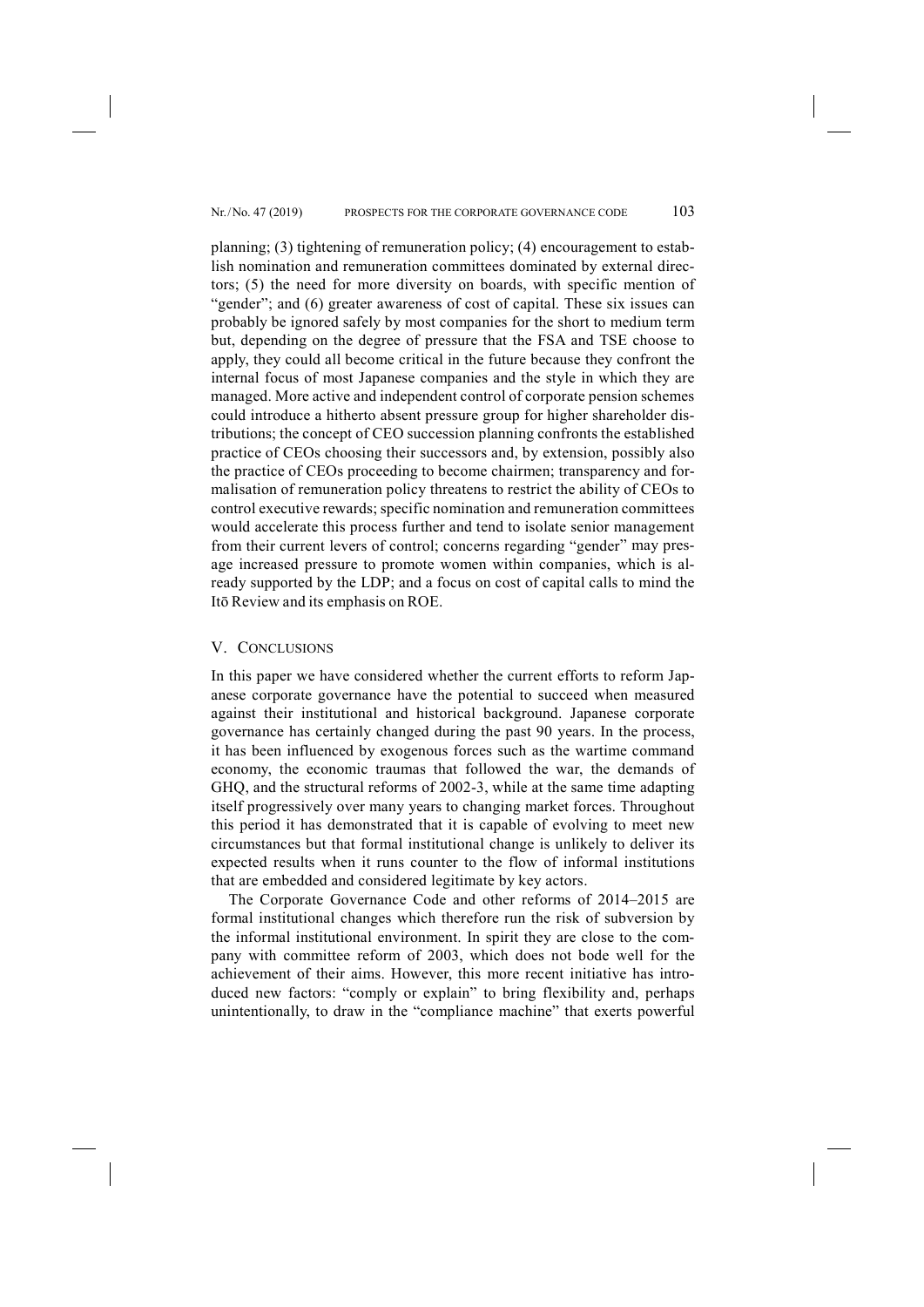planning; (3) tightening of remuneration policy; (4) encouragement to establish nomination and remuneration committees dominated by external directors; (5) the need for more diversity on boards, with specific mention of "gender"; and (6) greater awareness of cost of capital. These six issues can probably be ignored safely by most companies for the short to medium term but, depending on the degree of pressure that the FSA and TSE choose to apply, they could all become critical in the future because they confront the internal focus of most Japanese companies and the style in which they are managed. More active and independent control of corporate pension schemes could introduce a hitherto absent pressure group for higher shareholder distributions; the concept of CEO succession planning confronts the established practice of CEOs choosing their successors and, by extension, possibly also the practice of CEOs proceeding to become chairmen; transparency and formalisation of remuneration policy threatens to restrict the ability of CEOs to control executive rewards; specific nomination and remuneration committees would accelerate this process further and tend to isolate senior management from their current levers of control; concerns regarding "gender" may presage increased pressure to promote women within companies, which is already supported by the LDP; and a focus on cost of capital calls to mind the Itō Review and its emphasis on ROE.

#### V. CONCLUSIONS

In this paper we have considered whether the current efforts to reform Japanese corporate governance have the potential to succeed when measured against their institutional and historical background. Japanese corporate governance has certainly changed during the past 90 years. In the process, it has been influenced by exogenous forces such as the wartime command economy, the economic traumas that followed the war, the demands of GHQ, and the structural reforms of 2002-3, while at the same time adapting itself progressively over many years to changing market forces. Throughout this period it has demonstrated that it is capable of evolving to meet new circumstances but that formal institutional change is unlikely to deliver its expected results when it runs counter to the flow of informal institutions that are embedded and considered legitimate by key actors.

The Corporate Governance Code and other reforms of 2014–2015 are formal institutional changes which therefore run the risk of subversion by the informal institutional environment. In spirit they are close to the company with committee reform of 2003, which does not bode well for the achievement of their aims. However, this more recent initiative has introduced new factors: "comply or explain" to bring flexibility and, perhaps unintentionally, to draw in the "compliance machine" that exerts powerful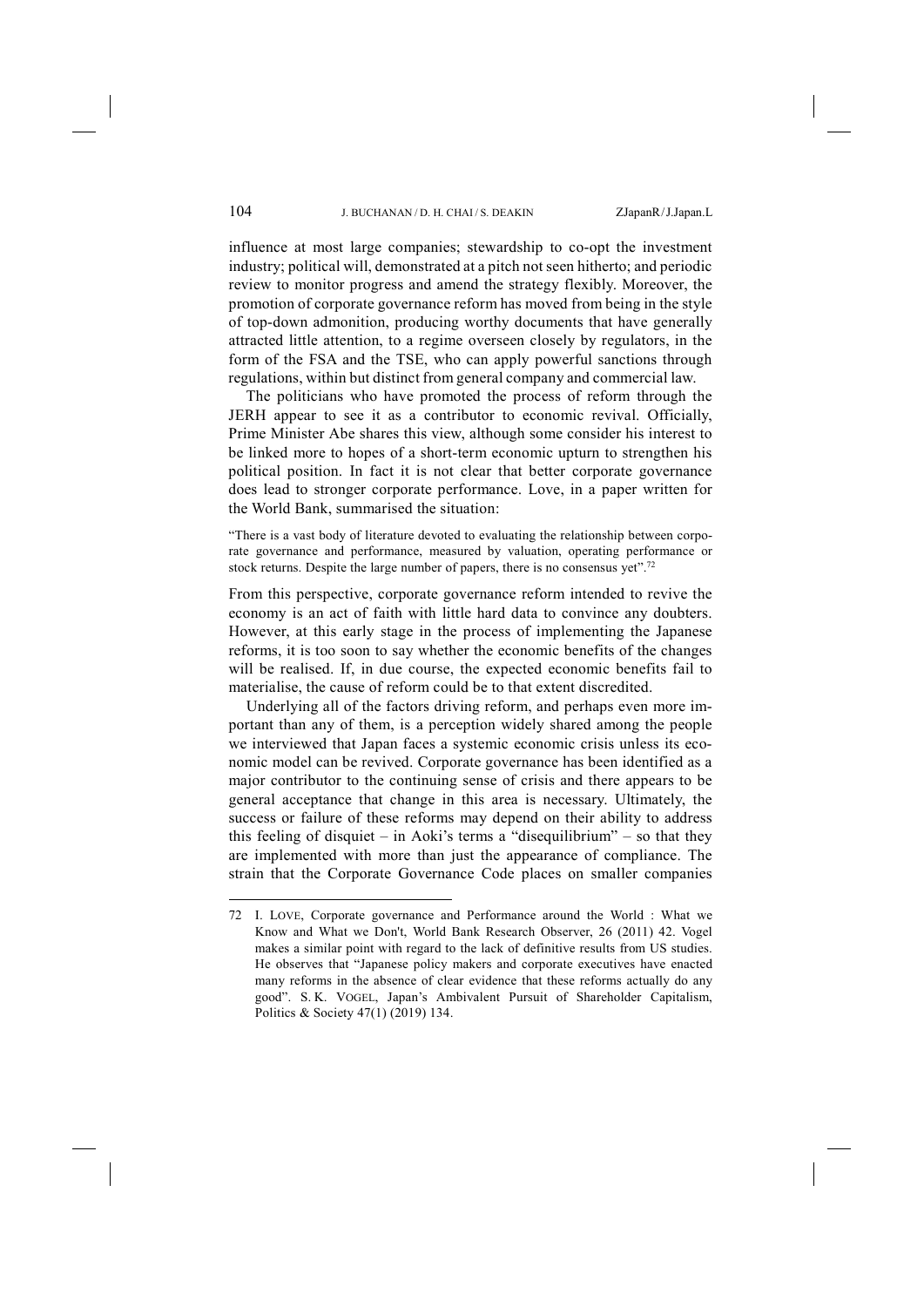influence at most large companies; stewardship to co-opt the investment industry; political will, demonstrated at a pitch not seen hitherto; and periodic review to monitor progress and amend the strategy flexibly. Moreover, the promotion of corporate governance reform has moved from being in the style of top-down admonition, producing worthy documents that have generally attracted little attention, to a regime overseen closely by regulators, in the form of the FSA and the TSE, who can apply powerful sanctions through regulations, within but distinct from general company and commercial law.

The politicians who have promoted the process of reform through the JERH appear to see it as a contributor to economic revival. Officially, Prime Minister Abe shares this view, although some consider his interest to be linked more to hopes of a short-term economic upturn to strengthen his political position. In fact it is not clear that better corporate governance does lead to stronger corporate performance. Love, in a paper written for the World Bank, summarised the situation:

"There is a vast body of literature devoted to evaluating the relationship between corporate governance and performance, measured by valuation, operating performance or stock returns. Despite the large number of papers, there is no consensus yet".<sup>72</sup>

From this perspective, corporate governance reform intended to revive the economy is an act of faith with little hard data to convince any doubters. However, at this early stage in the process of implementing the Japanese reforms, it is too soon to say whether the economic benefits of the changes will be realised. If, in due course, the expected economic benefits fail to materialise, the cause of reform could be to that extent discredited.

Underlying all of the factors driving reform, and perhaps even more important than any of them, is a perception widely shared among the people we interviewed that Japan faces a systemic economic crisis unless its economic model can be revived. Corporate governance has been identified as a major contributor to the continuing sense of crisis and there appears to be general acceptance that change in this area is necessary. Ultimately, the success or failure of these reforms may depend on their ability to address this feeling of disquiet – in Aoki's terms a "disequilibrium" – so that they are implemented with more than just the appearance of compliance. The strain that the Corporate Governance Code places on smaller companies

<sup>72</sup> I. LOVE, Corporate governance and Performance around the World : What we Know and What we Don't, World Bank Research Observer, 26 (2011) 42. Vogel makes a similar point with regard to the lack of definitive results from US studies. He observes that "Japanese policy makers and corporate executives have enacted many reforms in the absence of clear evidence that these reforms actually do any good". S. K. VOGEL, Japan's Ambivalent Pursuit of Shareholder Capitalism, Politics & Society 47(1) (2019) 134.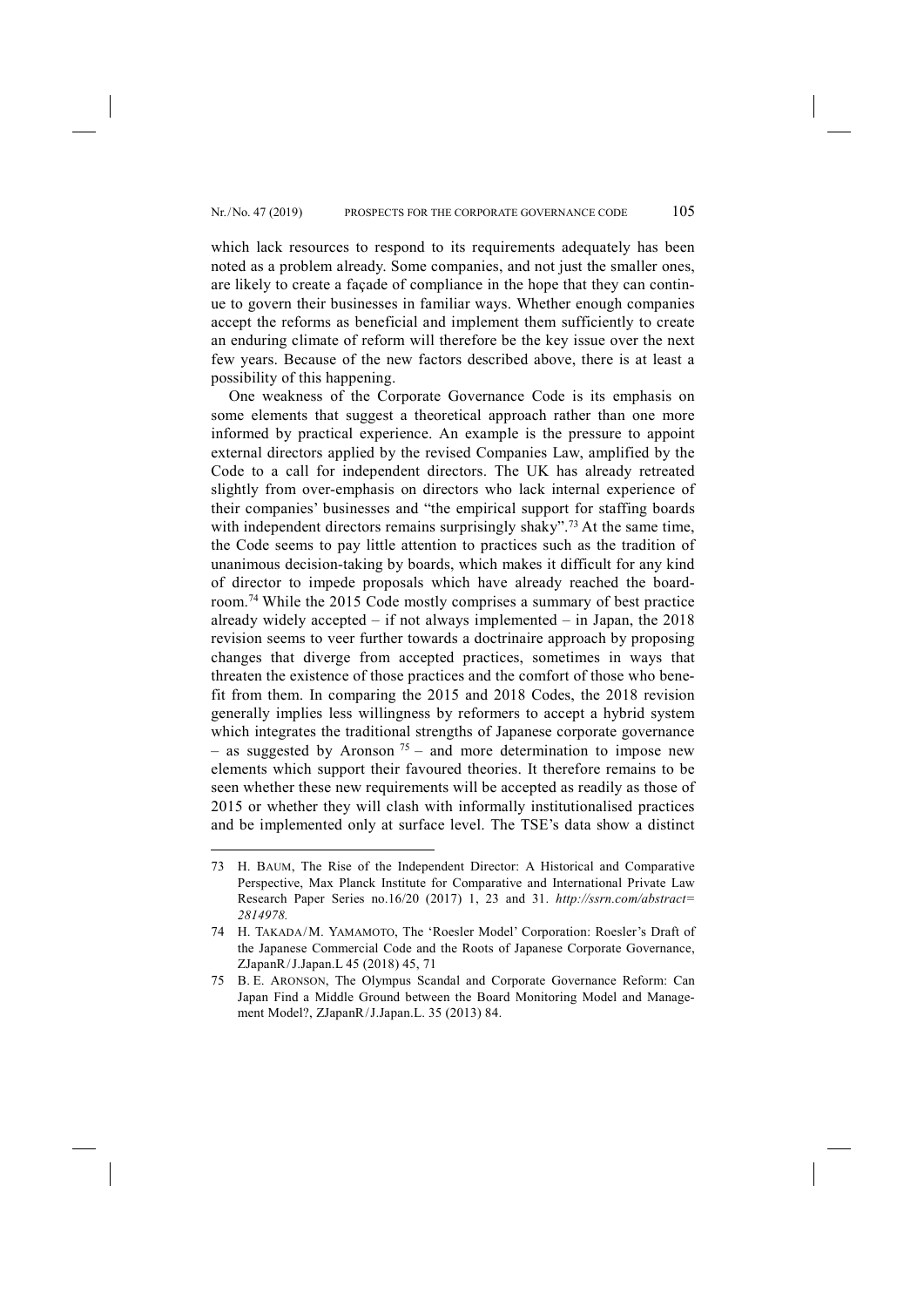which lack resources to respond to its requirements adequately has been noted as a problem already. Some companies, and not just the smaller ones, are likely to create a façade of compliance in the hope that they can continue to govern their businesses in familiar ways. Whether enough companies accept the reforms as beneficial and implement them sufficiently to create an enduring climate of reform will therefore be the key issue over the next few years. Because of the new factors described above, there is at least a possibility of this happening.

One weakness of the Corporate Governance Code is its emphasis on some elements that suggest a theoretical approach rather than one more informed by practical experience. An example is the pressure to appoint external directors applied by the revised Companies Law, amplified by the Code to a call for independent directors. The UK has already retreated slightly from over-emphasis on directors who lack internal experience of their companies' businesses and "the empirical support for staffing boards with independent directors remains surprisingly shaky".<sup>73</sup> At the same time, the Code seems to pay little attention to practices such as the tradition of unanimous decision-taking by boards, which makes it difficult for any kind of director to impede proposals which have already reached the boardroom.74 While the 2015 Code mostly comprises a summary of best practice already widely accepted  $-$  if not always implemented  $-$  in Japan, the 2018 revision seems to veer further towards a doctrinaire approach by proposing changes that diverge from accepted practices, sometimes in ways that threaten the existence of those practices and the comfort of those who benefit from them. In comparing the 2015 and 2018 Codes, the 2018 revision generally implies less willingness by reformers to accept a hybrid system which integrates the traditional strengths of Japanese corporate governance – as suggested by Aronson  $75$  – and more determination to impose new elements which support their favoured theories. It therefore remains to be seen whether these new requirements will be accepted as readily as those of 2015 or whether they will clash with informally institutionalised practices and be implemented only at surface level. The TSE's data show a distinct

<sup>73</sup> H. BAUM, The Rise of the Independent Director: A Historical and Comparative Perspective, Max Planck Institute for Comparative and International Private Law Research Paper Series no.16/20 (2017) 1, 23 and 31. *http://ssrn.com/abstract= 2814978.* 

<sup>74</sup> H. TAKADA/M. YAMAMOTO, The 'Roesler Model' Corporation: Roesler's Draft of the Japanese Commercial Code and the Roots of Japanese Corporate Governance, ZJapanR/J.Japan.L 45 (2018) 45, 71

<sup>75</sup> B. E. ARONSON, The Olympus Scandal and Corporate Governance Reform: Can Japan Find a Middle Ground between the Board Monitoring Model and Management Model?, ZJapanR/J.Japan.L. 35 (2013) 84.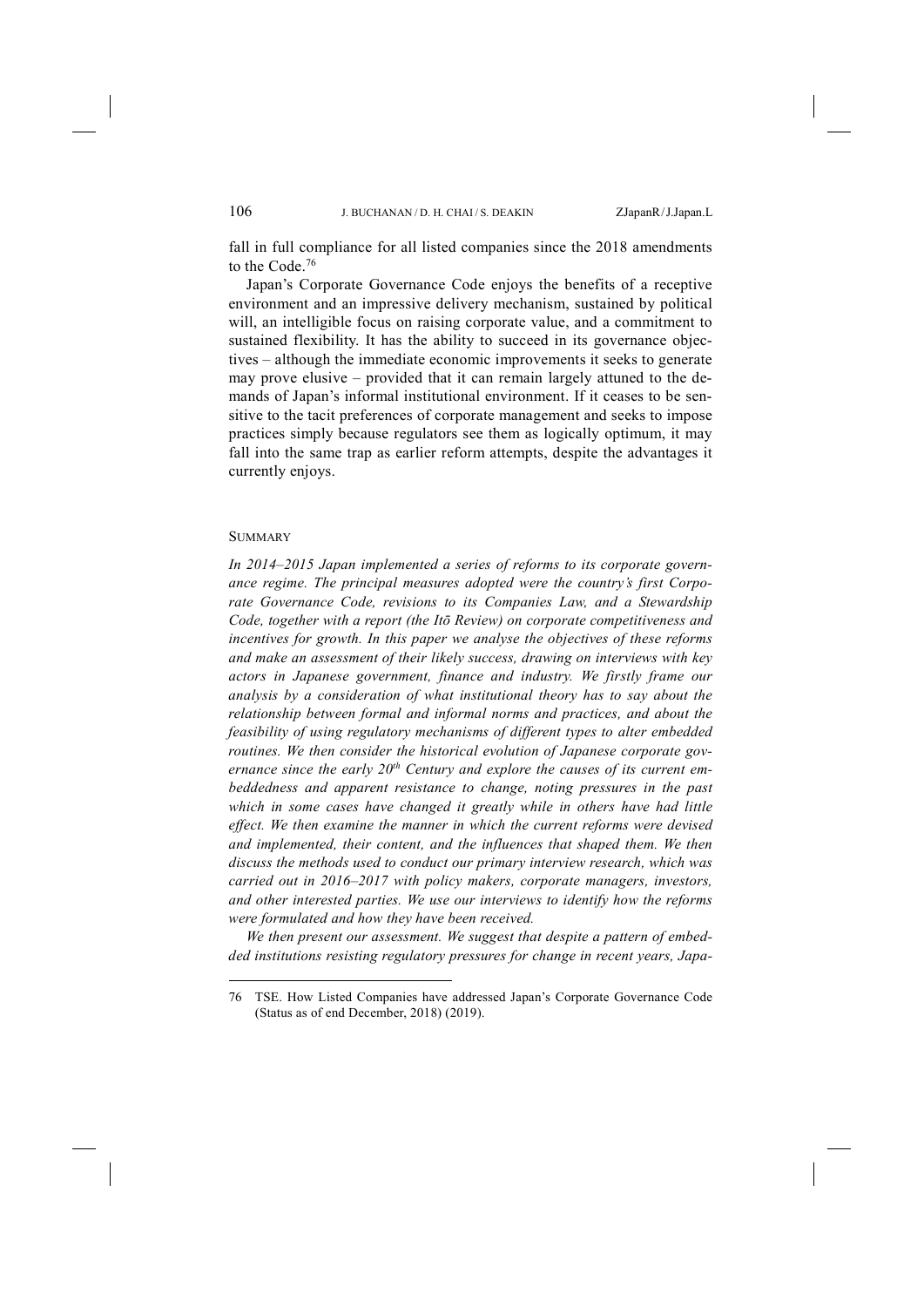fall in full compliance for all listed companies since the 2018 amendments to the Code. 76

Japan's Corporate Governance Code enjoys the benefits of a receptive environment and an impressive delivery mechanism, sustained by political will, an intelligible focus on raising corporate value, and a commitment to sustained flexibility. It has the ability to succeed in its governance objectives – although the immediate economic improvements it seeks to generate may prove elusive – provided that it can remain largely attuned to the demands of Japan's informal institutional environment. If it ceases to be sensitive to the tacit preferences of corporate management and seeks to impose practices simply because regulators see them as logically optimum, it may fall into the same trap as earlier reform attempts, despite the advantages it currently enjoys.

#### **SUMMARY**

-

*In 2014–2015 Japan implemented a series of reforms to its corporate governance regime. The principal measures adopted were the country's first Corporate Governance Code, revisions to its Companies Law, and a Stewardship Code, together with a report (the Itō Review) on corporate competitiveness and incentives for growth. In this paper we analyse the objectives of these reforms and make an assessment of their likely success, drawing on interviews with key actors in Japanese government, finance and industry. We firstly frame our analysis by a consideration of what institutional theory has to say about the relationship between formal and informal norms and practices, and about the feasibility of using regulatory mechanisms of different types to alter embedded routines. We then consider the historical evolution of Japanese corporate gov*ernance since the early 20<sup>th</sup> Century and explore the causes of its current em*beddedness and apparent resistance to change, noting pressures in the past which in some cases have changed it greatly while in others have had little effect. We then examine the manner in which the current reforms were devised and implemented, their content, and the influences that shaped them. We then discuss the methods used to conduct our primary interview research, which was carried out in 2016–2017 with policy makers, corporate managers, investors, and other interested parties. We use our interviews to identify how the reforms were formulated and how they have been received.* 

*We then present our assessment. We suggest that despite a pattern of embedded institutions resisting regulatory pressures for change in recent years, Japa-*

<sup>76</sup> TSE. How Listed Companies have addressed Japan's Corporate Governance Code (Status as of end December, 2018) (2019).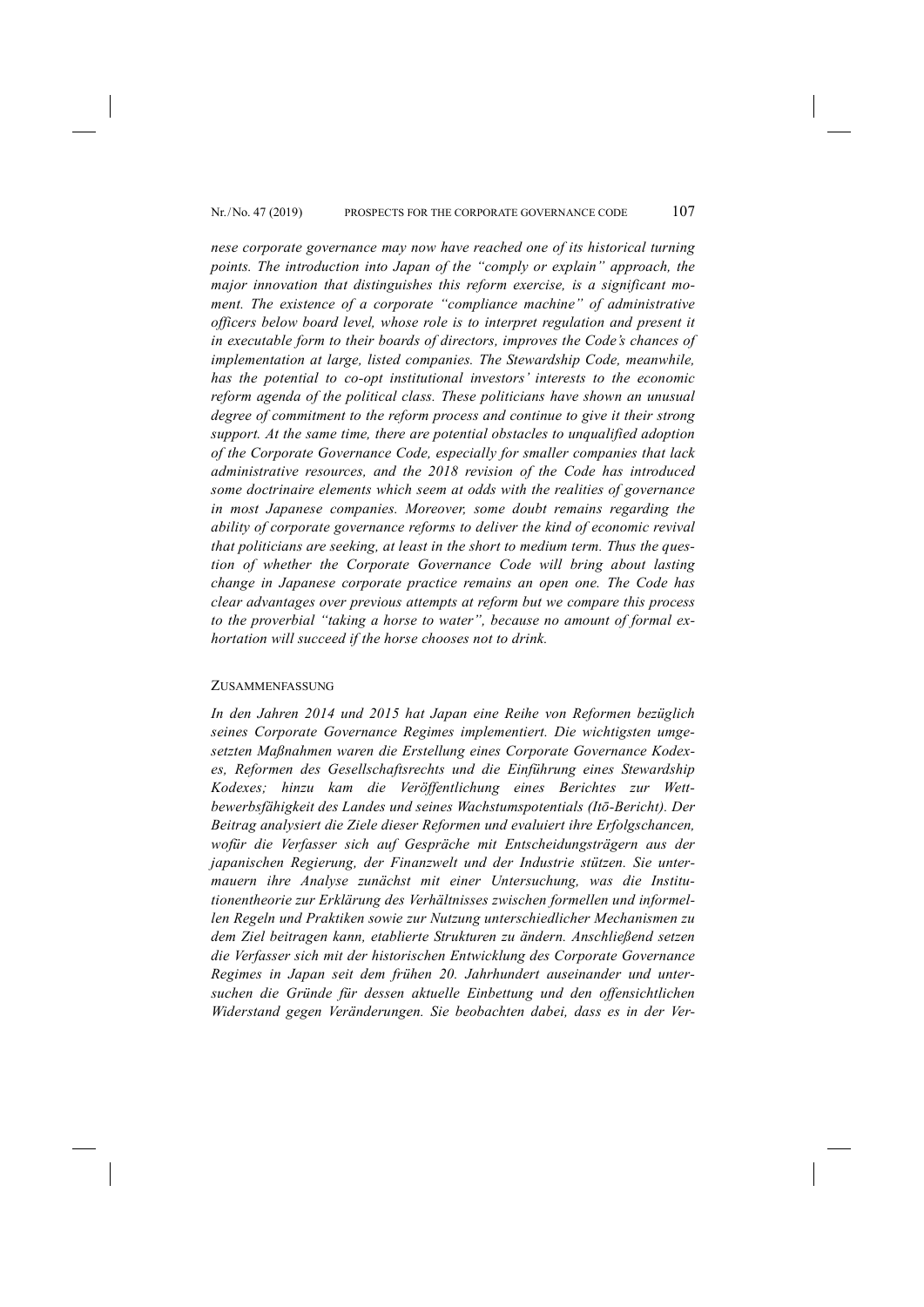*nese corporate governance may now have reached one of its historical turning points. The introduction into Japan of the "comply or explain" approach, the major innovation that distinguishes this reform exercise, is a significant moment. The existence of a corporate "compliance machine" of administrative officers below board level, whose role is to interpret regulation and present it in executable form to their boards of directors, improves the Code's chances of implementation at large, listed companies. The Stewardship Code, meanwhile, has the potential to co-opt institutional investors' interests to the economic reform agenda of the political class. These politicians have shown an unusual degree of commitment to the reform process and continue to give it their strong support. At the same time, there are potential obstacles to unqualified adoption of the Corporate Governance Code, especially for smaller companies that lack administrative resources, and the 2018 revision of the Code has introduced some doctrinaire elements which seem at odds with the realities of governance in most Japanese companies. Moreover, some doubt remains regarding the ability of corporate governance reforms to deliver the kind of economic revival that politicians are seeking, at least in the short to medium term. Thus the question of whether the Corporate Governance Code will bring about lasting change in Japanese corporate practice remains an open one. The Code has clear advantages over previous attempts at reform but we compare this process to the proverbial "taking a horse to water", because no amount of formal exhortation will succeed if the horse chooses not to drink.* 

#### ZUSAMMENFASSUNG

*In den Jahren 2014 und 2015 hat Japan eine Reihe von Reformen bezüglich seines Corporate Governance Regimes implementiert. Die wichtigsten umgesetzten Maßnahmen waren die Erstellung eines Corporate Governance Kodexes, Reformen des Gesellschaftsrechts und die Einführung eines Stewardship Kodexes; hinzu kam die Veröffentlichung eines Berichtes zur Wettbewerbsfähigkeit des Landes und seines Wachstumspotentials (Itō-Bericht). Der Beitrag analysiert die Ziele dieser Reformen und evaluiert ihre Erfolgschancen, wofür die Verfasser sich auf Gespräche mit Entscheidungsträgern aus der japanischen Regierung, der Finanzwelt und der Industrie stützen. Sie untermauern ihre Analyse zunächst mit einer Untersuchung, was die Institutionentheorie zur Erklärung des Verhältnisses zwischen formellen und informellen Regeln und Praktiken sowie zur Nutzung unterschiedlicher Mechanismen zu dem Ziel beitragen kann, etablierte Strukturen zu ändern. Anschließend setzen die Verfasser sich mit der historischen Entwicklung des Corporate Governance Regimes in Japan seit dem frühen 20. Jahrhundert auseinander und untersuchen die Gründe für dessen aktuelle Einbettung und den offensichtlichen Widerstand gegen Veränderungen. Sie beobachten dabei, dass es in der Ver-*